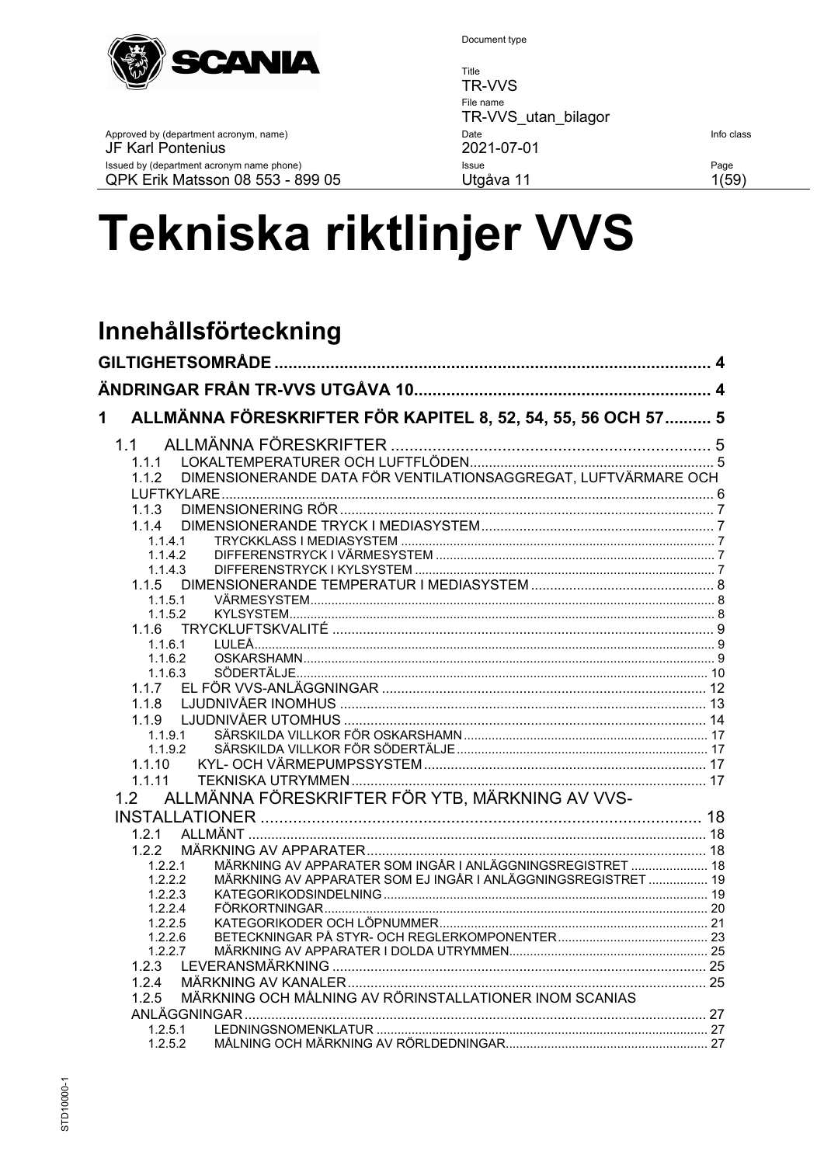

Approved by (department acronym, name)

Issued by (department acronym name phone)

QPK Erik Matsson 08 553 - 899 05

JF Karl Pontenius

Document type

Title TR-VVS File name TR-VVS\_utan\_bilagor Date 2021-07-01 Issue Utgåva 11

Info class

Page  $1(59)$ 

# Tekniska riktlinjer VVS

# Innehållsförteckning

| ALLMÄNNA FÖRESKRIFTER FÖR KAPITEL 8, 52, 54, 55, 56 OCH 57  5<br>1       |  |
|--------------------------------------------------------------------------|--|
| 11                                                                       |  |
| 1.1.1                                                                    |  |
| DIMENSIONERANDE DATA FÖR VENTILATIONSAGGREGAT, LUFTVÄRMARE OCH<br>112    |  |
|                                                                          |  |
| 1.1.3                                                                    |  |
| 114                                                                      |  |
| 1.1.4.1<br>1.1.4.2                                                       |  |
| 1.1.4.3                                                                  |  |
| 1.1.5                                                                    |  |
| 1.1.5.1                                                                  |  |
| 1.1.5.2                                                                  |  |
|                                                                          |  |
| 1.1.6.1                                                                  |  |
| 1.1.6.2                                                                  |  |
| 1.1.6.3                                                                  |  |
| 1.1.7                                                                    |  |
| 1.1.8<br>1.1.9                                                           |  |
| 1.1.9.1                                                                  |  |
| 1.1.9.2                                                                  |  |
| 1.1.10                                                                   |  |
| 1.1.11                                                                   |  |
| ALLMÄNNA FÖRESKRIFTER FÖR YTB, MÄRKNING AV VVS-<br>1.2                   |  |
|                                                                          |  |
| 1.2.1                                                                    |  |
| 1.2.2                                                                    |  |
| MÄRKNING AV APPARATER SOM INGÅR I ANLÄGGNINGSREGISTRET  18<br>1.2.2.1    |  |
| MÄRKNING AV APPARATER SOM EJ INGÅR I ANLÄGGNINGSREGISTRET  19<br>1.2.2.2 |  |
| 1.2.2.3                                                                  |  |
| 1.2.2.4                                                                  |  |
| 1.2.2.5<br>1.2.2.6                                                       |  |
| 1.2.2.7                                                                  |  |
| 1.2.3                                                                    |  |
| 1.2.4                                                                    |  |
| MÄRKNING OCH MÅLNING AV RÖRINSTALLATIONER INOM SCANIAS<br>1.2.5          |  |
|                                                                          |  |
| 1.2.5.1                                                                  |  |
| 1.2.5.2                                                                  |  |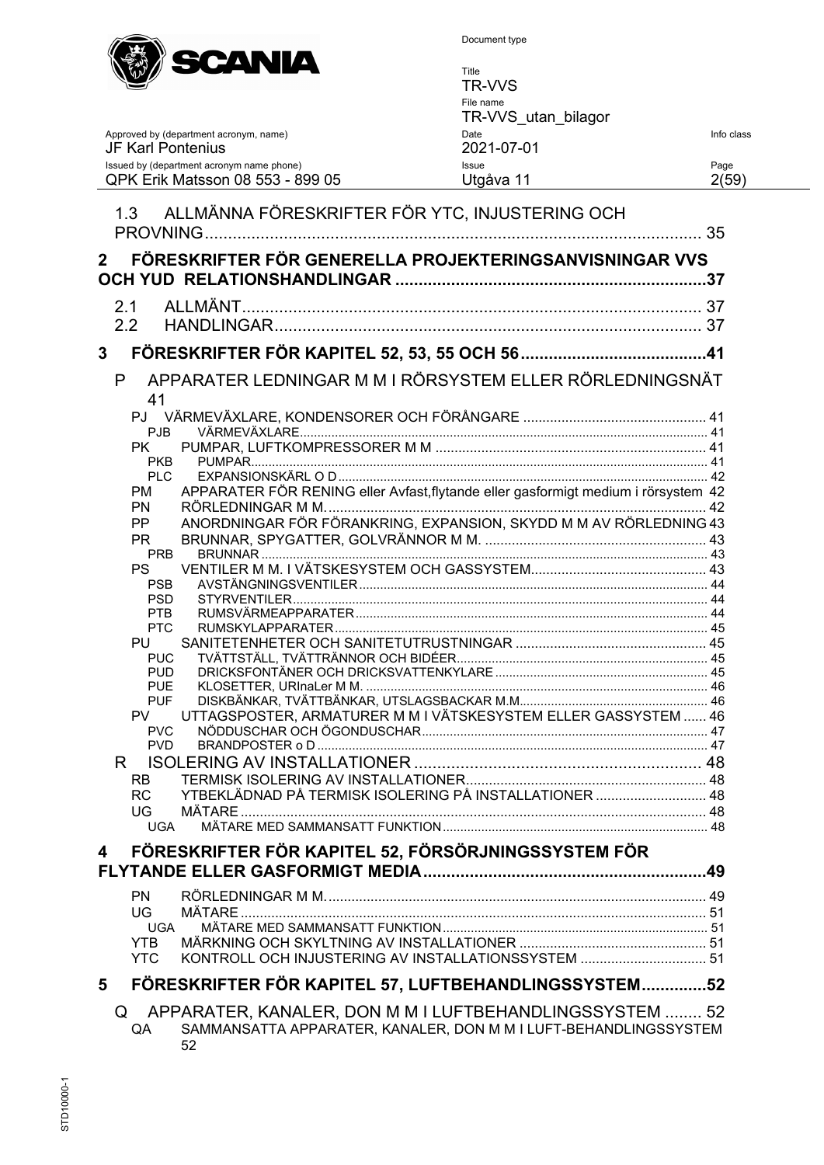

Title TR-VVS File name TR-VVS\_utan\_bilagor Approved by (department acronym, name) Date Info class JF Karl Pontenius 2021-07-01 Issued by (department acronym name phone) Issue Page QPK Erik Matsson 08 553 - 899 05 Utgåva 11 2(59)

|                | 1.3                      | ALLMÄNNA FÖRESKRIFTER FÖR YTC, INJUSTERING OCH                                     |  |
|----------------|--------------------------|------------------------------------------------------------------------------------|--|
|                |                          |                                                                                    |  |
| 2 <sup>1</sup> |                          | FÖRESKRIFTER FÖR GENERELLA PROJEKTERINGSANVISNINGAR VVS                            |  |
|                |                          |                                                                                    |  |
|                | 2.1<br>2.2               |                                                                                    |  |
|                |                          |                                                                                    |  |
| $\mathbf{3}$   |                          |                                                                                    |  |
| P              |                          | APPARATER LEDNINGAR M M I RÖRSYSTEM ELLER RÖRLEDNINGSNÄT                           |  |
|                | 41                       |                                                                                    |  |
|                | PJB                      |                                                                                    |  |
|                | PK.                      |                                                                                    |  |
|                | <b>PKB</b>               |                                                                                    |  |
|                | <b>PLC</b>               |                                                                                    |  |
|                | <b>PM</b><br>PN          | APPARATER FÖR RENING eller Avfast, flytande eller gasformigt medium i rörsystem 42 |  |
|                | PP                       | ANORDNINGAR FÖR FÖRANKRING, EXPANSION, SKYDD M M AV RÖRLEDNING 43                  |  |
|                | <b>PR</b>                |                                                                                    |  |
|                | <b>PRB</b>               |                                                                                    |  |
|                | <b>PS</b>                |                                                                                    |  |
|                | <b>PSB</b>               |                                                                                    |  |
|                | <b>PSD</b><br>PTB        |                                                                                    |  |
|                | <b>PTC</b>               |                                                                                    |  |
|                | <b>PU</b>                |                                                                                    |  |
|                | <b>PUC</b>               |                                                                                    |  |
|                | <b>PUD</b>               |                                                                                    |  |
|                | <b>PUE</b><br><b>PUF</b> |                                                                                    |  |
|                | PV.                      | UTTAGSPOSTER, ARMATURER M M I VÄTSKESYSTEM ELLER GASSYSTEM  46                     |  |
|                | <b>PVC</b>               |                                                                                    |  |
|                | <b>PVD</b>               |                                                                                    |  |
| R.             |                          |                                                                                    |  |
|                | RB                       |                                                                                    |  |
|                | <b>RC</b>                | YTBEKLÄDNAD PÅ TERMISK ISOLERING PÅ INSTALLATIONER  48                             |  |
|                | UG                       |                                                                                    |  |
|                |                          |                                                                                    |  |
| 4              |                          | FÖRESKRIFTER FÖR KAPITEL 52, FÖRSÖRJNINGSSYSTEM FÖR                                |  |
|                |                          |                                                                                    |  |
|                | <b>PN</b>                |                                                                                    |  |
|                | UG                       | MÄTARE.                                                                            |  |
|                | <b>UGA</b>               |                                                                                    |  |
|                | <b>YTB</b>               |                                                                                    |  |
|                | <b>YTC</b>               | KONTROLL OCH INJUSTERING AV INSTALLATIONSSYSTEM  51                                |  |
| 5              |                          | FÖRESKRIFTER FÖR KAPITEL 57, LUFTBEHANDLINGSSYSTEM52                               |  |
| Q              |                          | APPARATER, KANALER, DON M M I LUFTBEHANDLINGSSYSTEM  52                            |  |
|                | QA                       | SAMMANSATTA APPARATER, KANALER, DON M M I LUFT-BEHANDLINGSSYSTEM                   |  |
|                |                          | 52                                                                                 |  |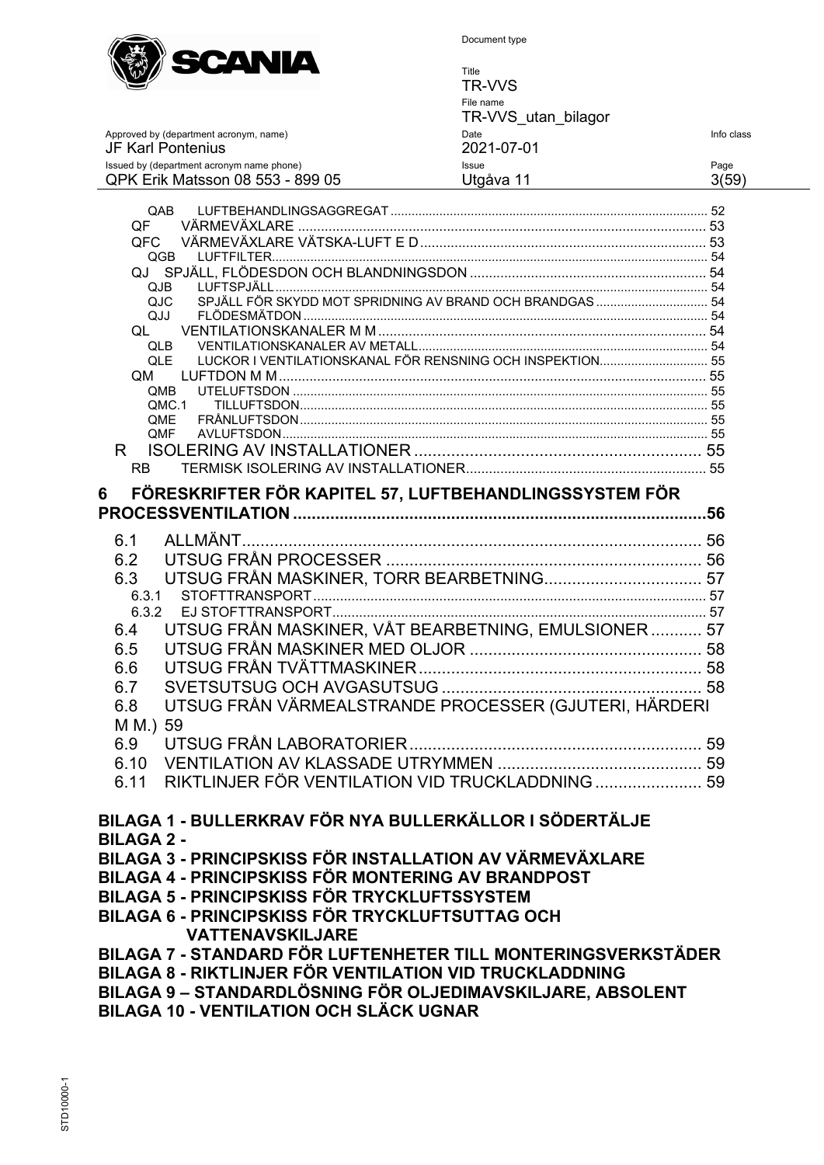

Title TR-VVS File name TR-VVS\_utan\_bilagor Approved by (department acronym, name) Date Theory Date Theory Date Info class<br>
2021-07-01 JF Karl Pontenius<br>
Issued by (department acronym name phone)<br>
Issue Issued by (department acronym name phone) Issue Page

| QPK Erik Matsson 08 553 - 899 05                              | Utgåva 11<br>3(59)                                        |
|---------------------------------------------------------------|-----------------------------------------------------------|
| QAB                                                           |                                                           |
| QF                                                            |                                                           |
| QFC                                                           |                                                           |
| QGB                                                           |                                                           |
|                                                               |                                                           |
| QJB                                                           |                                                           |
| QJC                                                           | SPJÄLL FÖR SKYDD MOT SPRIDNING AV BRAND OCH BRANDGAS  54  |
| QJJ                                                           |                                                           |
| QL                                                            |                                                           |
| <b>QLB</b><br><b>QLE</b>                                      | LUCKOR I VENTILATIONSKANAL FÖR RENSNING OCH INSPEKTION 55 |
| QM.                                                           |                                                           |
| QMB                                                           |                                                           |
| OMC.1                                                         |                                                           |
| <b>OME</b>                                                    |                                                           |
| QMF                                                           |                                                           |
| R.                                                            |                                                           |
| RB -                                                          |                                                           |
| FÖRESKRIFTER FÖR KAPITEL 57, LUFTBEHANDLINGSSYSTEM FÖR<br>6   |                                                           |
|                                                               |                                                           |
|                                                               |                                                           |
| 6.1                                                           |                                                           |
| 6.2                                                           |                                                           |
| 6.3                                                           | UTSUG FRÅN MASKINER, TORR BEARBETNING 57                  |
| 6.3.1                                                         |                                                           |
| 6.3.2                                                         |                                                           |
| 6.4                                                           | UTSUG FRÅN MASKINER, VÅT BEARBETNING, EMULSIONER 57       |
| 6.5                                                           |                                                           |
| 6.6                                                           |                                                           |
| 6.7                                                           |                                                           |
| 6.8                                                           | UTSUG FRÅN VÄRMEALSTRANDE PROCESSER (GJUTERI, HÄRDERI     |
| 59                                                            |                                                           |
| $M M$ .)                                                      |                                                           |
| 6.9                                                           |                                                           |
| 6.10                                                          |                                                           |
| 6.11                                                          | RIKTLINJER FÖR VENTILATION VID TRUCKLADDNING  59          |
|                                                               |                                                           |
| BILAGA 1 - BULLERKRAV FÖR NYA BULLERKÄLLOR I SÖDERTÄLJE       |                                                           |
| <b>BILAGA 2 -</b>                                             |                                                           |
| BILAGA 3 - PRINCIPSKISS FÖR INSTALLATION AV VÄRMEVÄXLARE      |                                                           |
| BILAGA 4 - PRINCIPSKISS FÖR MONTERING AV BRANDPOST            |                                                           |
| BILAGA 5 - PRINCIPSKISS FÖR TRYCKLUFTSSYSTEM                  |                                                           |
|                                                               |                                                           |
| BILAGA 6 - PRINCIPSKISS FÖR TRYCKLUFTSUTTAG OCH               |                                                           |
| <b>VATTENAVSKILJARE</b>                                       |                                                           |
| BILAGA 7 - STANDARD FÖR LUFTENHETER TILL MONTERINGSVERKSTÄDER |                                                           |
| BILAGA 8 - RIKTLINJER FÖR VENTILATION VID TRUCKLADDNING       |                                                           |

**BILAGA 9 – STANDARDLÖSNING FÖR OLJEDIMAVSKILJARE, ABSOLENT**

**BILAGA 10 - VENTILATION OCH SLÄCK UGNAR**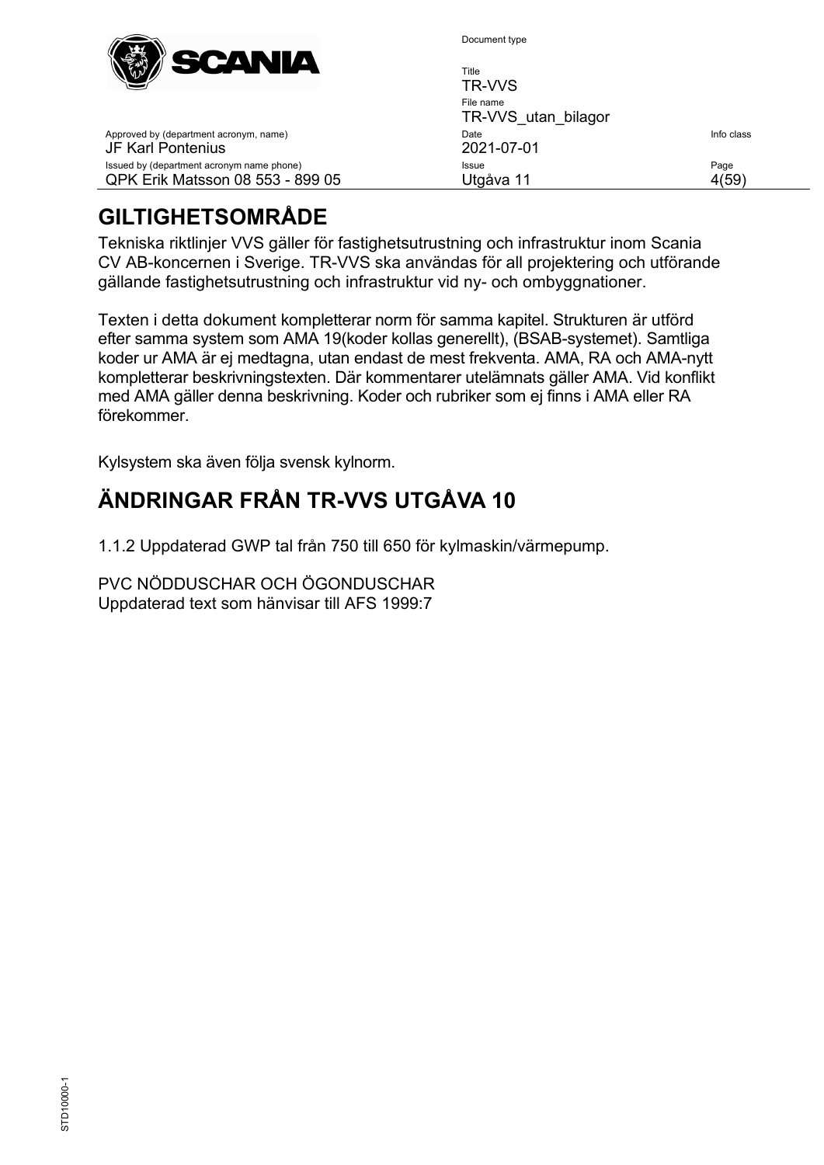

Approved by (department acronym, name)

Issued by (department acronym name phone) QPK Erik Matsson 08 553 - 899 05

JF Karl Pontenius

Document type

| Title               |            |
|---------------------|------------|
| TR-VVS              |            |
| File name           |            |
| TR-VVS utan bilagor |            |
| Date                | Info class |
| 2021-07-01          |            |
| Issue               | Page       |
| Utgåva 11           |            |

# <span id="page-3-0"></span>**GILTIGHETSOMRÅDE**

Tekniska riktlinjer VVS gäller för fastighetsutrustning och infrastruktur inom Scania CV AB-koncernen i Sverige. TR-VVS ska användas för all projektering och utförande gällande fastighetsutrustning och infrastruktur vid ny- och ombyggnationer.

Texten i detta dokument kompletterar norm för samma kapitel. Strukturen är utförd efter samma system som AMA 19(koder kollas generellt), (BSAB-systemet). Samtliga koder ur AMA är ej medtagna, utan endast de mest frekventa. AMA, RA och AMA-nytt kompletterar beskrivningstexten. Där kommentarer utelämnats gäller AMA. Vid konflikt med AMA gäller denna beskrivning. Koder och rubriker som ej finns i AMA eller RA förekommer.

Kylsystem ska även följa svensk kylnorm.

# <span id="page-3-1"></span>**ÄNDRINGAR FRÅN TR-VVS UTGÅVA 10**

1.1.2 Uppdaterad GWP tal från 750 till 650 för kylmaskin/värmepump.

PVC NÖDDUSCHAR OCH ÖGONDUSCHAR Uppdaterad text som hänvisar till AFS 1999:7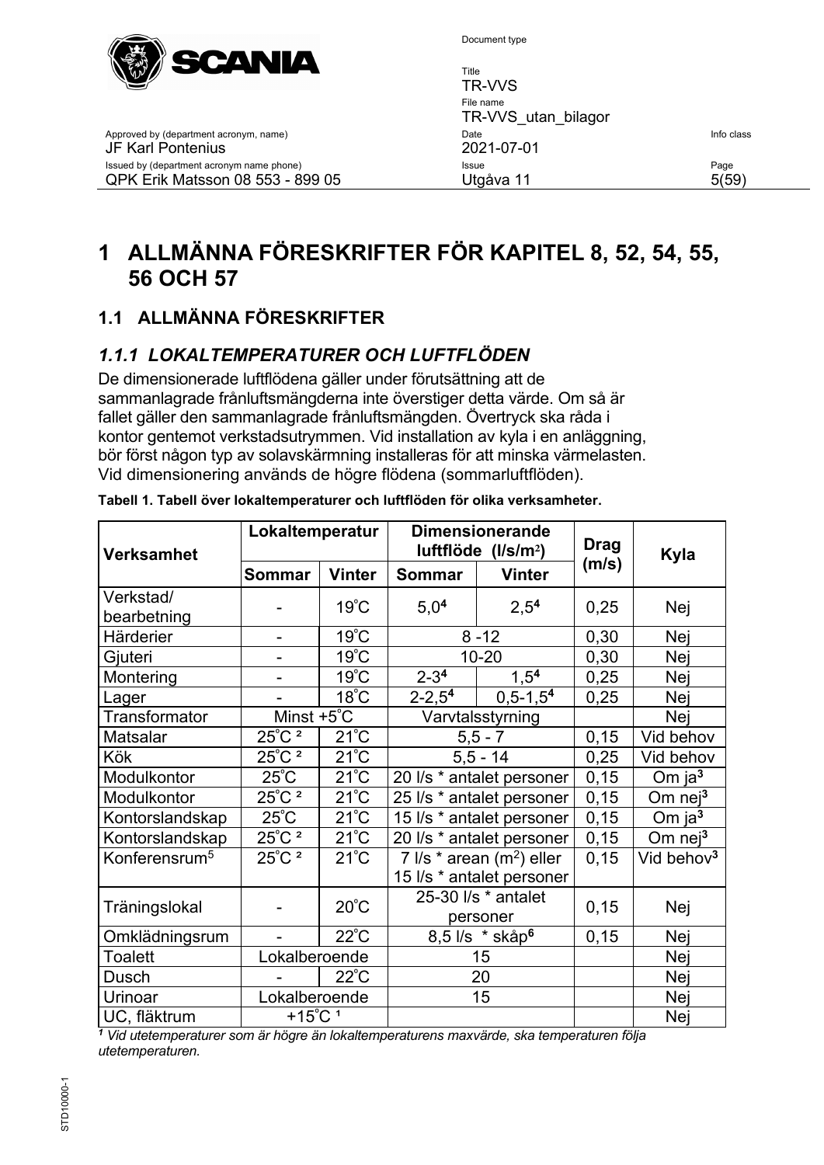

Document type

| -------<br>$\mathbb{W} \mathbb{Z}$                                            | Title<br>TR-VVS                  |               |
|-------------------------------------------------------------------------------|----------------------------------|---------------|
|                                                                               | File name<br>TR-VVS utan bilagor |               |
| Approved by (department acronym, name)<br>JF Karl Pontenius                   | Date<br>2021-07-01               | Info class    |
| Issued by (department acronym name phone)<br>QPK Erik Matsson 08 553 - 899 05 | Issue<br>Utqåva 11               | Page<br>5(59) |

# <span id="page-4-0"></span>**1 ALLMÄNNA FÖRESKRIFTER FÖR KAPITEL 8, 52, 54, 55, 56 OCH 57**

# <span id="page-4-1"></span>**1.1 ALLMÄNNA FÖRESKRIFTER**

# <span id="page-4-2"></span>*1.1.1 LOKALTEMPERATURER OCH LUFTFLÖDEN*

De dimensionerade luftflödena gäller under förutsättning att de sammanlagrade frånluftsmängderna inte överstiger detta värde. Om så är fallet gäller den sammanlagrade frånluftsmängden. Övertryck ska råda i kontor gentemot verkstadsutrymmen. Vid installation av kyla i en anläggning, bör först någon typ av solavskärmning installeras för att minska värmelasten. Vid dimensionering används de högre flödena (sommarluftflöden).

| <b>Verksamhet</b>         | Lokaltemperatur              |                     | <b>Dimensionerande</b><br>luftflöde (I/s/m <sup>2</sup> ) |                  | <b>Drag</b> | Kyla                   |
|---------------------------|------------------------------|---------------------|-----------------------------------------------------------|------------------|-------------|------------------------|
|                           | <b>Sommar</b>                | <b>Vinter</b>       | Sommar                                                    | <b>Vinter</b>    | (m/s)       |                        |
| Verkstad/                 |                              | $19^{\circ}$ C      | 5,0 <sup>4</sup>                                          | 2,5 <sup>4</sup> | 0,25        | Nej                    |
| bearbetning               |                              |                     |                                                           |                  |             |                        |
| Härderier                 |                              | $19^{\circ}$ C      |                                                           | $8 - 12$         | 0,30        | Nej                    |
| Gjuteri                   |                              | $19^{\circ}$ C      |                                                           | 10-20            | 0,30        | Nej                    |
| Montering                 |                              | $19^{\circ}$ C      | $2 - 34$                                                  | 1,5 <sup>4</sup> | 0,25        | Nej                    |
| Lager                     |                              | $18^{\circ}$ C      | $2 - 2,54$                                                | $0,5-1,54$       | 0,25        | Nej                    |
| Transformator             | Minst $+5^{\circ}$ C         |                     |                                                           | Varvtalsstyrning |             | Nej                    |
| Matsalar                  | $25^{\circ}$ C <sup>2</sup>  | $21^{\circ}$ C      |                                                           | $5, 5 - 7$       | 0,15        | Vid behov              |
| Kök                       | $25^{\circ}$ C <sup>2</sup>  | $21^{\circ}$ C      |                                                           | $5,5 - 14$       | 0,25        | Vid behov              |
| Modulkontor               | $25^{\circ}$ C               | $21^{\circ}$ C      | 20 I/s * antalet personer                                 |                  | 0,15        | Om $ja3$               |
| Modulkontor               | $25^{\circ}$ C $^2$          | $21^{\circ}$ C      | 25 I/s * antalet personer                                 |                  | 0,15        | Om $nej3$              |
| Kontorslandskap           | $25^{\circ}$ C               | $21^{\circ}$ C      | 15 I/s * antalet personer                                 |                  | 0, 15       | Om ja $3$              |
| Kontorslandskap           | $25^{\circ}$ C $^2$          | $21^{\circ}$ C      | 20 I/s * antalet personer                                 |                  | 0,15        | Om $nej^3$             |
| Konferensrum <sup>5</sup> | $25^{\circ}$ C <sup>2</sup>  | $21^{\circ}$ C      | 7 $\sqrt{ }s$ * arean (m <sup>2</sup> ) eller             |                  | 0, 15       | Vid behov <sup>3</sup> |
|                           |                              |                     | 15 l/s * antalet personer                                 |                  |             |                        |
| $20^{\circ}$ C            |                              | 25-30 I/s * antalet | 0,15                                                      | Nej              |             |                        |
| Träningslokal             |                              |                     | personer                                                  |                  |             |                        |
| Omklädningsrum            |                              | $22^{\circ}$ C      | 8,5 l/s * skåp <sup>6</sup>                               |                  | 0, 15       | Nej                    |
| Toalett                   | Lokalberoende                |                     | 15                                                        |                  |             | Nej                    |
| Dusch                     |                              | $22^{\circ}$ C      | 20                                                        |                  |             | Nej                    |
| Urinoar                   | Lokalberoende                |                     |                                                           | 15               |             | Nej                    |
| UC, fläktrum              | $+15^{\circ}$ C <sup>1</sup> |                     |                                                           |                  |             | Nej                    |

|  | Tabell 1. Tabell över lokaltemperaturer och luftflöden för olika verksamheter. |
|--|--------------------------------------------------------------------------------|
|  |                                                                                |

*<sup>1</sup> Vid utetemperaturer som är högre än lokaltemperaturens maxvärde, ska temperaturen följa utetemperaturen.*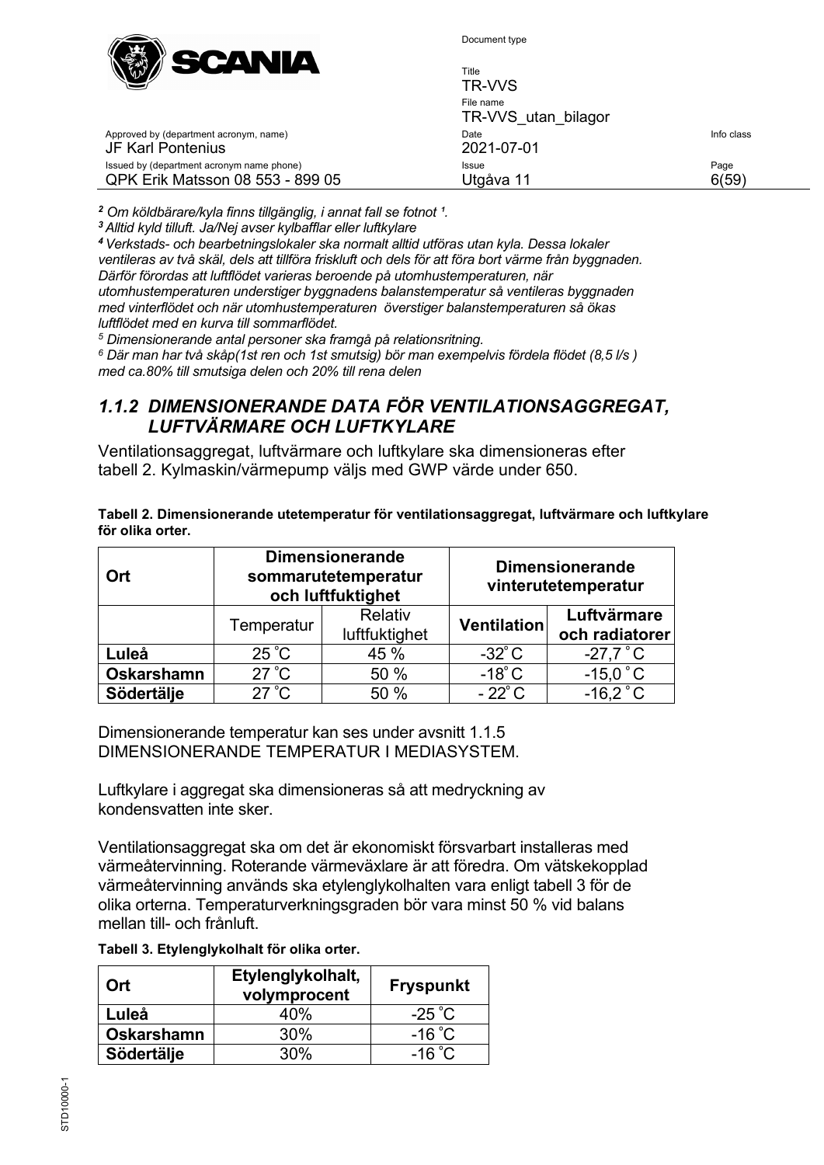

| ______<br>___<br>$\mathbb{W} \mathbb{Z}$                                      | Title<br>TR-VVS                  |               |
|-------------------------------------------------------------------------------|----------------------------------|---------------|
|                                                                               | File name<br>TR-VVS utan bilagor |               |
| Approved by (department acronym, name)<br>JF Karl Pontenius                   | Date<br>2021-07-01               | Info class    |
| Issued by (department acronym name phone)<br>QPK Erik Matsson 08 553 - 899 05 | Issue<br>Utgåva 11               | Page<br>6(59) |
|                                                                               |                                  |               |

<sup>2</sup> Om köldbärare/kyla finns tillgänglig, i annat fall se fotnot <sup>1</sup>.

*<sup>3</sup>Alltid kyld tilluft. Ja/Nej avser kylbafflar eller luftkylare*

*<sup>4</sup>Verkstads- och bearbetningslokaler ska normalt alltid utföras utan kyla. Dessa lokaler ventileras av två skäl, dels att tillföra friskluft och dels för att föra bort värme från byggnaden. Därför förordas att luftflödet varieras beroende på utomhustemperaturen, när utomhustemperaturen understiger byggnadens balanstemperatur så ventileras byggnaden med vinterflödet och när utomhustemperaturen överstiger balanstemperaturen så ökas luftflödet med en kurva till sommarflödet.*

*<sup>5</sup> Dimensionerande antal personer ska framgå på relationsritning.*

*<sup>6</sup> Där man har två skåp(1st ren och 1st smutsig) bör man exempelvis fördela flödet (8,5 l/s ) med ca.80% till smutsiga delen och 20% till rena delen*

#### <span id="page-5-0"></span>*1.1.2 DIMENSIONERANDE DATA FÖR VENTILATIONSAGGREGAT, LUFTVÄRMARE OCH LUFTKYLARE*

Ventilationsaggregat, luftvärmare och luftkylare ska dimensioneras efter tabell 2. Kylmaskin/värmepump väljs med GWP värde under 650.

| Tabell 2. Dimensionerande utetemperatur för ventilationsaggregat, luftvärmare och luftkylare |  |
|----------------------------------------------------------------------------------------------|--|
| för olika orter.                                                                             |  |

| Ort               |                | <b>Dimensionerande</b><br>sommarutetemperatur<br>och luftfuktighet |                    | <b>Dimensionerande</b><br>vinterutetemperatur |
|-------------------|----------------|--------------------------------------------------------------------|--------------------|-----------------------------------------------|
|                   | Temperatur     | Relativ<br>luftfuktighet                                           | <b>Ventilation</b> | Luftvärmare<br>och radiatorer                 |
| Luleå             | $25^{\circ}$ C | 45 %                                                               | $-32^{\circ}$ C    | $-27.7$ °C                                    |
| <b>Oskarshamn</b> | $27^{\circ}$ C | 50 %                                                               | $-18^{\circ}$ C    | $-15.0$ °C                                    |
| <b>Södertälje</b> | $27^{\circ}$ C | 50 %                                                               | $-22^{\circ}$ C    | $-16.2^{\circ}$ C                             |

Dimensionerande temperatur kan ses under avsnitt [1.1.5](#page-7-0) [DIMENSIONERANDE TEMPERATUR I MEDIASYSTEM.](#page-7-0)

Luftkylare i aggregat ska dimensioneras så att medryckning av kondensvatten inte sker.

Ventilationsaggregat ska om det är ekonomiskt försvarbart installeras med värmeåtervinning. Roterande värmeväxlare är att föredra. Om vätskekopplad värmeåtervinning används ska etylenglykolhalten vara enligt tabell 3 för de olika orterna. Temperaturverkningsgraden bör vara minst 50 % vid balans mellan till- och frånluft.

| Tabell 3. Etylenglykolhalt för olika orter. |  |
|---------------------------------------------|--|
|---------------------------------------------|--|

| Ort               | Etylenglykolhalt,<br>volymprocent | <b>Fryspunkt</b> |
|-------------------|-----------------------------------|------------------|
| Luleå             | 40%                               | $-25^{\circ}$ C  |
| <b>Oskarshamn</b> | 30%                               | $-16^{\circ}$ C  |
| Södertälje        | 30%                               | $-16\degree C$   |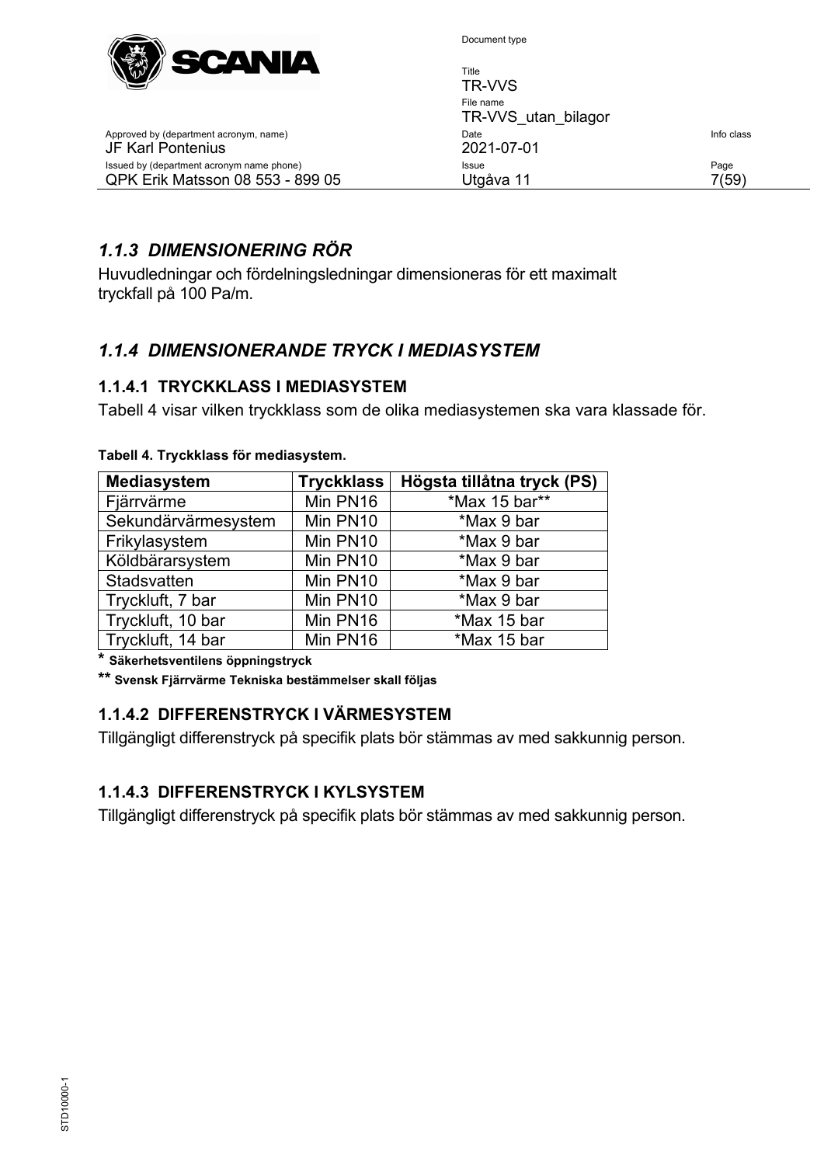

| $\mathbb{W} \mathbb{Z}$                                                       | Title<br><b>TR-VVS</b>           |               |
|-------------------------------------------------------------------------------|----------------------------------|---------------|
|                                                                               | File name<br>TR-VVS utan bilagor |               |
| Approved by (department acronym, name)<br><b>JF Karl Pontenius</b>            | Date<br>2021-07-01               | Info class    |
| Issued by (department acronym name phone)<br>QPK Erik Matsson 08 553 - 899 05 | Issue<br>Utgåva 11               | Page<br>7(59) |

# <span id="page-6-0"></span>*1.1.3 DIMENSIONERING RÖR*

Huvudledningar och fördelningsledningar dimensioneras för ett maximalt tryckfall på 100 Pa/m.

# <span id="page-6-1"></span>*1.1.4 DIMENSIONERANDE TRYCK I MEDIASYSTEM*

#### <span id="page-6-2"></span>**1.1.4.1 TRYCKKLASS I MEDIASYSTEM**

Tabell 4 visar vilken tryckklass som de olika mediasystemen ska vara klassade för.

| <b>Mediasystem</b>  | <b>Tryckklass</b> | Högsta tillåtna tryck (PS) |
|---------------------|-------------------|----------------------------|
| Fjärrvärme          | Min PN16          | *Max 15 bar**              |
| Sekundärvärmesystem | Min PN10          | *Max 9 bar                 |
| Frikylasystem       | Min PN10          | *Max 9 bar                 |
| Köldbärarsystem     | Min PN10          | *Max 9 bar                 |
| Stadsvatten         | Min PN10          | *Max 9 bar                 |
| Tryckluft, 7 bar    | Min PN10          | *Max 9 bar                 |
| Tryckluft, 10 bar   | Min PN16          | *Max 15 bar                |
| Tryckluft, 14 bar   | Min PN16          | *Max 15 bar                |

#### **Tabell 4. Tryckklass för mediasystem.**

**\* Säkerhetsventilens öppningstryck**

<span id="page-6-3"></span>**\*\* Svensk Fjärrvärme Tekniska bestämmelser skall följas**

#### **1.1.4.2 DIFFERENSTRYCK I VÄRMESYSTEM**

Tillgängligt differenstryck på specifik plats bör stämmas av med sakkunnig person.

#### <span id="page-6-4"></span>**1.1.4.3 DIFFERENSTRYCK I KYLSYSTEM**

Tillgängligt differenstryck på specifik plats bör stämmas av med sakkunnig person.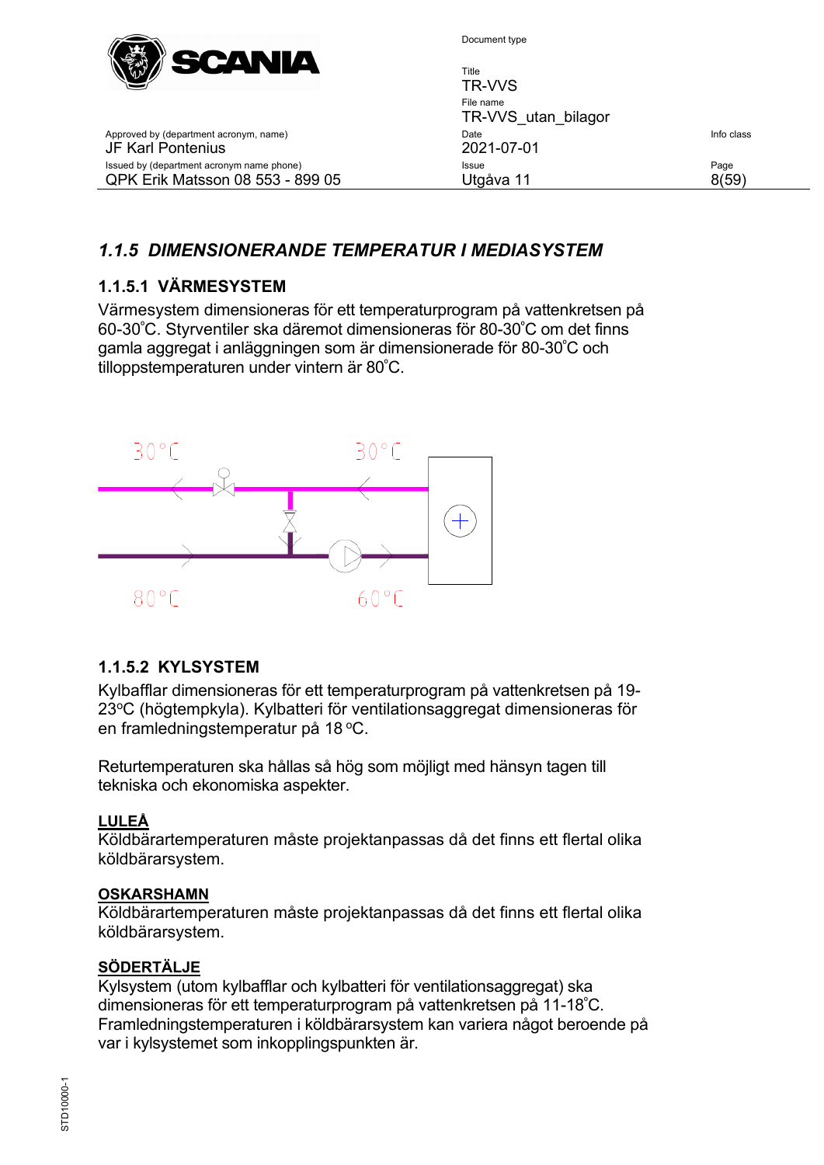

| VW COMME                                                                      | Title<br>TR-VVS                  |               |
|-------------------------------------------------------------------------------|----------------------------------|---------------|
|                                                                               | File name<br>TR-VVS utan bilagor |               |
| Approved by (department acronym, name)<br>JF Karl Pontenius                   | Date<br>2021-07-01               | Info class    |
| Issued by (department acronym name phone)<br>QPK Erik Matsson 08 553 - 899 05 | Issue<br>Utgåva 11               | Page<br>8(59) |
|                                                                               |                                  |               |

# <span id="page-7-0"></span>*1.1.5 DIMENSIONERANDE TEMPERATUR I MEDIASYSTEM*

#### <span id="page-7-1"></span>**1.1.5.1 VÄRMESYSTEM**

Värmesystem dimensioneras för ett temperaturprogram på vattenkretsen på 60-30º C. Styrventiler ska däremot dimensioneras för 80-30º C om det finns gamla aggregat i anläggningen som är dimensionerade för 80-30º C och tilloppstemperaturen under vintern är 80º C.



#### <span id="page-7-2"></span>**1.1.5.2 KYLSYSTEM**

Kylbafflar dimensioneras för ett temperaturprogram på vattenkretsen på 19- 23<sup>o</sup>C (högtempkyla). Kylbatteri för ventilationsaggregat dimensioneras för en framledningstemperatur på 18 °C.

Returtemperaturen ska hållas så hög som möjligt med hänsyn tagen till tekniska och ekonomiska aspekter.

#### **LULEÅ**

Köldbärartemperaturen måste projektanpassas då det finns ett flertal olika köldbärarsystem.

#### **OSKARSHAMN**

Köldbärartemperaturen måste projektanpassas då det finns ett flertal olika köldbärarsystem.

#### **SÖDERTÄLJE**

Kylsystem (utom kylbafflar och kylbatteri för ventilationsaggregat) ska dimensioneras för ett temperaturprogram på vattenkretsen på 11-18º C. Framledningstemperaturen i köldbärarsystem kan variera något beroende på var i kylsystemet som inkopplingspunkten är.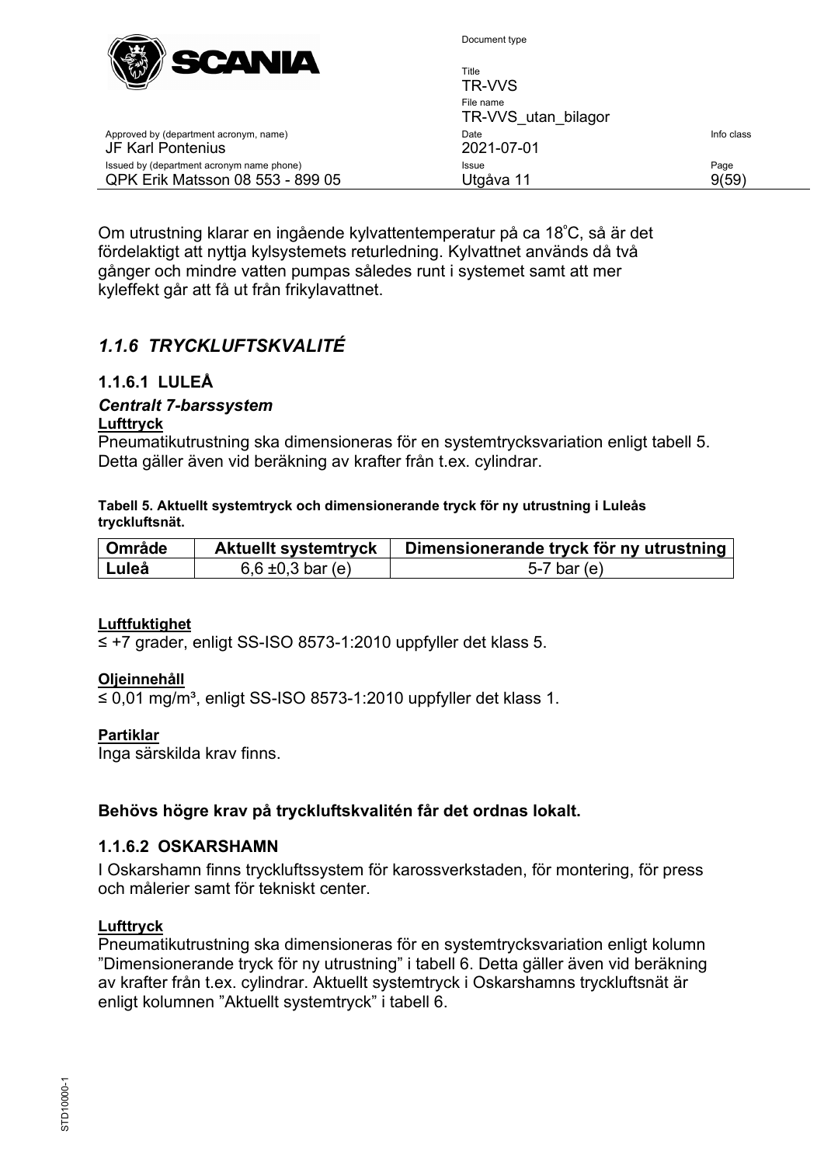

| $\mathbb{W} \mathbb{Z}$<br>-----<br>---                                       | Title<br>TR-VVS                  |               |
|-------------------------------------------------------------------------------|----------------------------------|---------------|
|                                                                               | File name<br>TR-VVS utan bilagor |               |
| Approved by (department acronym, name)<br>JF Karl Pontenius                   | Date<br>2021-07-01               | Info class    |
| Issued by (department acronym name phone)<br>QPK Erik Matsson 08 553 - 899 05 | <b>Issue</b><br>Utgåva 11        | Page<br>9(59) |

Om utrustning klarar en ingående kylvattentemperatur på ca 18º C, så är det fördelaktigt att nyttja kylsystemets returledning. Kylvattnet används då två gånger och mindre vatten pumpas således runt i systemet samt att mer kyleffekt går att få ut från frikylavattnet.

# <span id="page-8-0"></span>*1.1.6 TRYCKLUFTSKVALITÉ*

## <span id="page-8-1"></span>**1.1.6.1 LULEÅ**

# *Centralt 7-barssystem*

#### **Lufttryck**

Pneumatikutrustning ska dimensioneras för en systemtrycksvariation enligt tabell 5. Detta gäller även vid beräkning av krafter från t.ex. cylindrar.

**Tabell 5. Aktuellt systemtryck och dimensionerande tryck för ny utrustning i Luleås tryckluftsnät.**

| <sup>'</sup> Område | <b>Aktuellt systemtryck</b> | Dimensionerande tryck för ny utrustning |
|---------------------|-----------------------------|-----------------------------------------|
| ∣ Luleå             | 6,6 $\pm$ 0,3 bar (e)       | 5-7 bar $(e)$                           |

#### **Luftfuktighet**

≤ +7 grader, enligt SS-ISO 8573-1:2010 uppfyller det klass 5.

#### **Oljeinnehåll**

≤ 0,01 mg/m³, enligt SS-ISO 8573-1:2010 uppfyller det klass 1.

#### **Partiklar**

Inga särskilda krav finns.

#### **Behövs högre krav på tryckluftskvalitén får det ordnas lokalt.**

#### <span id="page-8-2"></span>**1.1.6.2 OSKARSHAMN**

I Oskarshamn finns tryckluftssystem för karossverkstaden, för montering, för press och målerier samt för tekniskt center.

#### **Lufttryck**

Pneumatikutrustning ska dimensioneras för en systemtrycksvariation enligt kolumn "Dimensionerande tryck för ny utrustning" i tabell 6. Detta gäller även vid beräkning av krafter från t.ex. cylindrar. Aktuellt systemtryck i Oskarshamns tryckluftsnät är enligt kolumnen "Aktuellt systemtryck" i tabell 6.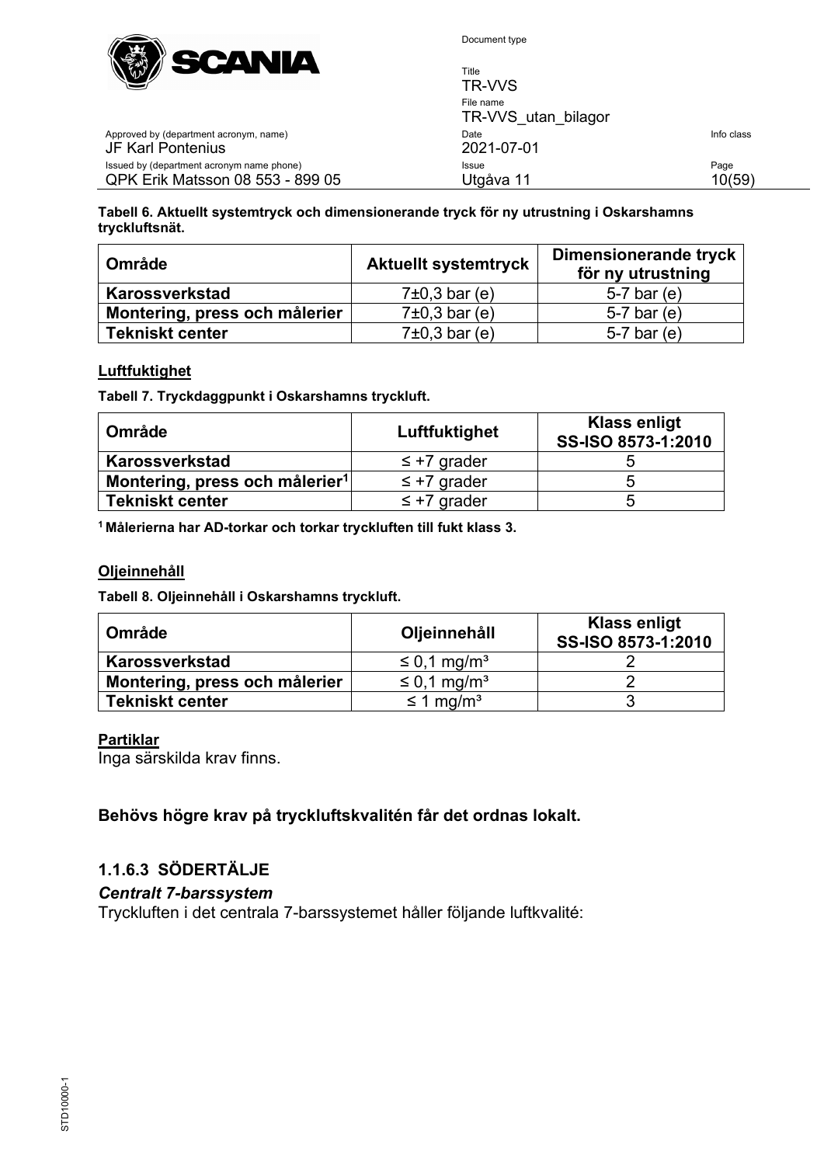

Title

| $\sum$                                                                        | TR-VVS                           |                |
|-------------------------------------------------------------------------------|----------------------------------|----------------|
|                                                                               | File name<br>TR-VVS utan bilagor |                |
| Approved by (department acronym, name)<br>JF Karl Pontenius                   | Date<br>2021-07-01               | Info class     |
| Issued by (department acronym name phone)<br>QPK Erik Matsson 08 553 - 899 05 | Issue<br>Utgåva 11               | Page<br>10(59) |

**Tabell 6. Aktuellt systemtryck och dimensionerande tryck för ny utrustning i Oskarshamns tryckluftsnät.**

| <b>Område</b>                 | <b>Aktuellt systemtryck</b> | Dimensionerande tryck<br>för ny utrustning |
|-------------------------------|-----------------------------|--------------------------------------------|
| Karossverkstad                | $7\pm0.3$ bar (e)           | 5-7 bar $(e)$                              |
| Montering, press och målerier | $7\pm0.3$ bar (e)           | 5-7 bar $(e)$                              |
| <b>Tekniskt center</b>        | $7\pm0.3$ bar (e)           | $5-7$ bar (e)                              |

#### **Luftfuktighet**

**Tabell 7. Tryckdaggpunkt i Oskarshamns tryckluft.**

| <b>Område</b>                              | Luftfuktighet    | <b>Klass enligt</b><br>SS-ISO 8573-1:2010 |
|--------------------------------------------|------------------|-------------------------------------------|
| Karossverkstad                             | $\leq$ +7 grader |                                           |
| Montering, press och målerier <sup>1</sup> | $\leq$ +7 grader |                                           |
| <b>Tekniskt center</b>                     | $\leq$ +7 grader |                                           |

**1 Målerierna har AD-torkar och torkar tryckluften till fukt klass 3.**

#### **Oljeinnehåll**

**Tabell 8. Oljeinnehåll i Oskarshamns tryckluft.**

| <b>Område</b>                 | Oljeinnehåll                 | <b>Klass enligt</b><br>SS-ISO 8573-1:2010 |
|-------------------------------|------------------------------|-------------------------------------------|
| Karossverkstad                | $\leq$ 0,1 mg/m <sup>3</sup> |                                           |
| Montering, press och målerier | $\leq$ 0,1 mg/m <sup>3</sup> |                                           |
| <b>Tekniskt center</b>        | $\leq$ 1 mg/m <sup>3</sup>   |                                           |

#### **Partiklar**

Inga särskilda krav finns.

#### **Behövs högre krav på tryckluftskvalitén får det ordnas lokalt.**

#### <span id="page-9-0"></span>**1.1.6.3 SÖDERTÄLJE**

*Centralt 7-barssystem*

Tryckluften i det centrala 7-barssystemet håller följande luftkvalité: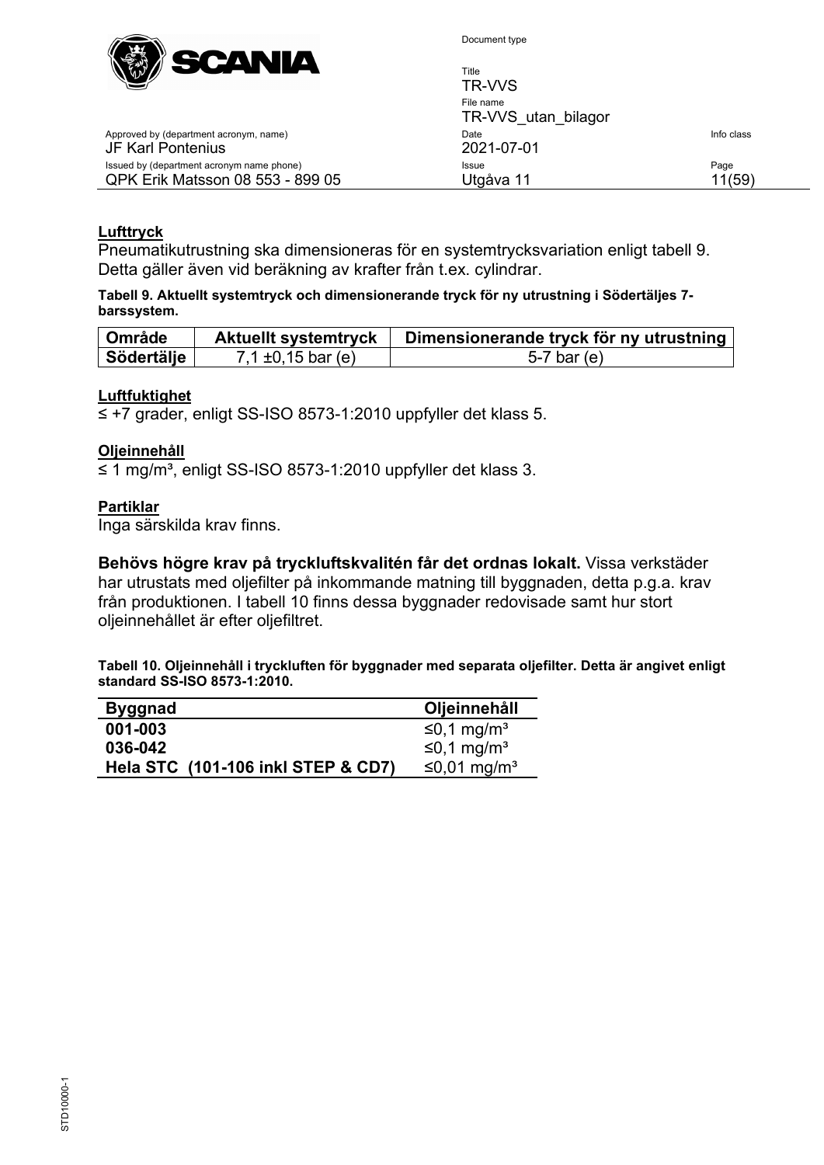

Document type

| <b>SUATTER</b><br>$\mathbb{C}^{n}$                                                   | Title<br>TR-VVS                  |                |
|--------------------------------------------------------------------------------------|----------------------------------|----------------|
|                                                                                      | File name<br>TR-VVS utan bilagor |                |
| Approved by (department acronym, name)<br>JF Karl Pontenius                          | Date<br>2021-07-01               | Info class     |
| Issued by (department acronym name phone)<br><b>QPK Erik Matsson 08 553 - 899 05</b> | Issue<br>Utqåva 11               | Page<br>11(59) |

#### **Lufttryck**

Pneumatikutrustning ska dimensioneras för en systemtrycksvariation enligt tabell 9. Detta gäller även vid beräkning av krafter från t.ex. cylindrar.

**Tabell 9. Aktuellt systemtryck och dimensionerande tryck för ny utrustning i Södertäljes 7 barssystem.**

| Område     | <b>Aktuellt systemtryck</b> | Dimensionerande tryck för ny utrustning |
|------------|-----------------------------|-----------------------------------------|
| Södertälje | 7,1 $\pm$ 0,15 bar (e)      | 5-7 bar $(e)$                           |

#### **Luftfuktighet**

≤ +7 grader, enligt SS-ISO 8573-1:2010 uppfyller det klass 5.

#### **Oljeinnehåll**

≤ 1 mg/m³, enligt SS-ISO 8573-1:2010 uppfyller det klass 3.

#### **Partiklar**

Inga särskilda krav finns.

**Behövs högre krav på tryckluftskvalitén får det ordnas lokalt.** Vissa verkstäder har utrustats med oljefilter på inkommande matning till byggnaden, detta p.g.a. krav från produktionen. I tabell 10 finns dessa byggnader redovisade samt hur stort oljeinnehållet är efter oljefiltret.

**Tabell 10. Oljeinnehåll i tryckluften för byggnader med separata oljefilter. Detta är angivet enligt standard SS-ISO 8573-1:2010.**

| <b>Byggnad</b>                     | Oljeinnehåll              |
|------------------------------------|---------------------------|
| 001-003                            | $≤0,1$ mg/m <sup>3</sup>  |
| 036-042                            | $≤0,1$ mg/m <sup>3</sup>  |
| Hela STC (101-106 inkl STEP & CD7) | $≤0,01$ mg/m <sup>3</sup> |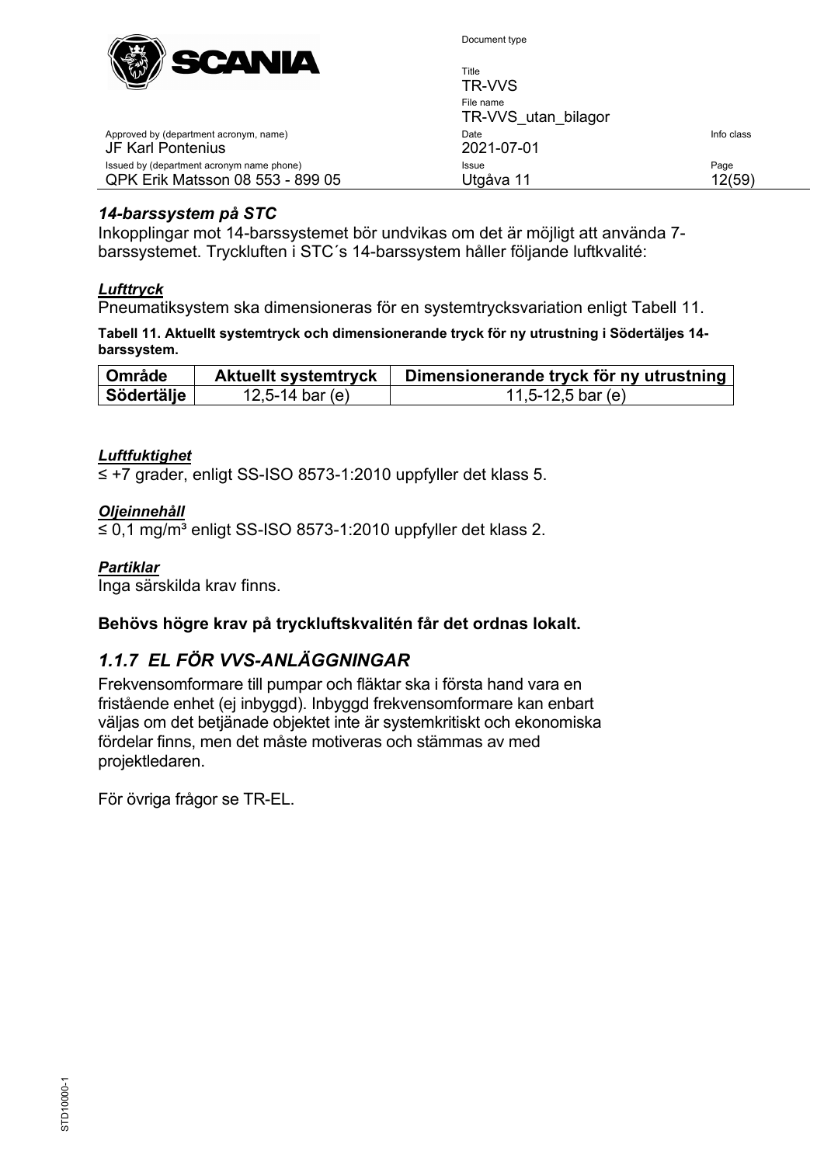

| Title | <b>TR-VVS</b>                    |                |
|-------|----------------------------------|----------------|
|       | File name<br>TR-VVS utan bilagor |                |
| Date  | 2021-07-01                       | Info class     |
|       | Issue<br>Utgåva 11               | Page<br>12(59) |

#### *14-barssystem på STC*

Approved by (department acronym, name)

Issued by (department acronym name phone) QPK Erik Matsson 08 553 - 899 05

JF Karl Pontenius

Inkopplingar mot 14-barssystemet bör undvikas om det är möjligt att använda 7 barssystemet. Tryckluften i STC´s 14-barssystem håller följande luftkvalité:

#### *Lufttryck*

Pneumatiksystem ska dimensioneras för en systemtrycksvariation enligt [Tabell 11.](#page-11-1)

<span id="page-11-1"></span>**Tabell 11. Aktuellt systemtryck och dimensionerande tryck för ny utrustning i Södertäljes 14 barssystem.**

| <b>Område</b> | <b>Aktuellt systemtryck</b> | Dimensionerande tryck för ny utrustning |  |  |  |
|---------------|-----------------------------|-----------------------------------------|--|--|--|
| Södertälje    | 12,5-14 bar (e)             | 11,5-12,5 bar (e)                       |  |  |  |

#### *Luftfuktighet*

≤ +7 grader, enligt SS-ISO 8573-1:2010 uppfyller det klass 5.

#### *Oljeinnehåll*

≤ 0,1 mg/m<sup>3</sup> enligt SS-ISO 8573-1:2010 uppfyller det klass 2.

#### *Partiklar*

Inga särskilda krav finns.

#### **Behövs högre krav på tryckluftskvalitén får det ordnas lokalt.**

#### <span id="page-11-0"></span>*1.1.7 EL FÖR VVS-ANLÄGGNINGAR*

Frekvensomformare till pumpar och fläktar ska i första hand vara en fristående enhet (ej inbyggd). Inbyggd frekvensomformare kan enbart väljas om det betjänade objektet inte är systemkritiskt och ekonomiska fördelar finns, men det måste motiveras och stämmas av med projektledaren.

<span id="page-11-2"></span>För övriga frågor se TR-EL.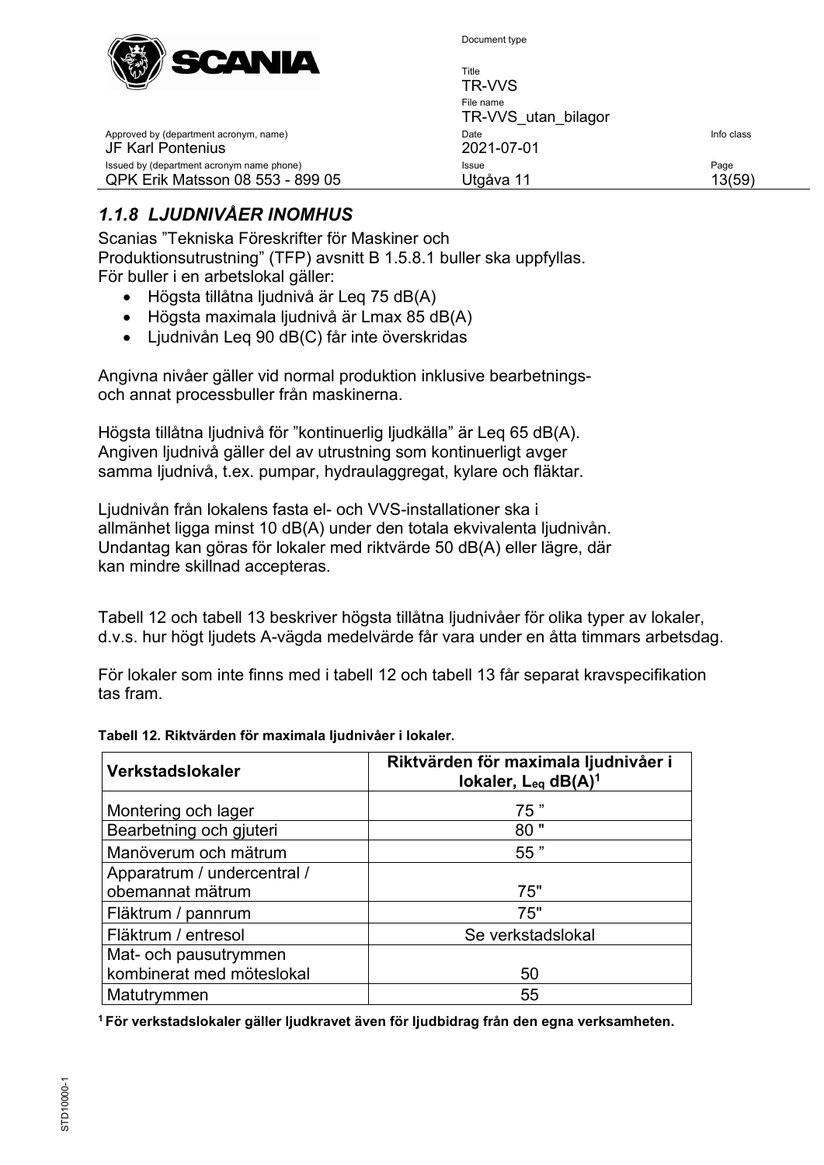

Title

| $W^{V}V$                                                                      | .<br>TR-VVS                      |                |
|-------------------------------------------------------------------------------|----------------------------------|----------------|
|                                                                               | File name<br>TR-VVS utan bilagor |                |
| Approved by (department acronym, name)<br>JF Karl Pontenius                   | Date<br>2021-07-01               | Info class     |
| Issued by (department acronym name phone)<br>QPK Erik Matsson 08 553 - 899 05 | Issue<br>Utgåva 11               | Page<br>13(59) |
|                                                                               |                                  |                |

# <span id="page-12-0"></span>*1.1.8 LJUDNIVÅER INOMHUS*

Scanias "Tekniska Föreskrifter för Maskiner och Produktionsutrustning" (TFP) avsnitt B 1.5.8.1 buller ska uppfyllas. För buller i en arbetslokal gäller:

- Högsta tillåtna ljudnivå är Leq 75 dB(A)
- Högsta maximala ljudnivå är Lmax 85 dB(A)
- Ljudnivån Leq 90 dB(C) får inte överskridas

Angivna nivåer gäller vid normal produktion inklusive bearbetningsoch annat processbuller från maskinerna.

Högsta tillåtna ljudnivå för "kontinuerlig ljudkälla" är Leq 65 dB(A). Angiven ljudnivå gäller del av utrustning som kontinuerligt avger samma ljudnivå, t.ex. pumpar, hydraulaggregat, kylare och fläktar.

Ljudnivån från lokalens fasta el- och VVS-installationer ska i allmänhet ligga minst 10 dB(A) under den totala ekvivalenta ljudnivån. Undantag kan göras för lokaler med riktvärde 50 dB(A) eller lägre, där [kan mindre skillnad accepteras.](#page-12-1) 

[Tabell 12](#page-12-1) och tabell 13 beskriver högsta tillåtna ljudnivåer för olika typer av lokaler, d.v.s. hur högt ljudets A-vägda medelvärde får vara under en åtta timmars arbetsdag.

<span id="page-12-1"></span>För lokaler som inte finns med i tabell 12 och tabell 13 får separat kravspecifikation tas fram.

| <b>Verkstadslokaler</b>     | Riktvärden för maximala ljudnivåer i<br>lokaler, Leq dB(A) <sup>1</sup> |  |  |
|-----------------------------|-------------------------------------------------------------------------|--|--|
| Montering och lager         | 75"                                                                     |  |  |
| Bearbetning och gjuteri     | 80"                                                                     |  |  |
| Manöverum och mätrum        | 55"                                                                     |  |  |
| Apparatrum / undercentral / |                                                                         |  |  |
| obemannat mätrum            | 75"                                                                     |  |  |
| Fläktrum / pannrum          | 75"                                                                     |  |  |
| Fläktrum / entresol         | Se verkstadslokal                                                       |  |  |
| Mat- och pausutrymmen       |                                                                         |  |  |
| kombinerat med möteslokal   | 50                                                                      |  |  |
| Matutrymmen                 | 55                                                                      |  |  |

#### **Tabell 12. Riktvärden för maximala ljudnivåer i lokaler.**

**1 För verkstadslokaler gäller ljudkravet även för ljudbidrag från den egna verksamheten.**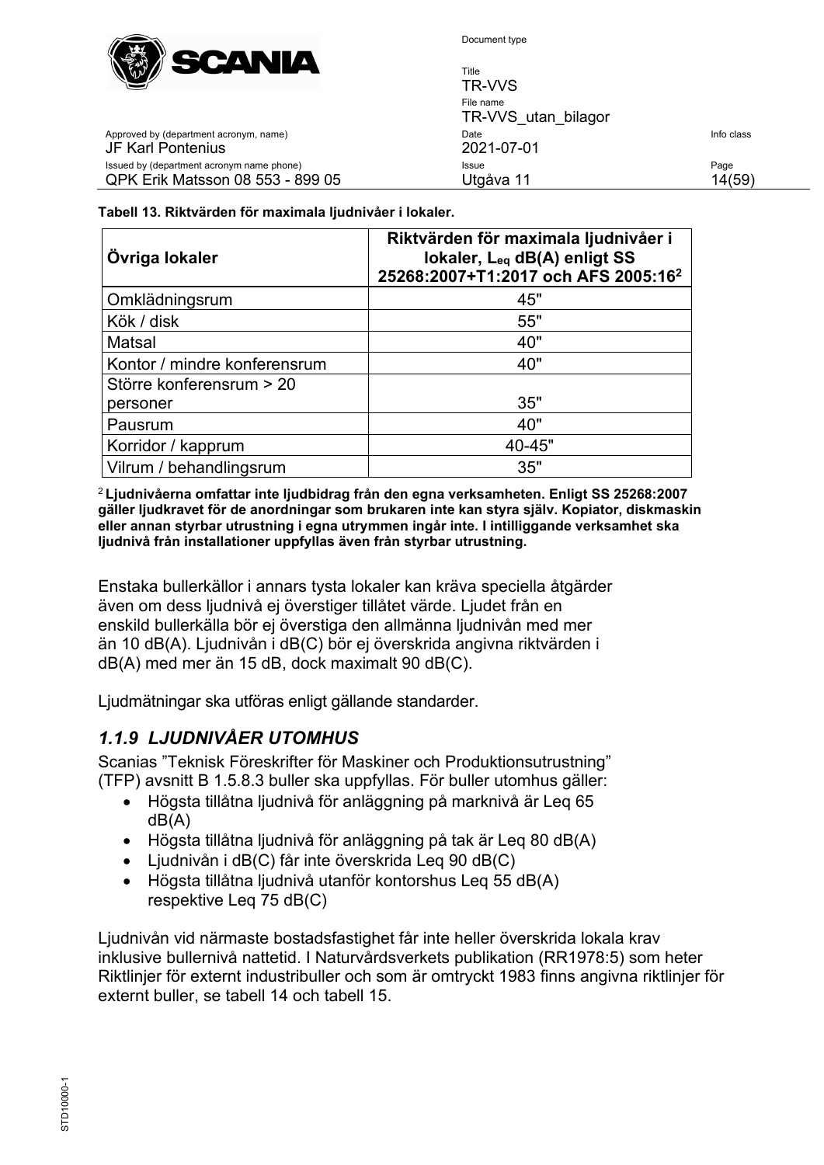

Title TR-VVS File name TR-VVS utan\_bilagor Approved by (department acronym, name) and the United State Info class of the United State Info class Issued by (department acronym name phone) **Issue Issue Issue Page** QPK Erik Matsson 08 553 - 899 05 Utgåva 11 14(59)

JF Karl Pontenius 2021-07-01

#### **Tabell 13. Riktvärden för maximala ljudnivåer i lokaler.**

| Övriga lokaler               | Riktvärden för maximala ljudnivåer i<br>lokaler, Leq dB(A) enligt SS<br>25268:2007+T1:2017 och AFS 2005:16 <sup>2</sup> |  |  |  |
|------------------------------|-------------------------------------------------------------------------------------------------------------------------|--|--|--|
| Omklädningsrum               | 45"                                                                                                                     |  |  |  |
| Kök / disk                   | 55"                                                                                                                     |  |  |  |
| Matsal                       | 40"                                                                                                                     |  |  |  |
| Kontor / mindre konferensrum | 40"                                                                                                                     |  |  |  |
| Större konferensrum > 20     |                                                                                                                         |  |  |  |
| personer                     | 35"                                                                                                                     |  |  |  |
| Pausrum                      | 40"                                                                                                                     |  |  |  |
| Korridor / kapprum           | 40-45"                                                                                                                  |  |  |  |
| Vilrum / behandlingsrum      | 35"                                                                                                                     |  |  |  |

<sup>2</sup>**Ljudnivåerna omfattar inte ljudbidrag från den egna verksamheten. Enligt SS 25268:2007 gäller ljudkravet för de anordningar som brukaren inte kan styra själv. Kopiator, diskmaskin eller annan styrbar utrustning i egna utrymmen ingår inte. I intilliggande verksamhet ska ljudnivå från installationer uppfyllas även från styrbar utrustning.**

Enstaka bullerkällor i annars tysta lokaler kan kräva speciella åtgärder även om dess ljudnivå ej överstiger tillåtet värde. Ljudet från en enskild bullerkälla bör ej överstiga den allmänna ljudnivån med mer än 10 dB(A). Ljudnivån i dB(C) bör ej överskrida angivna riktvärden i dB(A) med mer än 15 dB, dock maximalt 90 dB(C).

Ljudmätningar ska utföras enligt gällande standarder.

# <span id="page-13-0"></span>*1.1.9 LJUDNIVÅER UTOMHUS*

Scanias "Teknisk Föreskrifter för Maskiner och Produktionsutrustning" (TFP) avsnitt B 1.5.8.3 buller ska uppfyllas. För buller utomhus gäller:

- Högsta tillåtna ljudnivå för anläggning på marknivå är Leq 65 dB(A)
- Högsta tillåtna ljudnivå för anläggning på tak är Leq 80 dB(A)
- Ljudnivån i dB(C) får inte överskrida Leq 90 dB(C)
- Högsta tillåtna ljudnivå utanför kontorshus Leq 55 dB(A) respektive Leq 75 dB(C)

Ljudnivån vid närmaste bostadsfastighet får inte heller överskrida lokala krav inklusive bullernivå nattetid. I Naturvårdsverkets publikation (RR1978:5) som heter Riktlinjer för externt industribuller och som är omtryckt 1983 finns angivna riktlinjer för externt buller, se tabell 14 och tabell 15.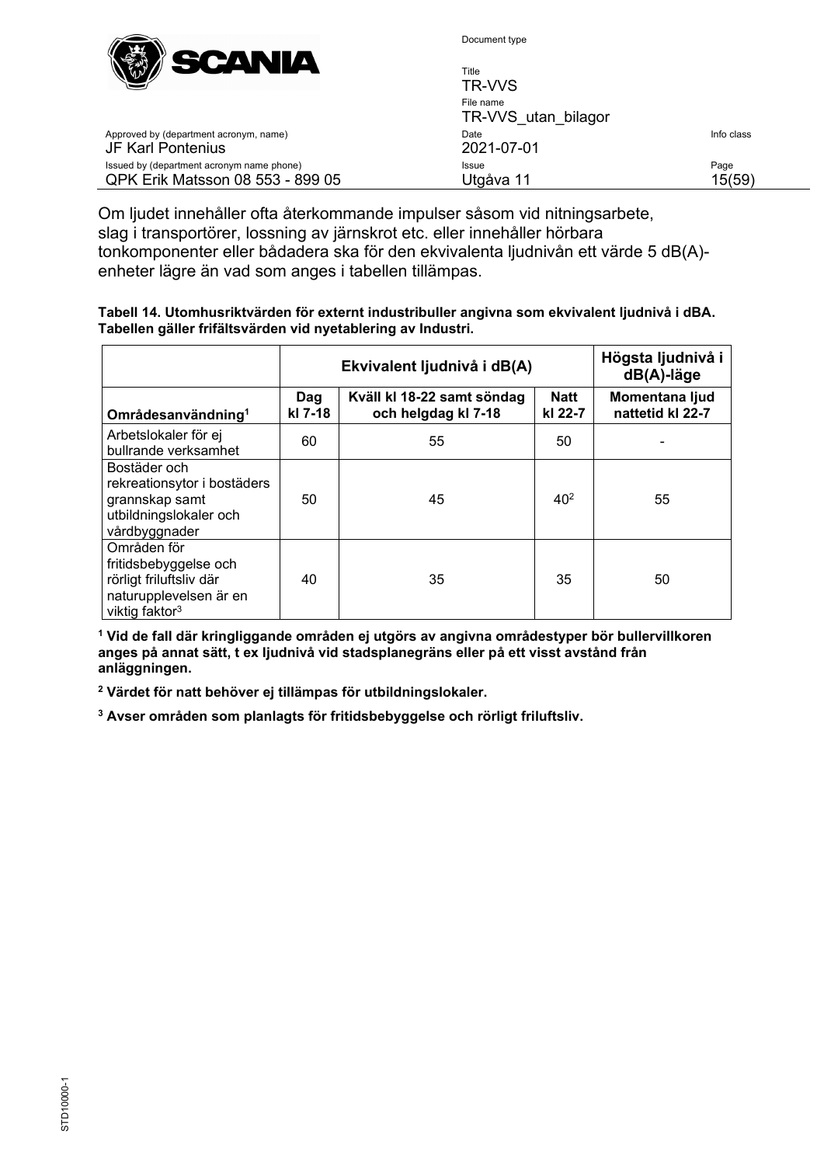

| $\mathbb{C}$ and $\mathbb{C}$                                                 | Title<br>TR-VVS                  |                |
|-------------------------------------------------------------------------------|----------------------------------|----------------|
|                                                                               | File name<br>TR-VVS utan bilagor |                |
| Approved by (department acronym, name)<br>JF Karl Pontenius                   | Date<br>2021-07-01               | Info class     |
| Issued by (department acronym name phone)<br>QPK Erik Matsson 08 553 - 899 05 | Issue<br>Utgåva 11               | Page<br>15(59) |

Om ljudet innehåller ofta återkommande impulser såsom vid nitningsarbete, slag i transportörer, lossning av järnskrot etc. eller innehåller hörbara tonkomponenter eller bådadera ska för den ekvivalenta ljudnivån ett värde 5 dB(A) enheter lägre än vad som anges i tabellen tillämpas.

| Tabell 14. Utomhusriktvärden för externt industribuller angivna som ekvivalent ljudnivå i dBA. |
|------------------------------------------------------------------------------------------------|
| Tabellen gäller frifältsvärden vid nyetablering av Industri.                                   |

|                                                                                                                         |                                                                                               | Ekvivalent ljudnivå i dB(A) | Högsta ljudnivå i<br>$dB(A)$ -läge |                                    |
|-------------------------------------------------------------------------------------------------------------------------|-----------------------------------------------------------------------------------------------|-----------------------------|------------------------------------|------------------------------------|
| Områdesanvändning <sup>1</sup>                                                                                          | <b>Natt</b><br>Kväll kl 18-22 samt söndag<br>Dag<br>kl 7-18<br>och helgdag kl 7-18<br>kl 22-7 |                             |                                    | Momentana ljud<br>nattetid kl 22-7 |
| Arbetslokaler för ej<br>bullrande verksamhet                                                                            | 60                                                                                            | 55                          | 50                                 |                                    |
| Bostäder och<br>rekreationsytor i bostäders<br>grannskap samt<br>utbildningslokaler och<br>vårdbyggnader                | 50                                                                                            | 45                          | 40 <sup>2</sup>                    | 55                                 |
| Områden för<br>fritidsbebyggelse och<br>rörligt friluftsliv där<br>naturupplevelsen är en<br>viktig faktor <sup>3</sup> | 40                                                                                            | 35                          | 35                                 | 50                                 |

**<sup>1</sup> Vid de fall där kringliggande områden ej utgörs av angivna områdestyper bör bullervillkoren anges på annat sätt, t ex ljudnivå vid stadsplanegräns eller på ett visst avstånd från anläggningen.**

**<sup>2</sup> Värdet för natt behöver ej tillämpas för utbildningslokaler.**

**<sup>3</sup> Avser områden som planlagts för fritidsbebyggelse och rörligt friluftsliv.**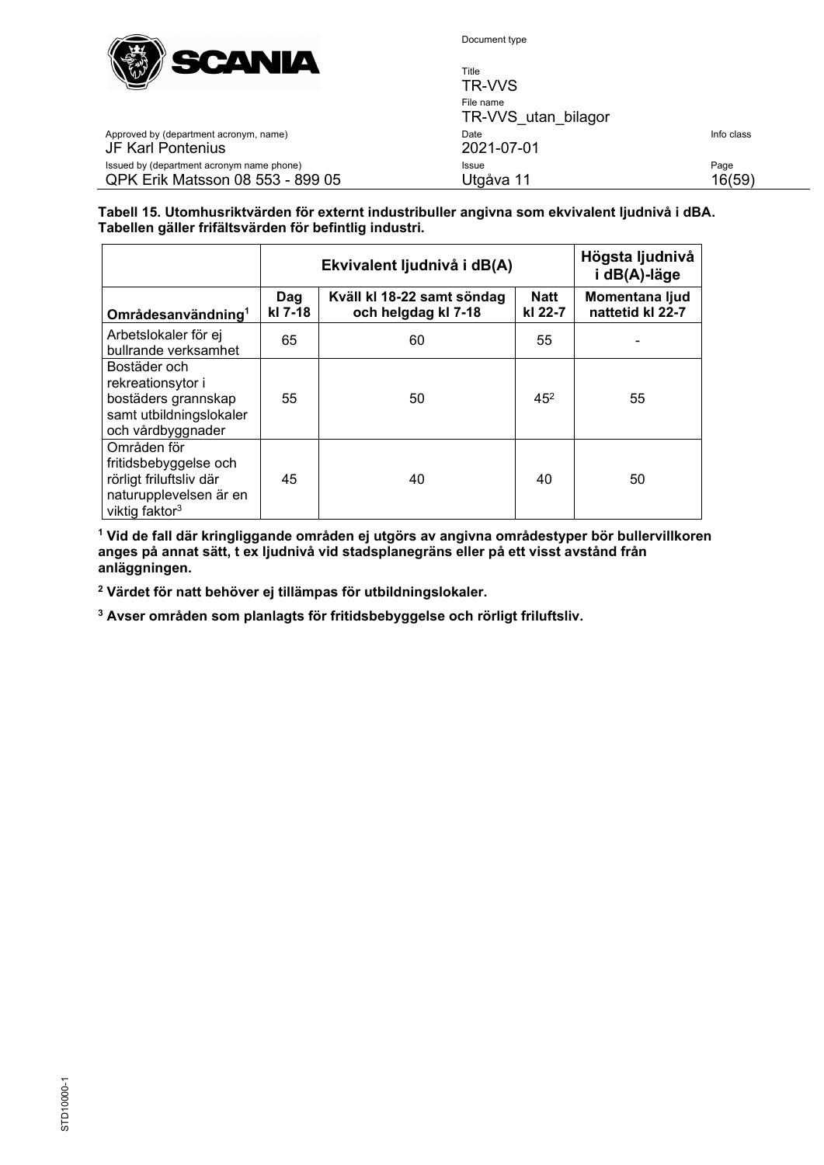

Title

| $\mathbf{v}$                                                                  | TR-VVS                           |                |
|-------------------------------------------------------------------------------|----------------------------------|----------------|
|                                                                               | File name<br>TR-VVS utan bilagor |                |
| Approved by (department acronym, name)<br><b>JF Karl Pontenius</b>            | Date<br>2021-07-01               | Info class     |
| Issued by (department acronym name phone)<br>QPK Erik Matsson 08 553 - 899 05 | <b>Issue</b><br>Utgåva 11        | Page<br>16(59) |
|                                                                               |                                  |                |

#### **Tabell 15. Utomhusriktvärden för externt industribuller angivna som ekvivalent ljudnivå i dBA. Tabellen gäller frifältsvärden för befintlig industri.**

|                                                                                                                         |                                                                     | Ekvivalent ljudnivå i dB(A) | Högsta ljudnivå<br>i dB(A)-läge |                                    |  |
|-------------------------------------------------------------------------------------------------------------------------|---------------------------------------------------------------------|-----------------------------|---------------------------------|------------------------------------|--|
| Områdesanvändning <sup>1</sup>                                                                                          | Kväll kl 18-22 samt söndag<br>Dag<br>kl 7-18<br>och helgdag kl 7-18 |                             | <b>Natt</b><br>kl 22-7          | Momentana ljud<br>nattetid kl 22-7 |  |
| Arbetslokaler för ej<br>bullrande verksamhet                                                                            | 65                                                                  | 60                          | 55                              |                                    |  |
| Bostäder och<br>rekreationsytor i<br>bostäders grannskap<br>samt utbildningslokaler<br>och vårdbyggnader                | 55                                                                  | 50                          | $45^{2}$                        | 55                                 |  |
| Områden för<br>fritidsbebyggelse och<br>rörligt friluftsliv där<br>naturupplevelsen är en<br>viktig faktor <sup>3</sup> | 45                                                                  | 40                          | 40                              | 50                                 |  |

**<sup>1</sup> Vid de fall där kringliggande områden ej utgörs av angivna områdestyper bör bullervillkoren anges på annat sätt, t ex ljudnivå vid stadsplanegräns eller på ett visst avstånd från anläggningen.**

**<sup>2</sup> Värdet för natt behöver ej tillämpas för utbildningslokaler.**

**<sup>3</sup> Avser områden som planlagts för fritidsbebyggelse och rörligt friluftsliv.**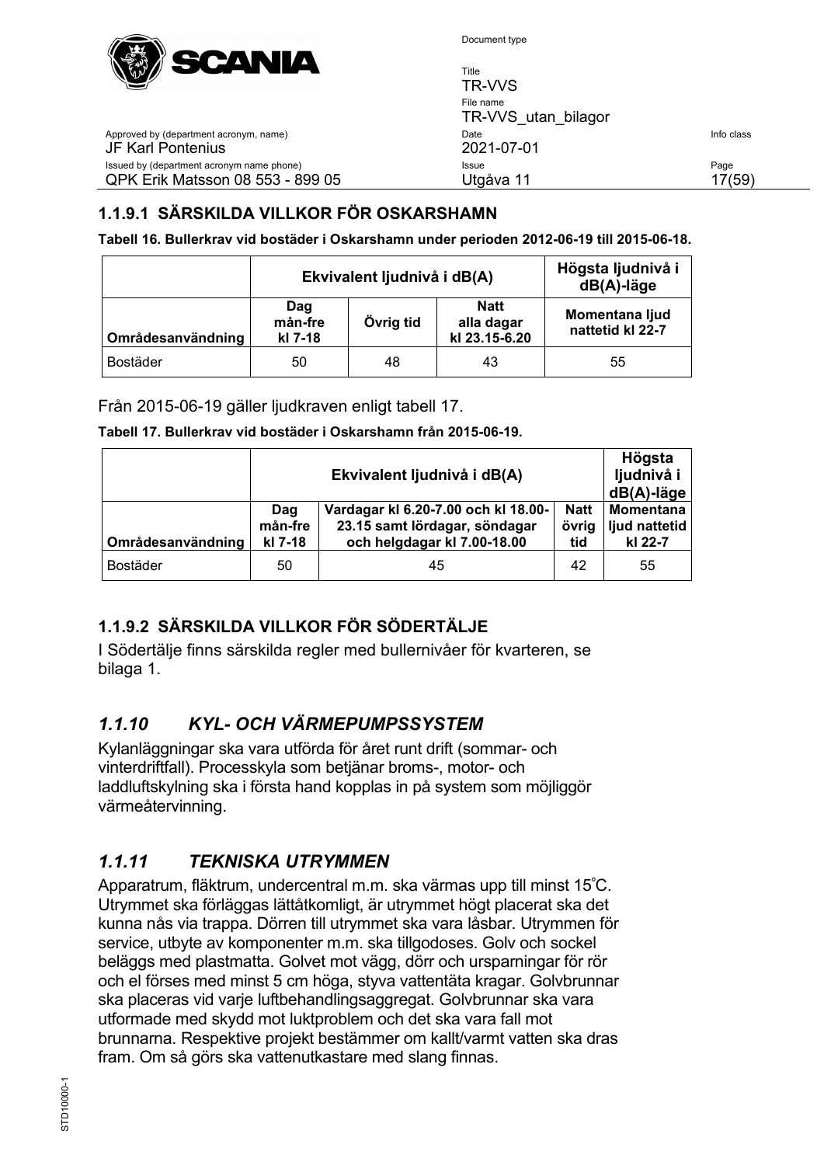

Title TR-VVS File name TR-VVS\_utan\_bilagor Approved by (department acronym, name) and the United State Info class of the United State Info class JF Karl Pontenius 2021-07-01 Issued by (department acronym name phone) and the extra state of the Issue Page Page Page Page QPK Erik Matsson 08 553 - 899 05 Utgåva 11 17(59)

# <span id="page-16-0"></span>**1.1.9.1 SÄRSKILDA VILLKOR FÖR OSKARSHAMN**

**Tabell 16. Bullerkrav vid bostäder i Oskarshamn under perioden 2012-06-19 till 2015-06-18.**

|                   | Ekvivalent ljudnivå i dB(A) | Högsta ljudnivå i<br>$dB(A)$ -läge |    |    |
|-------------------|-----------------------------|------------------------------------|----|----|
| Områdesanvändning | Dag<br>mån-fre<br>kl 7-18   | Momentana ljud<br>nattetid kl 22-7 |    |    |
| Bostäder          | 50                          | 48                                 | 43 | 55 |

Från 2015-06-19 gäller ljudkraven enligt tabell 17.

#### **Tabell 17. Bullerkrav vid bostäder i Oskarshamn från 2015-06-19.**

|                   |                           | Högsta<br>ljudnivå i<br>$dB(A)$ -läge                                                               |                             |                                              |
|-------------------|---------------------------|-----------------------------------------------------------------------------------------------------|-----------------------------|----------------------------------------------|
| Områdesanvändning | Dag<br>mån-fre<br>kl 7-18 | Vardagar kl 6.20-7.00 och kl 18.00-<br>23.15 samt lördagar, söndagar<br>och helgdagar kl 7.00-18.00 | <b>Natt</b><br>övrig<br>tid | <b>Momentana</b><br>ljud nattetid<br>kl 22-7 |
| <b>Bostäder</b>   | 50                        | 45                                                                                                  | 42                          | 55                                           |

# <span id="page-16-1"></span>**1.1.9.2 SÄRSKILDA VILLKOR FÖR SÖDERTÄLJE**

I Södertälje finns särskilda regler med bullernivåer för kvarteren, se bilaga 1.

# <span id="page-16-2"></span>*1.1.10 KYL- OCH VÄRMEPUMPSSYSTEM*

Kylanläggningar ska vara utförda för året runt drift (sommar- och vinterdriftfall). Processkyla som betjänar broms-, motor- och laddluftskylning ska i första hand kopplas in på system som möjliggör värmeåtervinning.

# <span id="page-16-3"></span>*1.1.11 TEKNISKA UTRYMMEN*

Apparatrum, fläktrum, undercentral m.m. ska värmas upp till minst 15º C. Utrymmet ska förläggas lättåtkomligt, är utrymmet högt placerat ska det kunna nås via trappa. Dörren till utrymmet ska vara låsbar. Utrymmen för service, utbyte av komponenter m.m. ska tillgodoses. Golv och sockel beläggs med plastmatta. Golvet mot vägg, dörr och ursparningar för rör och el förses med minst 5 cm höga, styva vattentäta kragar. Golvbrunnar ska placeras vid varje luftbehandlingsaggregat. Golvbrunnar ska vara utformade med skydd mot luktproblem och det ska vara fall mot brunnarna. Respektive projekt bestämmer om kallt/varmt vatten ska dras fram. Om så görs ska vattenutkastare med slang finnas.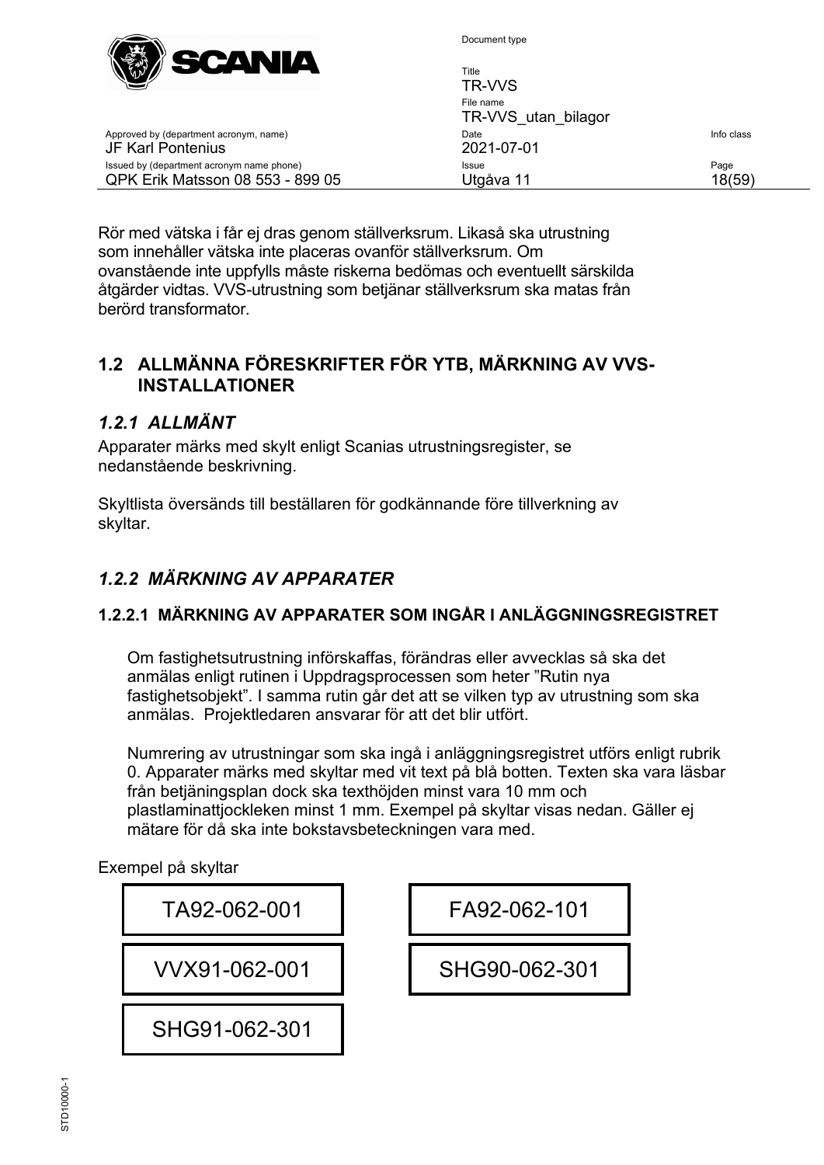

| $\mathbb{W} \mathbb{Z}$<br>_____<br>---                                       | Title<br>TR-VVS                  |                |
|-------------------------------------------------------------------------------|----------------------------------|----------------|
|                                                                               | File name<br>TR-VVS utan bilagor |                |
| Approved by (department acronym, name)<br>JF Karl Pontenius                   | Date<br>2021-07-01               | Info class     |
| Issued by (department acronym name phone)<br>QPK Erik Matsson 08 553 - 899 05 | Issue<br>Utgåva 11               | Page<br>18(59) |

Rör med vätska i får ej dras genom ställverksrum. Likaså ska utrustning som innehåller vätska inte placeras ovanför ställverksrum. Om ovanstående inte uppfylls måste riskerna bedömas och eventuellt särskilda åtgärder vidtas. VVS-utrustning som betjänar ställverksrum ska matas från berörd transformator.

# <span id="page-17-0"></span>**1.2 ALLMÄNNA FÖRESKRIFTER FÖR YTB, MÄRKNING AV VVS-INSTALLATIONER**

## <span id="page-17-1"></span>*1.2.1 ALLMÄNT*

Apparater märks med skylt enligt Scanias utrustningsregister, se nedanstående beskrivning.

Skyltlista översänds till beställaren för godkännande före tillverkning av skyltar.

# <span id="page-17-2"></span>*1.2.2 MÄRKNING AV APPARATER*

#### <span id="page-17-3"></span>**1.2.2.1 MÄRKNING AV APPARATER SOM INGÅR I ANLÄGGNINGSREGISTRET**

Om fastighetsutrustning införskaffas, förändras eller avvecklas så ska det anmälas enligt rutinen i Uppdragsprocessen som heter "Rutin nya fastighetsobjekt". I samma rutin går det att se vilken typ av utrustning som ska anmälas. Projektledaren ansvarar för att det blir utfört.

Numrering av utrustningar som ska ingå i anläggningsregistret utförs enligt rubrik [0.](#page-18-2) Apparater märks med skyltar med vit text på blå botten. Texten ska vara läsbar från betjäningsplan dock ska texthöjden minst vara 10 mm och plastlaminattjockleken minst 1 mm. Exempel på skyltar visas nedan. Gäller ej mätare för då ska inte bokstavsbeteckningen vara med.

Exempel på skyltar

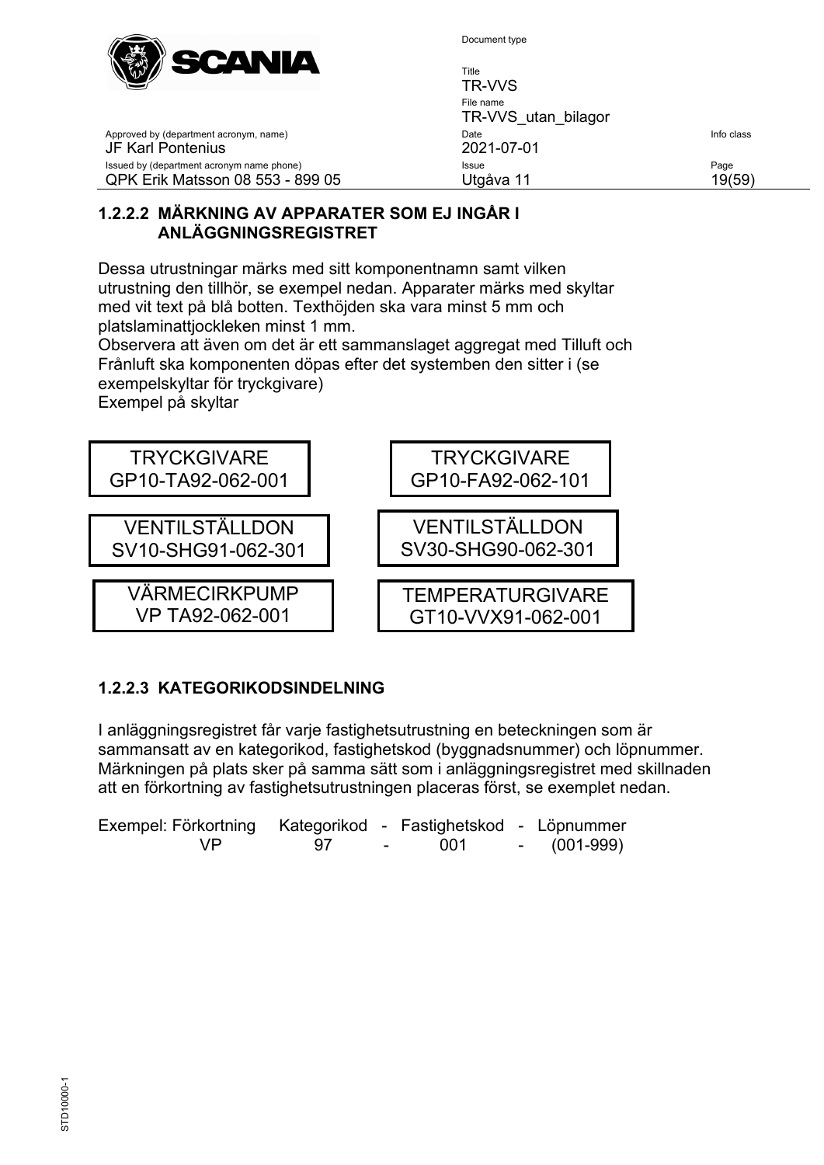

Title TR-VVS File name TR-VVS utan bilagor Approved by (department acronym, name) and the United State Info class of the United State Info class JF Karl Pontenius 2021-07-01 Issued by (department acronym name phone) **Issue** Issue **Issue** Page QPK Erik Matsson 08 553 - 899 05 Utgåva 11 19(59)

#### <span id="page-18-0"></span>**1.2.2.2 MÄRKNING AV APPARATER SOM EJ INGÅR I ANLÄGGNINGSREGISTRET**

Dessa utrustningar märks med sitt komponentnamn samt vilken utrustning den tillhör, se exempel nedan. Apparater märks med skyltar med vit text på blå botten. Texthöjden ska vara minst 5 mm och platslaminattjockleken minst 1 mm.

Observera att även om det är ett sammanslaget aggregat med Tilluft och Frånluft ska komponenten döpas efter det systemben den sitter i (se exempelskyltar för tryckgivare)

Exempel på skyltar



# <span id="page-18-2"></span><span id="page-18-1"></span>**1.2.2.3 KATEGORIKODSINDELNING**

I anläggningsregistret får varje fastighetsutrustning en beteckningen som är sammansatt av en kategorikod, fastighetskod (byggnadsnummer) och löpnummer. Märkningen på plats sker på samma sätt som i anläggningsregistret med skillnaden att en förkortning av fastighetsutrustningen placeras först, se exemplet nedan.

| Exempel: Förkortning Kategorikod - Fastighetskod - Löpnummer |      |       |             |
|--------------------------------------------------------------|------|-------|-------------|
| VP.                                                          | - 97 | - 001 | - (001-999) |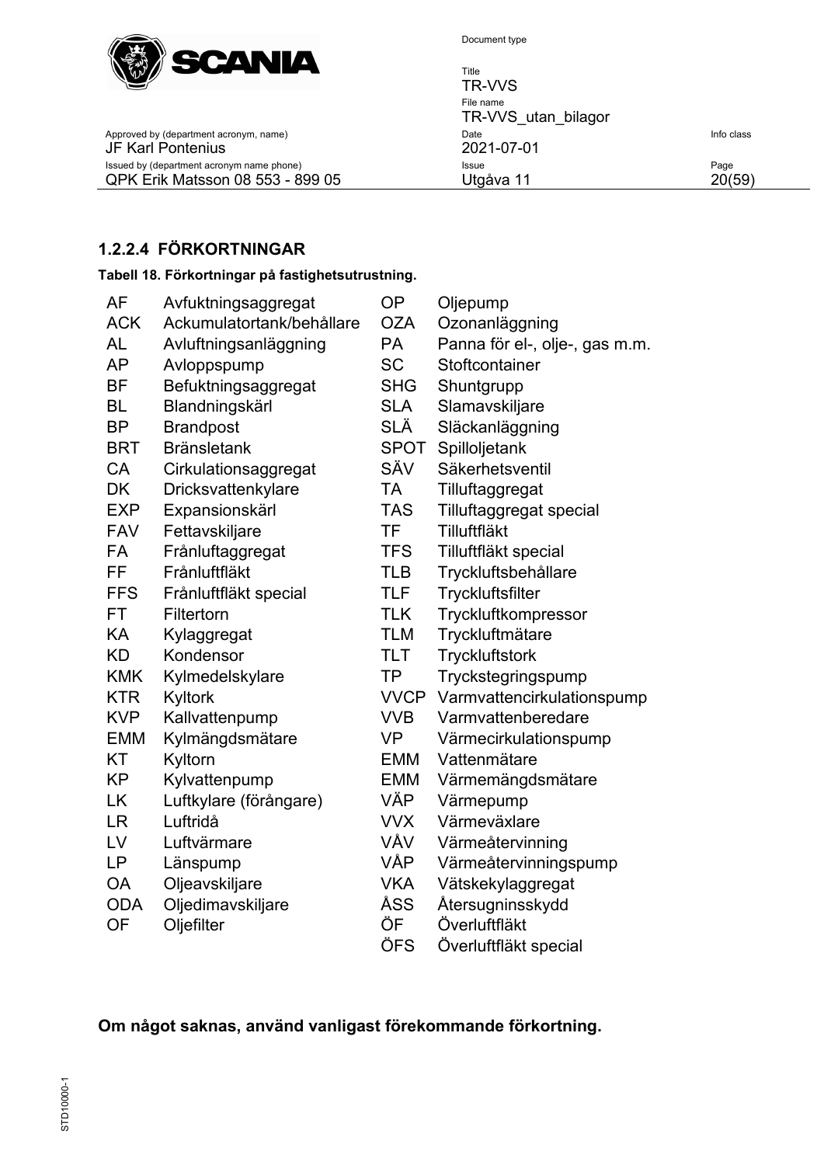

Title TR-VVS File name TR-VVS\_utan\_bilagor Approved by (department acronym, name) Date Theory Date Theory Date Info class<br>
2021-07-01 Issued by (department acronym name phone) Issue Page QPK Erik Matsson 08 553 - 899 05 Utgåva 11

<span id="page-19-0"></span>**1.2.2.4 FÖRKORTNINGAR**

JF Karl Pontenius

**Tabell 18. Förkortningar på fastighetsutrustning.**

| AF         | Avfuktningsaggregat       | OP          | Oljepump                       |
|------------|---------------------------|-------------|--------------------------------|
| <b>ACK</b> | Ackumulatortank/behållare | <b>OZA</b>  | Ozonanläggning                 |
| <b>AL</b>  | Avluftningsanläggning     | PA          | Panna för el-, olje-, gas m.m. |
| <b>AP</b>  | Avloppspump               | <b>SC</b>   | Stoftcontainer                 |
| <b>BF</b>  | Befuktningsaggregat       | <b>SHG</b>  | Shuntgrupp                     |
| <b>BL</b>  | Blandningskärl            | <b>SLA</b>  | Slamavskiljare                 |
| <b>BP</b>  | <b>Brandpost</b>          | SLÄ         | Släckanläggning                |
| <b>BRT</b> | <b>Bränsletank</b>        | SPOT        | Spilloljetank                  |
| CA         | Cirkulationsaggregat      | SÄV         | Säkerhetsventil                |
| <b>DK</b>  | Dricksvattenkylare        | <b>TA</b>   | Tilluftaggregat                |
| <b>EXP</b> | Expansionskärl            | <b>TAS</b>  | Tilluftaggregat special        |
| <b>FAV</b> | Fettavskiljare            | <b>TF</b>   | Tilluftfläkt                   |
| <b>FA</b>  | Frånluftaggregat          | <b>TFS</b>  | Tilluftfläkt special           |
| FF         | Frånluftfläkt             | <b>TLB</b>  | Tryckluftsbehållare            |
| <b>FFS</b> | Frånluftfläkt special     | <b>TLF</b>  | Tryckluftsfilter               |
| <b>FT</b>  | Filtertorn                | <b>TLK</b>  | Tryckluftkompressor            |
| KA         | Kylaggregat               | <b>TLM</b>  | Tryckluftmätare                |
| <b>KD</b>  | Kondensor                 | <b>TLT</b>  | <b>Tryckluftstork</b>          |
| <b>KMK</b> | Kylmedelskylare           | <b>TP</b>   | Tryckstegringspump             |
| <b>KTR</b> | Kyltork                   | <b>VVCP</b> | Varmvattencirkulationspump     |
| <b>KVP</b> | Kallvattenpump            | <b>VVB</b>  | Varmvattenberedare             |
| <b>EMM</b> | Kylmängdsmätare           | <b>VP</b>   | Värmecirkulationspump          |
| <b>KT</b>  | Kyltorn                   | <b>EMM</b>  | Vattenmätare                   |
| <b>KP</b>  | Kylvattenpump             | EMM         | Värmemängdsmätare              |
| <b>LK</b>  | Luftkylare (förångare)    | VÄP         | Värmepump                      |
| <b>LR</b>  | Luftridå                  | <b>VVX</b>  | Värmeväxlare                   |
| LV         | Luftvärmare               | VÅV         | Värmeåtervinning               |
| <b>LP</b>  | Länspump                  | <b>VÅP</b>  | Värmeåtervinningspump          |
| <b>OA</b>  | Oljeavskiljare            | <b>VKA</b>  | Vätskekylaggregat              |
| <b>ODA</b> | Oljedimavskiljare         | ÅSS         | Återsugninsskydd               |
| <b>OF</b>  | Oljefilter                | ÖF          | Överluftfläkt                  |
|            |                           | ÖFS         | Överluftfläkt special          |

**Om något saknas, använd vanligast förekommande förkortning.**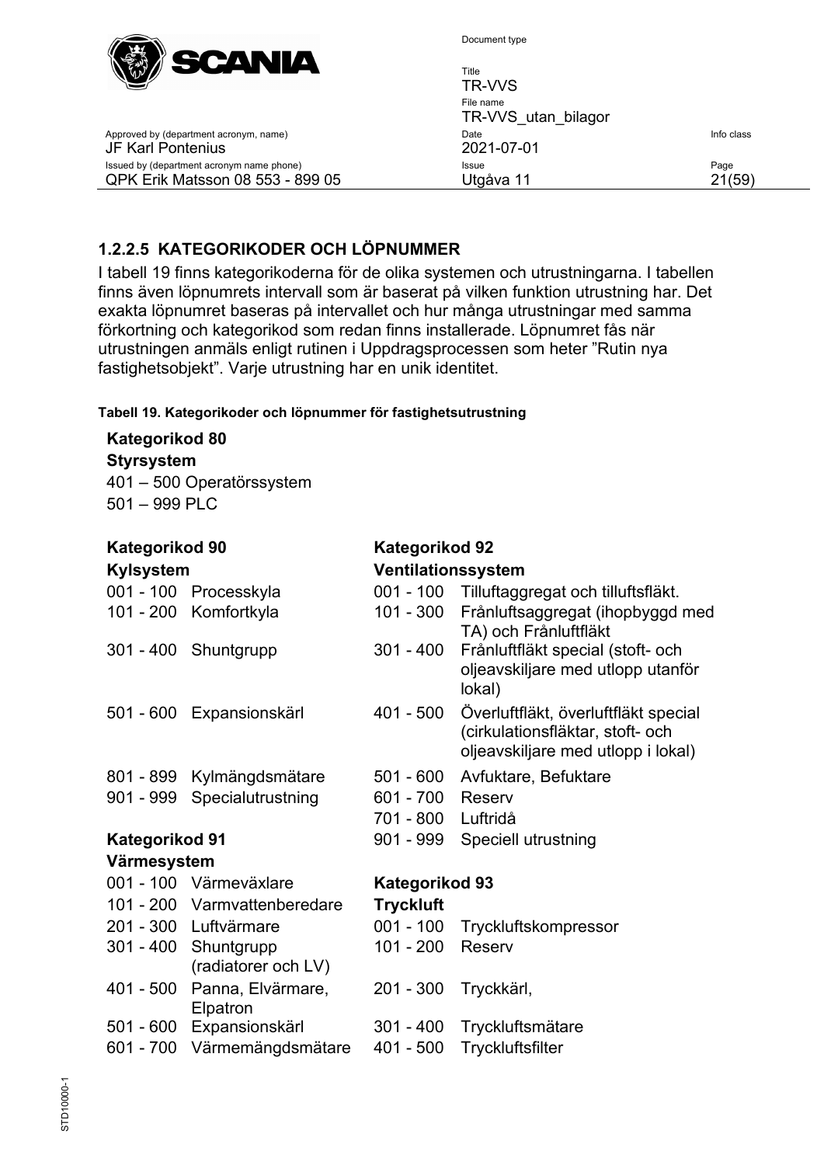

Document type

| SCAWIA                                                                        | Title<br>TR-VVS                  |                |
|-------------------------------------------------------------------------------|----------------------------------|----------------|
|                                                                               | File name<br>TR-VVS utan bilagor |                |
| Approved by (department acronym, name)<br>JF Karl Pontenius                   | Date<br>2021-07-01               | Info class     |
| Issued by (department acronym name phone)<br>QPK Erik Matsson 08 553 - 899 05 | <b>Issue</b><br>Utgåva 11        | Page<br>21(59) |

## <span id="page-20-0"></span>**1.2.2.5 KATEGORIKODER OCH LÖPNUMMER**

I tabell 19 finns kategorikoderna för de olika systemen och utrustningarna. I tabellen finns även löpnumrets intervall som är baserat på vilken funktion utrustning har. Det exakta löpnumret baseras på intervallet och hur många utrustningar med samma förkortning och kategorikod som redan finns installerade. Löpnumret fås när utrustningen anmäls enligt rutinen i Uppdragsprocessen som heter "Rutin nya fastighetsobjekt". Varje utrustning har en unik identitet.

#### **Tabell 19. Kategorikoder och löpnummer för fastighetsutrustning**

#### **Kategorikod 80 Styrsystem** 401 – 500 Operatörssystem 501 – 999 PLC

| <b>Kategorikod 90</b><br><b>Kylsystem</b> |                                             | <b>Kategorikod 92</b><br>Ventilationssystem |                                                                                                                |
|-------------------------------------------|---------------------------------------------|---------------------------------------------|----------------------------------------------------------------------------------------------------------------|
|                                           | 001 - 100 Processkyla                       | $001 - 100$                                 | Tilluftaggregat och tilluftsfläkt.                                                                             |
|                                           | 101 - 200 Komfortkyla                       | 101 - 300                                   | Frånluftsaggregat (ihopbyggd med<br>TA) och Frånluftfläkt                                                      |
|                                           | 301 - 400 Shuntgrupp                        | $301 - 400$                                 | Frånluftfläkt special (stoft- och<br>oljeavskiljare med utlopp utanför<br>lokal)                               |
| 501 - 600                                 | Expansionskärl                              | 401 - 500                                   | Överluftfläkt, överluftfläkt special<br>(cirkulationsfläktar, stoft- och<br>oljeavskiljare med utlopp i lokal) |
|                                           | 801 - 899 Kylmängdsmätare                   | $501 - 600$                                 | Avfuktare, Befuktare                                                                                           |
| 901 - 999                                 | Specialutrustning                           | 601 - 700                                   | Reserv                                                                                                         |
|                                           |                                             | 701 - 800 Luftridå                          |                                                                                                                |
| <b>Kategorikod 91</b>                     |                                             | 901 - 999                                   | Speciell utrustning                                                                                            |
| Värmesystem                               |                                             |                                             |                                                                                                                |
|                                           | 001 - 100 Värmeväxlare                      | <b>Kategorikod 93</b>                       |                                                                                                                |
|                                           | 101 - 200 Varmvattenberedare                | <b>Tryckluft</b>                            |                                                                                                                |
|                                           | 201 - 300 Luftvärmare                       | $001 - 100$                                 | Tryckluftskompressor                                                                                           |
|                                           | 301 - 400 Shuntgrupp<br>(radiatorer och LV) | 101 - 200                                   | Reserv                                                                                                         |
| 401 - 500                                 | Panna, Elvärmare,<br>Elpatron               | 201 - 300                                   | Tryckkärl,                                                                                                     |
| $501 - 600$                               | Expansionskärl                              | 301 - 400                                   | Tryckluftsmätare                                                                                               |
| $601 - 700$                               | Värmemängdsmätare                           | $401 - 500$                                 | Tryckluftsfilter                                                                                               |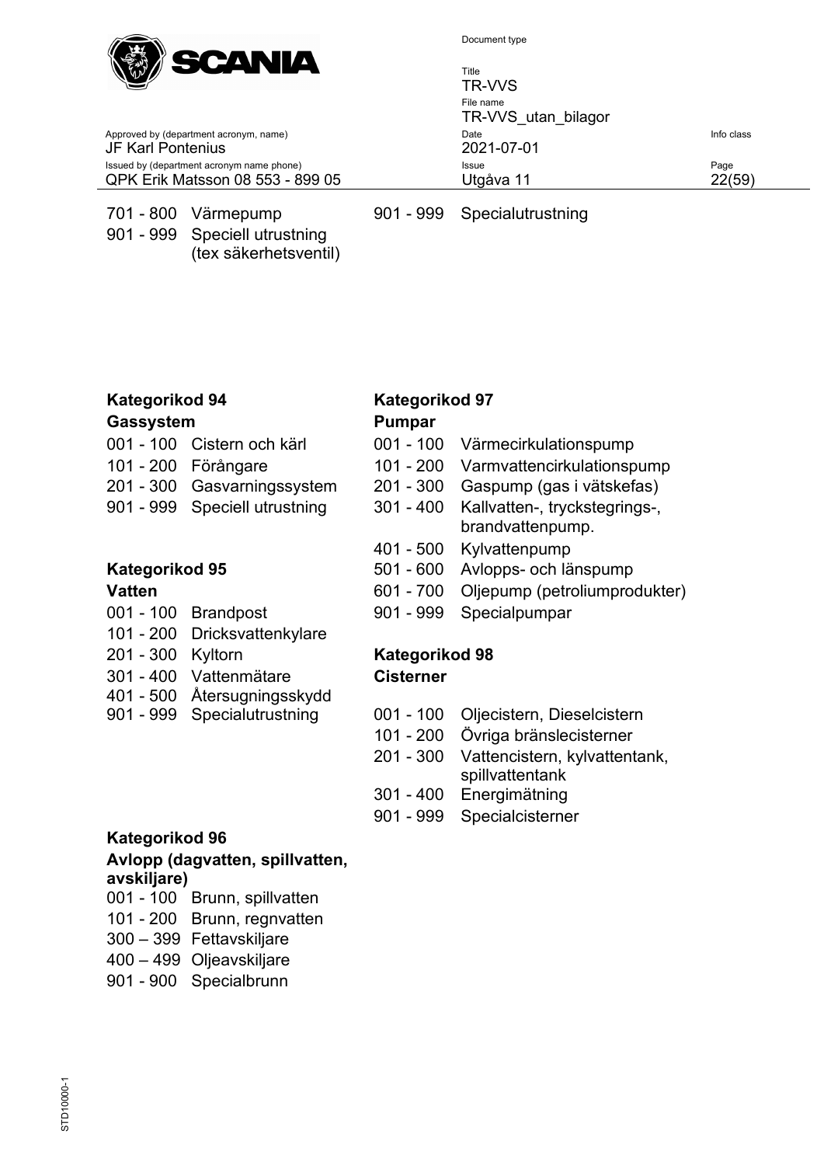

Title TR-VVS File name TR-VVS\_utan\_bilagor Approved by (department acronym, name) and the United State Info class of the United State Info class Issued by (department acronym name phone) **Issue Issue Page** QPK Erik Matsson 08 553 - 899 05 Utgåva 11 22(59)

JF Karl Pontenius 2021-07-01

901 - 999 Speciell utrustning

(tex säkerhetsventil)

701 - 800 Värmepump 901 - 999 Specialutrustning

# **Kategorikod 94 Kategorikod 97**

#### **Gassystem Pumpar**

- 
- 
- 
- 

- 
- 101 200 Dricksvattenkylare
- 201 300 Kyltorn **Kategorikod 98**
- 301 400 Vattenmätare
- 401 500 Återsugningsskydd
- 
- 
- 001 100 Cistern och kärl 001 100 Värmecirkulationspump
- 101 200 Förångare 101 200 Varmvattencirkulationspump
- 201 300 Gasvarningssystem 201 300 Gaspump (gas i vätskefas)
- 901 999 Speciell utrustning 301 400 Kallvatten-, tryckstegrings-, brandvattenpump.
	- 401 500 Kylvattenpump
- **Kategorikod 95** 501 600 Avlopps- och länspump
- **Vatten Vatten 1988 Vatten COLLECTE 100 COLLECTE 100 COLLECTE 100 COLLECTE 100 COLLECTE 100 COLLECTE** 100 **COLLECTE** 100 **COLLECTE** 100 **COLLECTE** 100 **COLLECTE** 100 **COLLECTE** 100 **COLLECTE** 100 **COLLECT**
- 001 100 Brandpost 901 999 Specialpumpar

# **Cisterner**

- 901 999 Specialutrustning 001 100 Oljecistern, Dieselcistern
	- 101 200 Övriga bränslecisterner
	- 201 300 Vattencistern, kylvattentank, spillvattentank
	- 301 400 Energimätning
	- 901 999 Specialcisterner

#### **Kategorikod 96**

#### **Avlopp (dagvatten, spillvatten, avskiljare)**

- 001 100 Brunn, spillvatten
- 101 200 Brunn, regnvatten
- 300 399 Fettavskiljare
- 400 499 Oljeavskiljare
- 901 900 Specialbrunn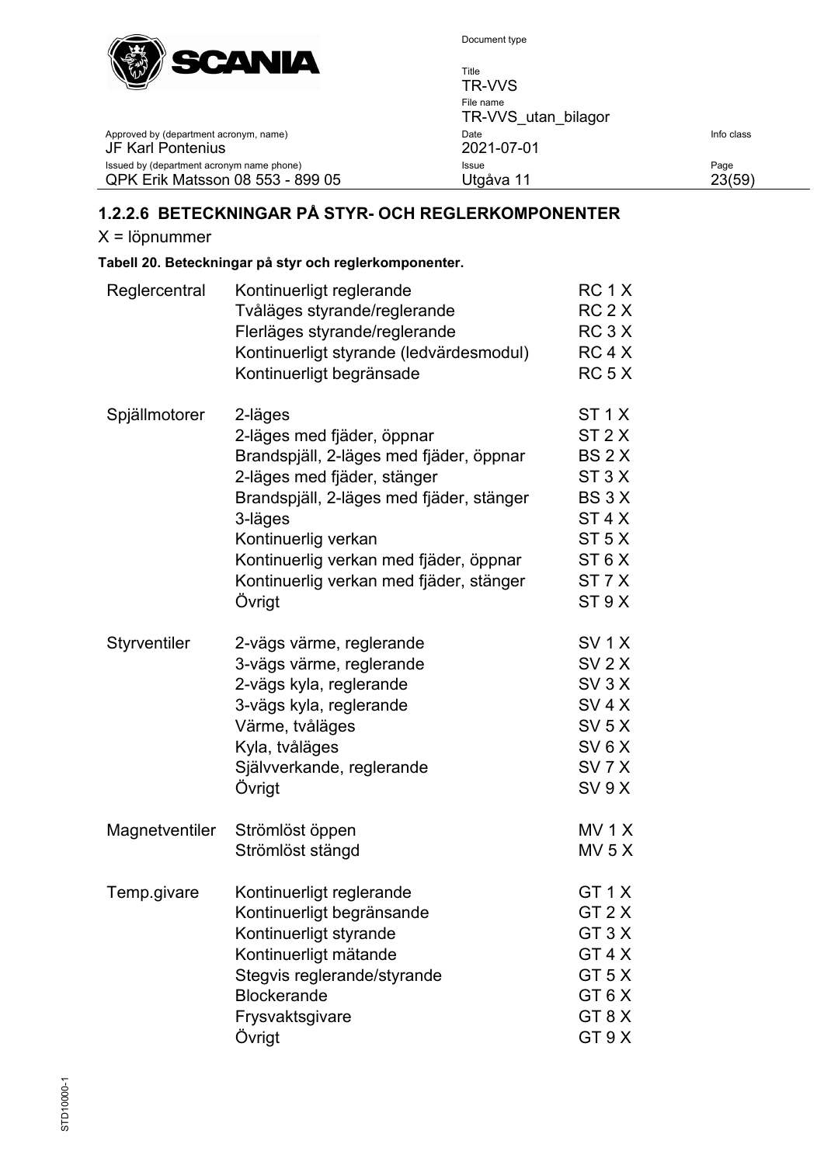

Title TR-VVS File name TR-VVS\_utan\_bilagor Approved by (department acronym, name) Date Theory Date Theory Date Info class<br>
2021-07-01 Issued by (department acronym name phone) Issue Page QPK Erik Matsson 08 553 - 899 05 Utgåva 11

# <span id="page-22-0"></span>**1.2.2.6 BETECKNINGAR PÅ STYR- OCH REGLERKOMPONENTER**

X = löpnummer

JF Karl Pontenius

#### **Tabell 20. Beteckningar på styr och reglerkomponenter.**

| Reglercentral  | Kontinuerligt reglerande                 | RC <sub>1</sub> X |
|----------------|------------------------------------------|-------------------|
|                | Tvåläges styrande/reglerande             | RC <sub>2</sub> X |
|                | Flerläges styrande/reglerande            | RC <sub>3</sub> X |
|                | Kontinuerligt styrande (ledvärdesmodul)  | RC <sub>4</sub> X |
|                | Kontinuerligt begränsade                 | RC <sub>5</sub> X |
| Spjällmotorer  | 2-läges                                  | ST <sub>1</sub> X |
|                | 2-läges med fjäder, öppnar               | ST <sub>2</sub> X |
|                | Brandspjäll, 2-läges med fjäder, öppnar  | BS <sub>2</sub> X |
|                | 2-läges med fjäder, stänger              | ST <sub>3</sub> X |
|                | Brandspjäll, 2-läges med fjäder, stänger | BS3X              |
|                | 3-läges                                  | ST <sub>4</sub> X |
|                | Kontinuerlig verkan                      | ST <sub>5</sub> X |
|                | Kontinuerlig verkan med fjäder, öppnar   | ST <sub>6</sub> X |
|                | Kontinuerlig verkan med fjäder, stänger  | ST <sub>7</sub> X |
|                | Övrigt                                   | ST 9 X            |
| Styrventiler   | 2-vägs värme, reglerande                 | SV <sub>1</sub> X |
|                | 3-vägs värme, reglerande                 | $SV$ 2 $X$        |
|                | 2-vägs kyla, reglerande                  | SV 3 X            |
|                | 3-vägs kyla, reglerande                  | SV <sub>4</sub> X |
|                | Värme, tvåläges                          | $SV$ 5 $X$        |
|                | Kyla, tvåläges                           | SV <sub>6</sub> X |
|                | Självverkande, reglerande                | SV <sub>7</sub> X |
|                | Övrigt                                   | SV 9X             |
| Magnetventiler | Strömlöst öppen                          | MV <sub>1</sub> X |
|                | Strömlöst stängd                         | MV <sub>5</sub> X |
| Temp.givare    | Kontinuerligt reglerande                 | GT <sub>1</sub> X |
|                | Kontinuerligt begränsande                | GT <sub>2</sub> X |
|                | Kontinuerligt styrande                   | GT <sub>3</sub> X |
|                | Kontinuerligt mätande                    | GT4X              |
|                | Stegvis reglerande/styrande              | GT <sub>5</sub> X |
|                | <b>Blockerande</b>                       | GT6X              |
|                | Frysvaktsgivare                          | GT8X              |
|                | Övrigt                                   | GT 9 X            |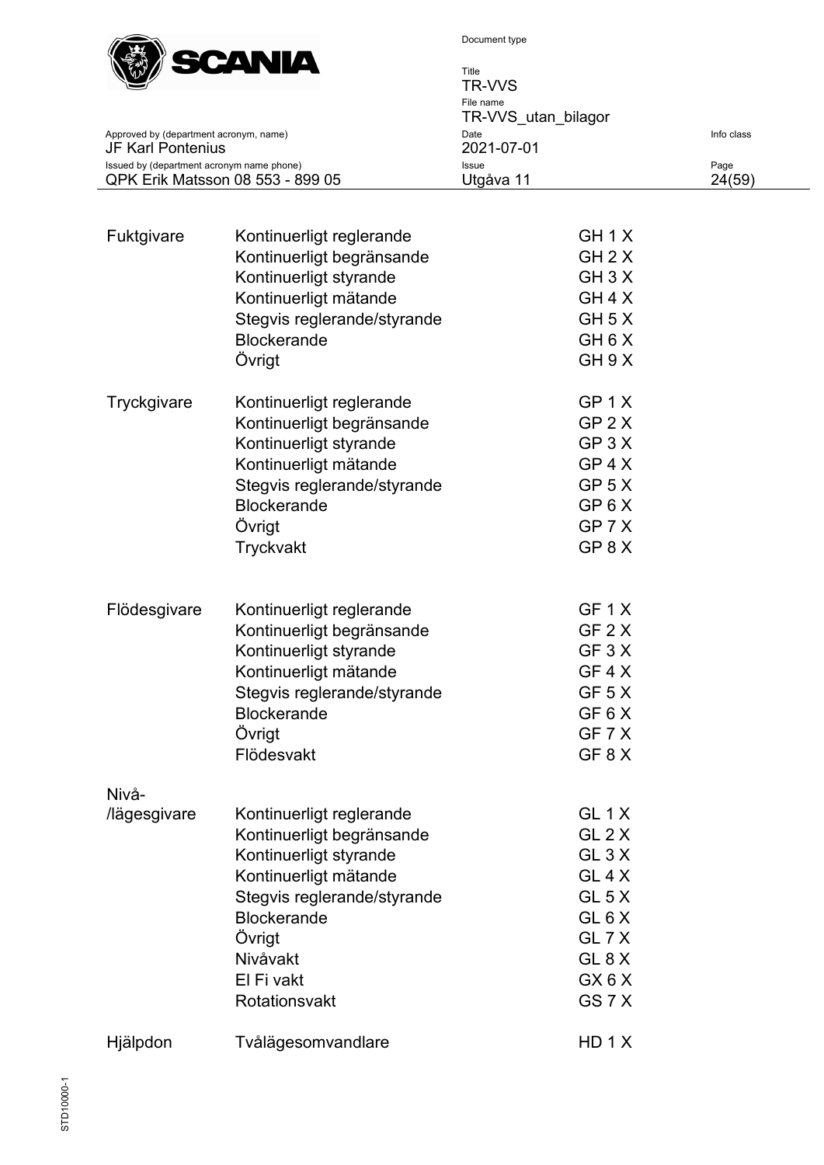

| $W^{(n)}$                                                   | Title                            |            |  |
|-------------------------------------------------------------|----------------------------------|------------|--|
| www.com                                                     | TR-VVS                           |            |  |
|                                                             | File name<br>TR-VVS utan bilagor |            |  |
| Approved by (department acronym, name)<br>JF Karl Pontenius | Date<br>2021-07-01               | Info class |  |
| Issued by (department acronym name phone)                   | Issue                            | Page       |  |
| QPK Erik Matsson 08 553 - 899 05                            | Utgåva 11                        | 24(59)     |  |

| Fuktgivare            | Kontinuerligt reglerande<br>Kontinuerligt begränsande<br>Kontinuerligt styrande<br>Kontinuerligt mätande<br>Stegvis reglerande/styrande<br><b>Blockerande</b><br>Övrigt                                            | GH <sub>1</sub> X<br>GH 2 X<br>$GH$ 3 $X$<br>GH 4 X<br>GH 5 X<br>GH <sub>6</sub> X<br>GH 9 X                                             |
|-----------------------|--------------------------------------------------------------------------------------------------------------------------------------------------------------------------------------------------------------------|------------------------------------------------------------------------------------------------------------------------------------------|
| Tryckgivare           | Kontinuerligt reglerande<br>Kontinuerligt begränsande<br>Kontinuerligt styrande<br>Kontinuerligt mätande<br>Stegvis reglerande/styrande<br><b>Blockerande</b><br>Övrigt<br>Tryckvakt                               | GP 1 X<br>$GP$ 2 $X$<br>$GP$ 3 $X$<br>GP 4 X<br>GP <sub>5</sub> X<br>GP 6 X<br>GP 7 X<br>GP 8 X                                          |
| Flödesgivare          | Kontinuerligt reglerande<br>Kontinuerligt begränsande<br>Kontinuerligt styrande<br>Kontinuerligt mätande<br>Stegvis reglerande/styrande<br><b>Blockerande</b><br>Övrigt<br>Flödesvakt                              | GF 1 X<br>GF 2 X<br>GF 3 X<br>GF 4 X<br>GF 5 X<br>GF 6 X<br>GF 7 X<br>GF8X                                                               |
| Nivå-<br>/lägesgivare | Kontinuerligt reglerande<br>Kontinuerligt begränsande<br>Kontinuerligt styrande<br>Kontinuerligt mätande<br>Stegvis reglerande/styrande<br><b>Blockerande</b><br>Övrigt<br>Nivåvakt<br>El Fi vakt<br>Rotationsvakt | GL <sub>1</sub> X<br>GL 2 X<br>GL <sub>3</sub> X<br>GL 4 X<br>GL 5 X<br>GL <sub>6</sub> X<br>GL 7 X<br>GL <sub>8</sub> X<br>GX6X<br>GS7X |
| Hjälpdon              | Tvålägesomvandlare                                                                                                                                                                                                 | HD 1 X                                                                                                                                   |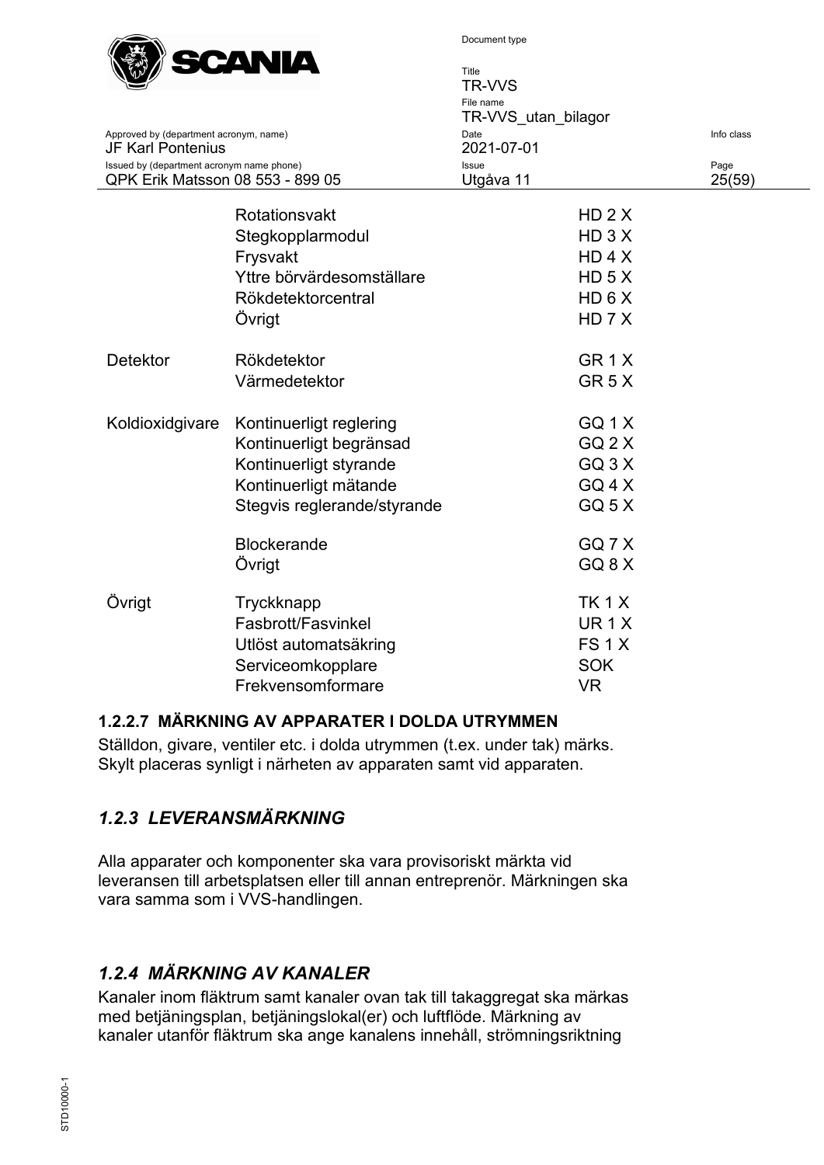

|                                                                               |                             | Title<br><b>TR-VVS</b><br>File name<br>TR-VVS_utan_bilagor |                |
|-------------------------------------------------------------------------------|-----------------------------|------------------------------------------------------------|----------------|
| Approved by (department acronym, name)<br><b>JF Karl Pontenius</b>            |                             | Date<br>2021-07-01                                         | Info class     |
| Issued by (department acronym name phone)<br>QPK Erik Matsson 08 553 - 899 05 |                             | Issue<br>Utgåva 11                                         | Page<br>25(59) |
|                                                                               | Rotationsvakt               | $HD$ 2 $X$                                                 |                |
|                                                                               | Stegkopplarmodul            | $HD$ 3 $X$                                                 |                |
|                                                                               | Frysvakt                    | HD 4 X                                                     |                |
|                                                                               | Yttre börvärdesomställare   | HD <sub>5</sub> X                                          |                |
|                                                                               | Rökdetektorcentral          | HD 6 X                                                     |                |
|                                                                               | Övrigt                      | HD 7 X                                                     |                |
| <b>Detektor</b>                                                               | Rökdetektor                 | GR <sub>1</sub> X                                          |                |
|                                                                               | Värmedetektor               | GR <sub>5</sub> X                                          |                |
| Koldioxidgivare                                                               | Kontinuerligt reglering     | GQ 1X                                                      |                |
|                                                                               | Kontinuerligt begränsad     | $GQ$ 2 $X$                                                 |                |
|                                                                               | Kontinuerligt styrande      | $GQ$ 3 $X$                                                 |                |
|                                                                               | Kontinuerligt mätande       | GQ 4 X                                                     |                |
|                                                                               | Stegvis reglerande/styrande | GQ <sub>5</sub> X                                          |                |
|                                                                               | <b>Blockerande</b>          | GQ7X                                                       |                |
|                                                                               | Övrigt                      | GQ <sub>8</sub> X                                          |                |
| Övrigt                                                                        | Tryckknapp                  | <b>TK1X</b>                                                |                |
|                                                                               | Fasbrott/Fasvinkel          | UR <sub>1</sub> $X$                                        |                |
|                                                                               | Utlöst automatsäkring       | FS <sub>1</sub> X                                          |                |
|                                                                               | Serviceomkopplare           | <b>SOK</b>                                                 |                |
|                                                                               | Frekvensomformare           | <b>VR</b>                                                  |                |

#### <span id="page-24-0"></span>**1.2.2.7 MÄRKNING AV APPARATER I DOLDA UTRYMMEN**

Ställdon, givare, ventiler etc. i dolda utrymmen (t.ex. under tak) märks. Skylt placeras synligt i närheten av apparaten samt vid apparaten.

# <span id="page-24-1"></span>*1.2.3 LEVERANSMÄRKNING*

Alla apparater och komponenter ska vara provisoriskt märkta vid leveransen till arbetsplatsen eller till annan entreprenör. Märkningen ska vara samma som i VVS-handlingen.

# <span id="page-24-2"></span>*1.2.4 MÄRKNING AV KANALER*

Kanaler inom fläktrum samt kanaler ovan tak till takaggregat ska märkas med betjäningsplan, betjäningslokal(er) och luftflöde. Märkning av kanaler utanför fläktrum ska ange kanalens innehåll, strömningsriktning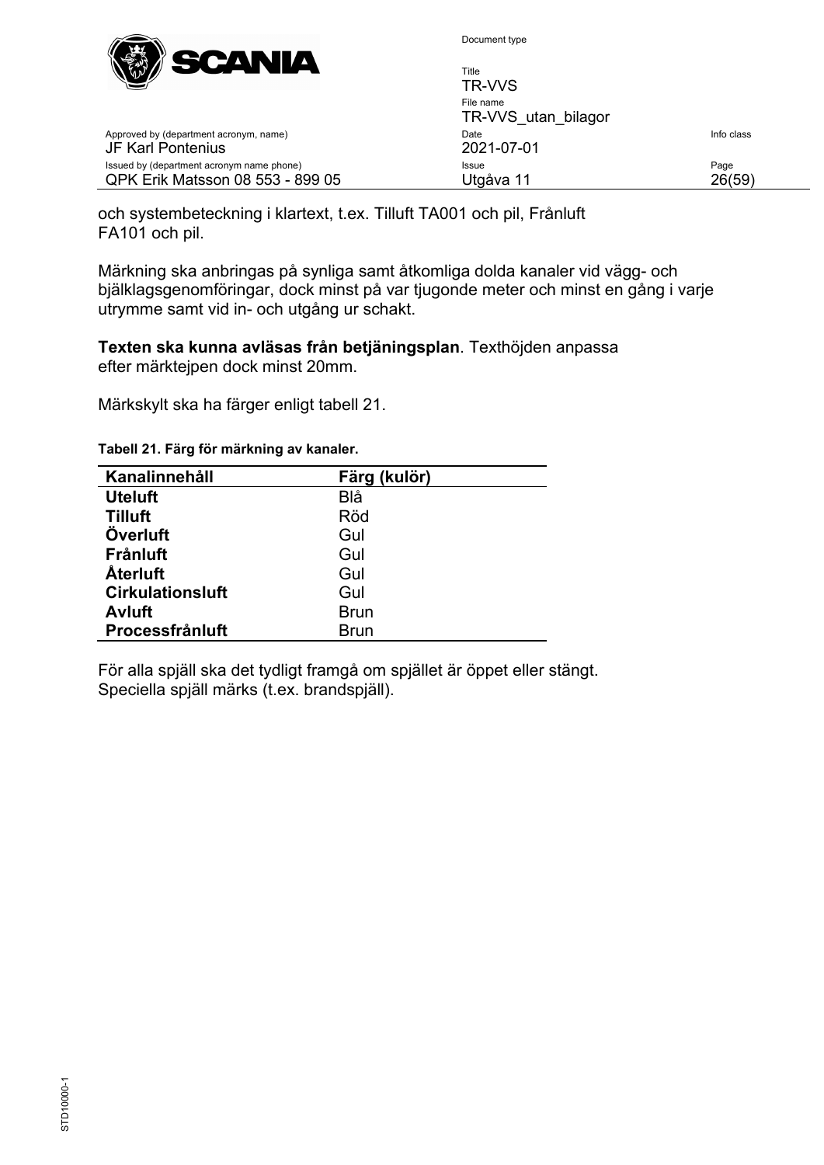

| <b>SUMMER</b><br>$\mathbb{C}^n$                                               | Title<br>TR-VVS                  |                |
|-------------------------------------------------------------------------------|----------------------------------|----------------|
|                                                                               | File name<br>TR-VVS utan bilagor |                |
| Approved by (department acronym, name)<br>JF Karl Pontenius                   | Date<br>2021-07-01               | Info class     |
| Issued by (department acronym name phone)<br>QPK Erik Matsson 08 553 - 899 05 | <b>Issue</b><br>Utgåva 11        | Page<br>26(59) |

och systembeteckning i klartext, t.ex. Tilluft TA001 och pil, Frånluft FA101 och pil.

Märkning ska anbringas på synliga samt åtkomliga dolda kanaler vid vägg- och bjälklagsgenomföringar, dock minst på var tjugonde meter och minst en gång i varje utrymme samt vid in- och utgång ur schakt.

#### **Texten ska kunna avläsas från betjäningsplan**. Texthöjden anpassa efter märktejpen dock minst 20mm.

Märkskylt ska ha färger enligt tabell 21.

| Kanalinnehåll           | Färg (kulör) |  |
|-------------------------|--------------|--|
| <b>Uteluft</b>          | Blå          |  |
| <b>Tilluft</b>          | Röd          |  |
| Överluft                | Gul          |  |
| <b>Frånluft</b>         | Gul          |  |
| <b>Aterluft</b>         | Gul          |  |
| <b>Cirkulationsluft</b> | Gul          |  |
| <b>Avluft</b>           | <b>Brun</b>  |  |
| Processfrånluft         | <b>Brun</b>  |  |

**Tabell 21. Färg för märkning av kanaler.**

För alla spjäll ska det tydligt framgå om spjället är öppet eller stängt. Speciella spjäll märks (t.ex. brandspjäll).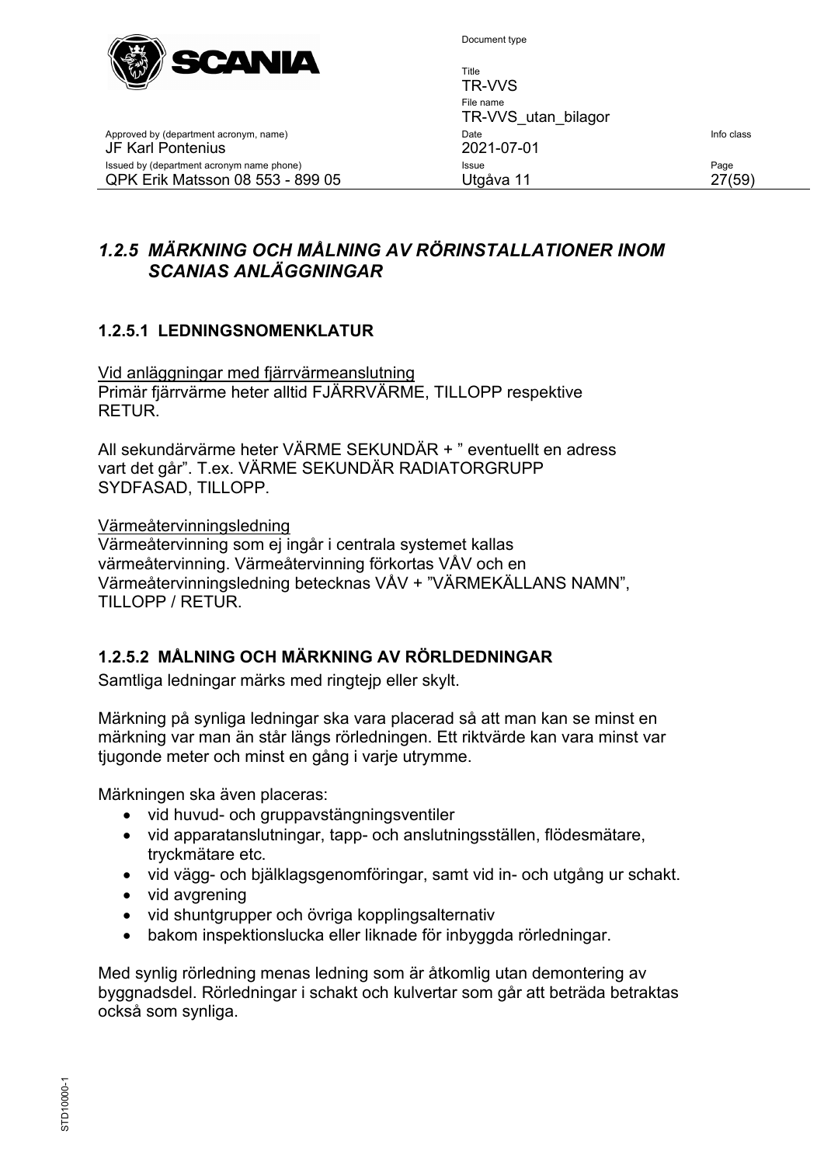

Title

Approved by (department acronym, name) and the United State Info class of the United State Info class JF Karl Pontenius 2021-07-01 Issued by (department acronym name phone) **Issue Issue Issue Page** QPK Erik Matsson 08 553 - 899 05 Utgåva 11 27(59)

TR-VVS File name TR-VVS\_utan\_bilagor

# <span id="page-26-0"></span>*1.2.5 MÄRKNING OCH MÅLNING AV RÖRINSTALLATIONER INOM SCANIAS ANLÄGGNINGAR*

## <span id="page-26-1"></span>**1.2.5.1 LEDNINGSNOMENKLATUR**

Vid anläggningar med fjärrvärmeanslutning Primär fjärrvärme heter alltid FJÄRRVÄRME, TILLOPP respektive RETUR.

All sekundärvärme heter VÄRME SEKUNDÄR + " eventuellt en adress vart det går". T.ex. VÄRME SEKUNDÄR RADIATORGRUPP SYDFASAD, TILLOPP.

#### Värmeåtervinningsledning

Värmeåtervinning som ej ingår i centrala systemet kallas värmeåtervinning. Värmeåtervinning förkortas VÅV och en Värmeåtervinningsledning betecknas VÅV + "VÄRMEKÄLLANS NAMN", TILLOPP / RETUR.

#### <span id="page-26-2"></span>**1.2.5.2 MÅLNING OCH MÄRKNING AV RÖRLDEDNINGAR**

Samtliga ledningar märks med ringtejp eller skylt.

Märkning på synliga ledningar ska vara placerad så att man kan se minst en märkning var man än står längs rörledningen. Ett riktvärde kan vara minst var tjugonde meter och minst en gång i varje utrymme.

Märkningen ska även placeras:

- vid huvud- och gruppavstängningsventiler
- vid apparatanslutningar, tapp- och anslutningsställen, flödesmätare, tryckmätare etc.
- vid vägg- och bjälklagsgenomföringar, samt vid in- och utgång ur schakt.
- vid avgrening
- vid shuntgrupper och övriga kopplingsalternativ
- bakom inspektionslucka eller liknade för inbyggda rörledningar.

Med synlig rörledning menas ledning som är åtkomlig utan demontering av byggnadsdel. Rörledningar i schakt och kulvertar som går att beträda betraktas också som synliga.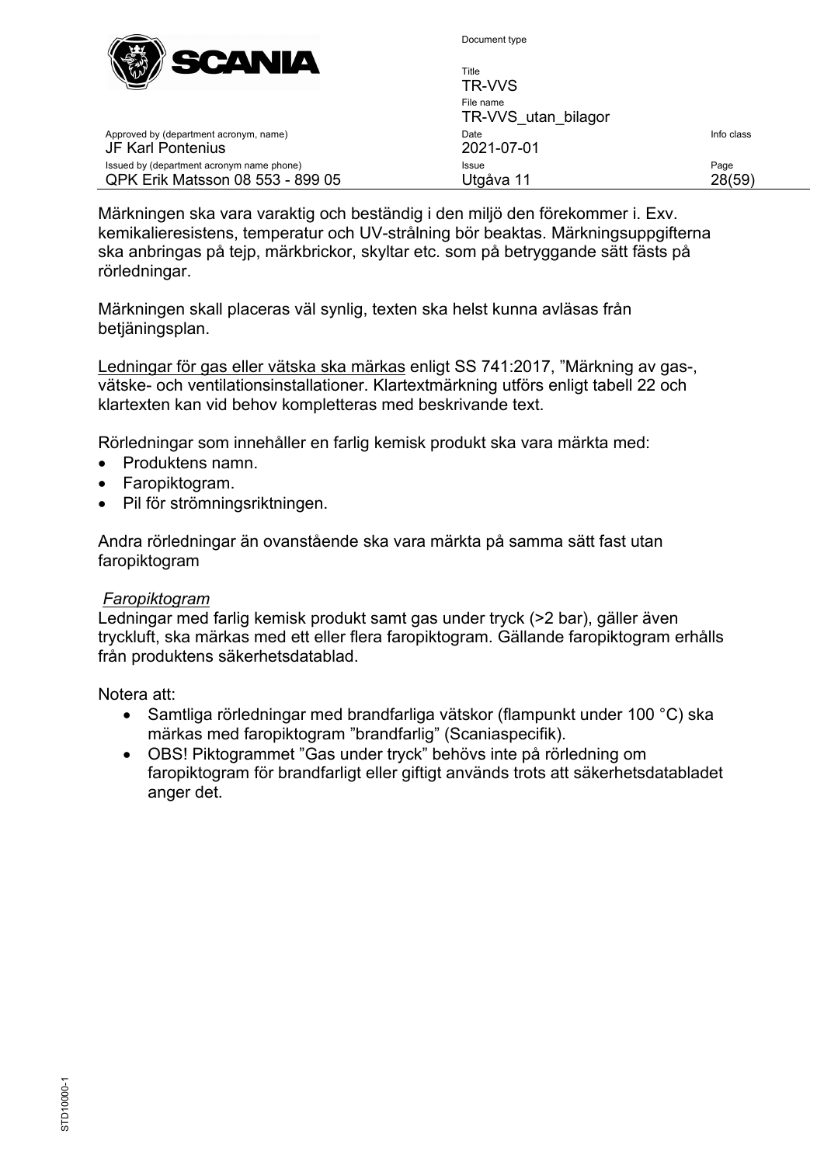

Approved by (department acronym, name)

Issued by (department acronym name phone) QPK Erik Matsson 08 553 - 899 05

JF Karl Pontenius

Document type

| Title<br>TR-VVS                  |                |
|----------------------------------|----------------|
| File name<br>TR-VVS utan bilagor |                |
| Date<br>2021-07-01               | Info class     |
| Issue<br>Utgåva 11               | Page<br>28(59) |

Märkningen ska vara varaktig och beständig i den miljö den förekommer i. Exv. kemikalieresistens, temperatur och UV-strålning bör beaktas. Märkningsuppgifterna ska anbringas på tejp, märkbrickor, skyltar etc. som på betryggande sätt fästs på rörledningar.

Märkningen skall placeras väl synlig, texten ska helst kunna avläsas från betjäningsplan.

Ledningar för gas eller vätska ska märkas enligt SS 741:2017, "Märkning av gas-, vätske- och ventilationsinstallationer. Klartextmärkning utförs enligt tabell 22 och klartexten kan vid behov kompletteras med beskrivande text.

Rörledningar som innehåller en farlig kemisk produkt ska vara märkta med:

- Produktens namn.
- Faropiktogram.
- Pil för strömningsriktningen.

Andra rörledningar än ovanstående ska vara märkta på samma sätt fast utan faropiktogram

#### *Faropiktogram*

Ledningar med farlig kemisk produkt samt gas under tryck (>2 bar), gäller även tryckluft, ska märkas med ett eller flera faropiktogram. Gällande faropiktogram erhålls från produktens säkerhetsdatablad.

Notera att:

- Samtliga rörledningar med brandfarliga vätskor (flampunkt under 100 °C) ska märkas med faropiktogram "brandfarlig" (Scaniaspecifik).
- OBS! Piktogrammet "Gas under tryck" behövs inte på rörledning om faropiktogram för brandfarligt eller giftigt används trots att säkerhetsdatabladet anger det.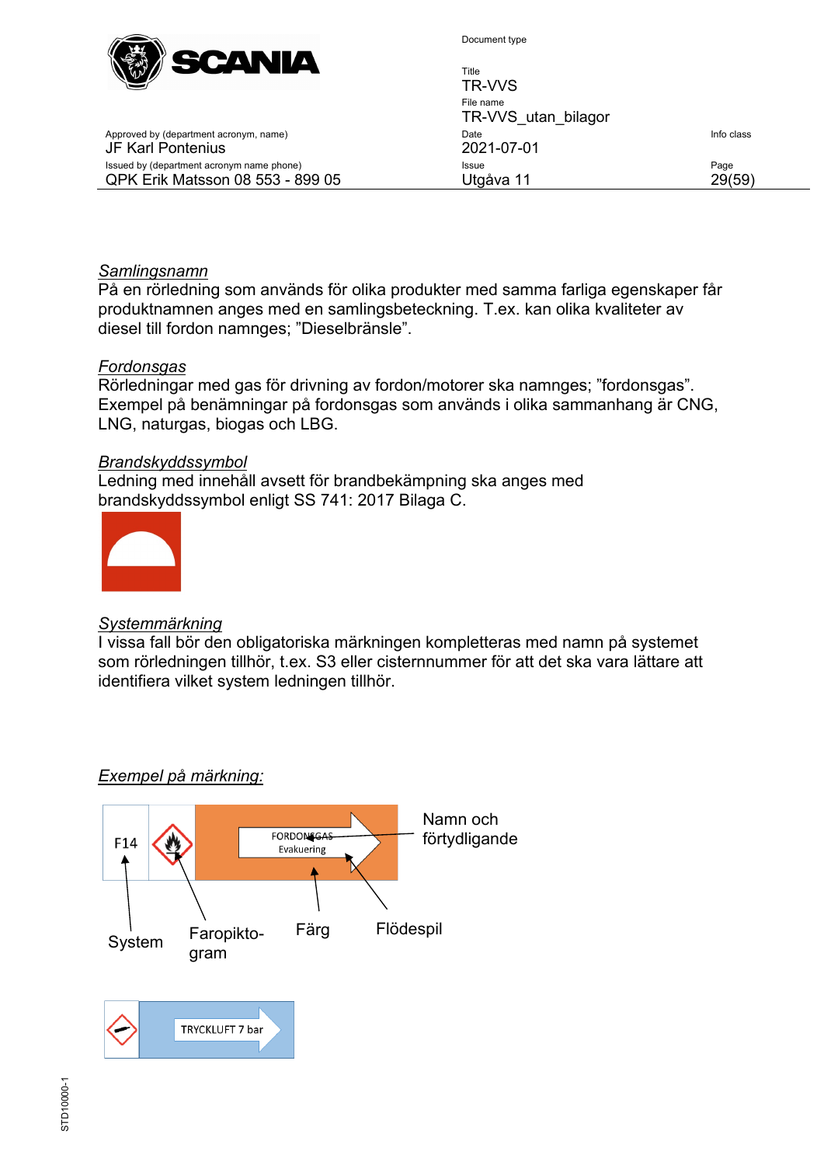

| Title<br>TR-VVS                  |            |
|----------------------------------|------------|
| File name<br>TR-VVS utan bilagor |            |
| Date<br>2021-07-01               | Info class |
| Issue<br>Utgåva 11               | Page       |

#### JF Karl Pontenius Issued by (department acronym name phone) QPK Erik Matsson 08 553 - 899 05

Approved by (department acronym, name)

#### *Samlingsnamn*

På en rörledning som används för olika produkter med samma farliga egenskaper får produktnamnen anges med en samlingsbeteckning. T.ex. kan olika kvaliteter av diesel till fordon namnges; "Dieselbränsle".

#### *Fordonsgas*

Rörledningar med gas för drivning av fordon/motorer ska namnges; "fordonsgas". Exempel på benämningar på fordonsgas som används i olika sammanhang är CNG, LNG, naturgas, biogas och LBG.

#### *Brandskyddssymbol*

Ledning med innehåll avsett för brandbekämpning ska anges med brandskyddssymbol enligt SS 741: 2017 Bilaga C.



#### *Systemmärkning*

I vissa fall bör den obligatoriska märkningen kompletteras med namn på systemet som rörledningen tillhör, t.ex. S3 eller cisternnummer för att det ska vara lättare att identifiera vilket system ledningen tillhör.

#### *Exempel på märkning:*

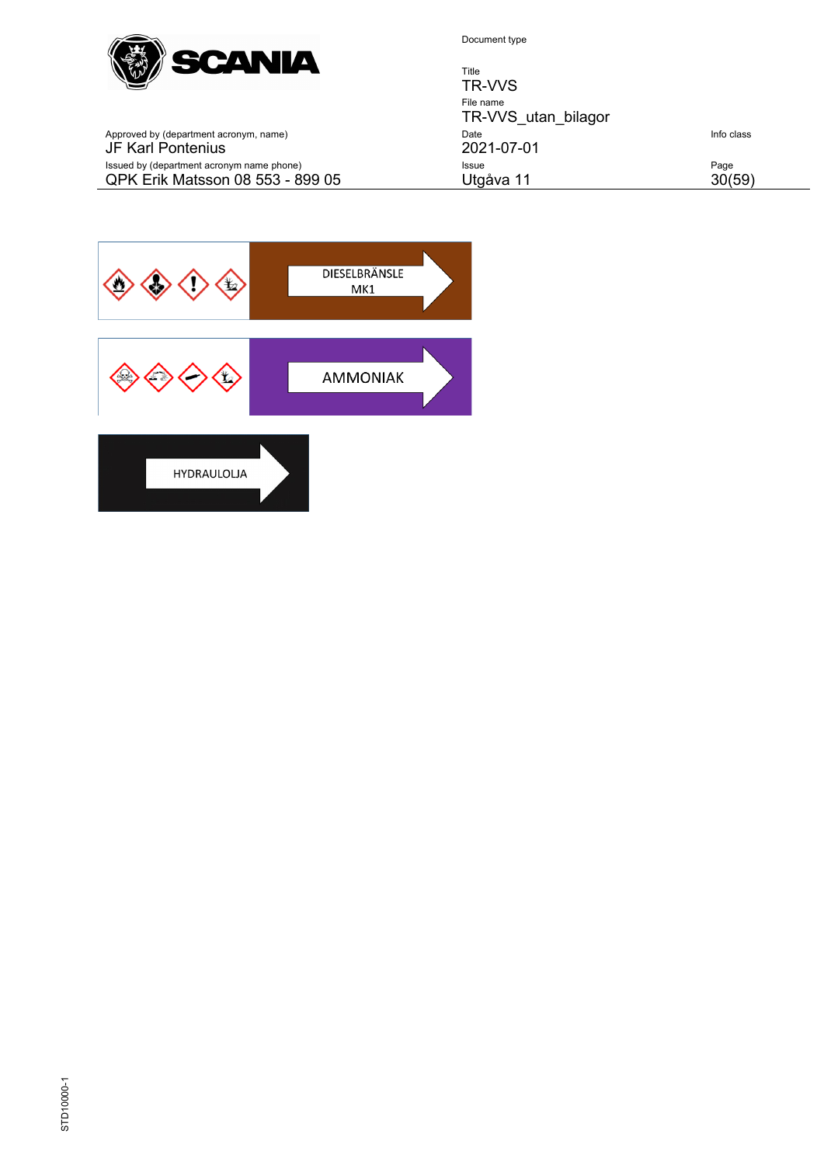

QPK Erik Matsson 08 553 - 899 05

Document type

Title TR-VVS File name TR-VVS\_utan\_bilagor Approved by (department acronym, name) Date Info class JF Karl Pontenius 2021-07-01 Issued by (department acronym name phone) Issue Page

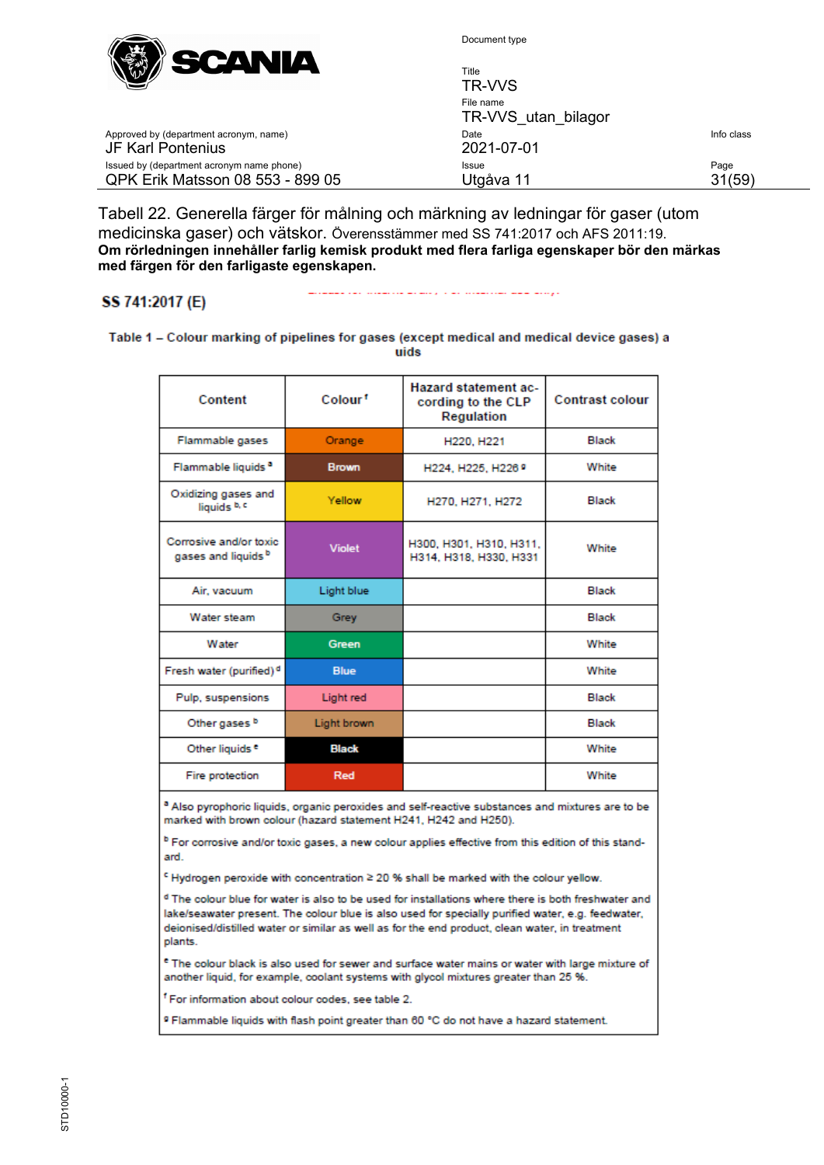

| <b>COMMUNICATION</b><br>$N^{w}$                                               | Title<br>TR-VVS                  |                |
|-------------------------------------------------------------------------------|----------------------------------|----------------|
|                                                                               | File name<br>TR-VVS utan bilagor |                |
| Approved by (department acronym, name)<br>JF Karl Pontenius                   | Date<br>2021-07-01               | Info class     |
| Issued by (department acronym name phone)<br>QPK Erik Matsson 08 553 - 899 05 | Issue<br>Utgåva 11               | Page<br>31(59) |

Tabell 22. Generella färger för målning och märkning av ledningar för gaser (utom medicinska gaser) och vätskor. Överensstämmer med SS 741:2017 och AFS 2011:19. **Om rörledningen innehåller farlig kemisk produkt med flera farliga egenskaper bör den märkas med färgen för den farligaste egenskapen.**

#### SS 741:2017 (E)

وأواليته الصفاف المتحدثات المتاري والمتحدث المتحدث المتحدد المتحدث

Table 1 – Colour marking of pipelines for gases (except medical and medical device gases) a uids

| Content                                                  | Colour <sup>1</sup> | <b>Hazard statement ac-</b><br>cording to the CLP<br>Regulation | <b>Contrast colour</b> |
|----------------------------------------------------------|---------------------|-----------------------------------------------------------------|------------------------|
| Flammable gases                                          | Orange              | H220, H221                                                      | <b>Black</b>           |
| Flammable liquids <sup>a</sup>                           | <b>Brown</b>        | H224, H225, H226 9                                              | White                  |
| Oxidizing gases and<br>liquids b, c                      | Yellow              | H270, H271, H272                                                | <b>Black</b>           |
| Corrosive and/or toxic<br>gases and liquids <sup>b</sup> | <b>Violet</b>       | H300, H301, H310, H311,<br>H314, H318, H330, H331               | White                  |
| Air, vacuum                                              | Light blue          |                                                                 | Black                  |
| Water steam                                              | Grey                |                                                                 | <b>Black</b>           |
| Water                                                    | <b>Green</b>        |                                                                 | White                  |
| Fresh water (purified) <sup>d</sup>                      | <b>Blue</b>         |                                                                 | White                  |
| Pulp, suspensions                                        | Light red           |                                                                 | Black                  |
| Other gases b                                            | Light brown         |                                                                 | <b>Black</b>           |
| Other liquids <sup>e</sup>                               | <b>Black</b>        |                                                                 | White                  |
| Fire protection                                          | Red                 |                                                                 | White                  |

<sup>a</sup> Also pyrophoric liquids, organic peroxides and self-reactive substances and mixtures are to be marked with brown colour (hazard statement H241, H242 and H250).

<sup>b</sup> For corrosive and/or toxic gases, a new colour applies effective from this edition of this standard.

<sup>€</sup> Hydrogen peroxide with concentration ≥ 20 % shall be marked with the colour yellow.

<sup>d</sup> The colour blue for water is also to be used for installations where there is both freshwater and lake/seawater present. The colour blue is also used for specially purified water, e.g. feedwater, deionised/distilled water or similar as well as for the end product, clean water, in treatment plants.

<sup>e</sup> The colour black is also used for sewer and surface water mains or water with large mixture of another liquid, for example, coolant systems with glycol mixtures greater than 25 %.

<sup>f</sup> For information about colour codes, see table 2.

<sup>9</sup> Flammable liquids with flash point greater than 60 °C do not have a hazard statement.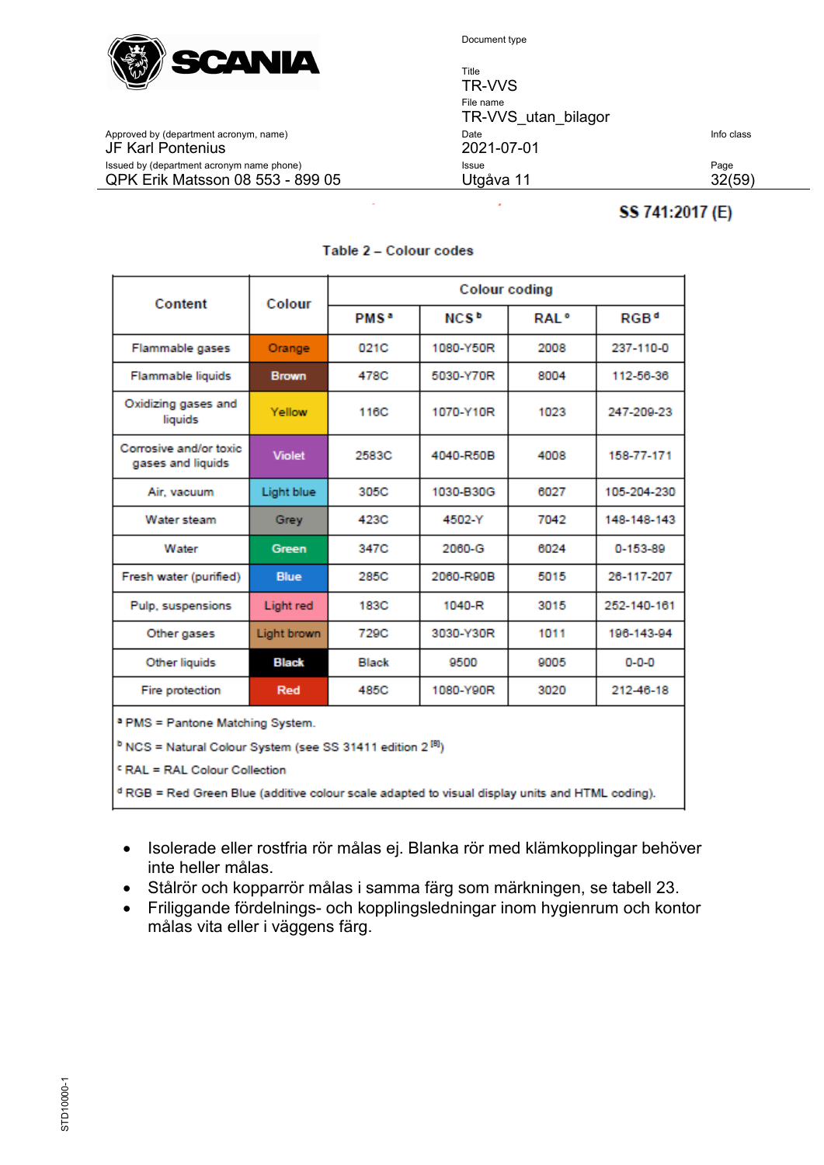

JF Karl Pontenius

Document type

Title TR-VVS File name TR-VVS\_utan\_bilagor Approved by (department acronym, name) Date Date Date Date Info class and Date Info class of the class of the class of  $2021-07-01$ Issued by (department acronym name phone) **Issue** Issue **Issue** Page QPK Erik Matsson 08 553 - 899 05 Utgåva 11 32(59)

# SS 741:2017 (E)

| Content                                                                                                    | Colour           | <b>Colour coding</b>   |                         |                  |                  |
|------------------------------------------------------------------------------------------------------------|------------------|------------------------|-------------------------|------------------|------------------|
|                                                                                                            |                  | <b>PMS<sup>a</sup></b> | <b>NCS</b> <sup>b</sup> | RAI <sup>o</sup> | RGB <sup>d</sup> |
| Flammable gases                                                                                            | Orange           | 021C                   | 1080-Y50R               | 2008             | 237-110-0        |
| Flammable liquids                                                                                          | <b>Brown</b>     | 478C                   | 5030-Y70R               | 8004             | 112-56-36        |
| Oxidizing gases and<br>liquids                                                                             | Yellow           | 116C                   | 1070-Y10R               | 1023             | 247-209-23       |
| Corrosive and/or toxic<br>gases and liquids                                                                | <b>Violet</b>    | 2583C                  | 4040-R50B               | 4008             | 158-77-171       |
| Air, vacuum                                                                                                | Light blue       | 305C                   | 1030-B30G               | 6027             | 105-204-230      |
| Water steam                                                                                                | Grey             | 423C                   | 4502-Y                  | 7042             | 148-148-143      |
| Water                                                                                                      | Green            | 347C                   | 2060-G                  | 6024             | 0-153-89         |
| Fresh water (purified)                                                                                     | <b>Blue</b>      | 285C                   | 2060-R90B               | 5015             | 26-117-207       |
| Pulp, suspensions                                                                                          | <b>Light red</b> | 183C                   | 1040-R                  | 3015             | 252-140-161      |
| Other gases                                                                                                | Light brown      | 729C                   | 3030-Y30R               | 1011             | 196-143-94       |
| Other liquids                                                                                              | <b>Black</b>     | Black                  | 9500                    | 9005             | $0 - 0 - 0$      |
| Fire protection                                                                                            | Red              | 485C                   | 1080-Y90R               | 3020             | 212-46-18        |
| a PMS = Pantone Matching System.                                                                           |                  |                        |                         |                  |                  |
| <sup>b</sup> NCS = Natural Colour System (see SS 31411 edition 2 <sup>[8]</sup> )                          |                  |                        |                         |                  |                  |
| FRAL = RAL Colour Collection                                                                               |                  |                        |                         |                  |                  |
| <sup>d</sup> RGB = Red Green Blue (additive colour scale adapted to visual display units and HTML coding). |                  |                        |                         |                  |                  |

#### Table 2 - Colour codes

- Isolerade eller rostfria rör målas ej. Blanka rör med klämkopplingar behöver inte heller målas.
- Stålrör och kopparrör målas i samma färg som märkningen, se tabell 23.
- Friliggande fördelnings- och kopplingsledningar inom hygienrum och kontor målas vita eller i väggens färg.

| ٦ |  |
|---|--|
|   |  |
|   |  |
|   |  |
|   |  |
|   |  |
|   |  |
|   |  |
|   |  |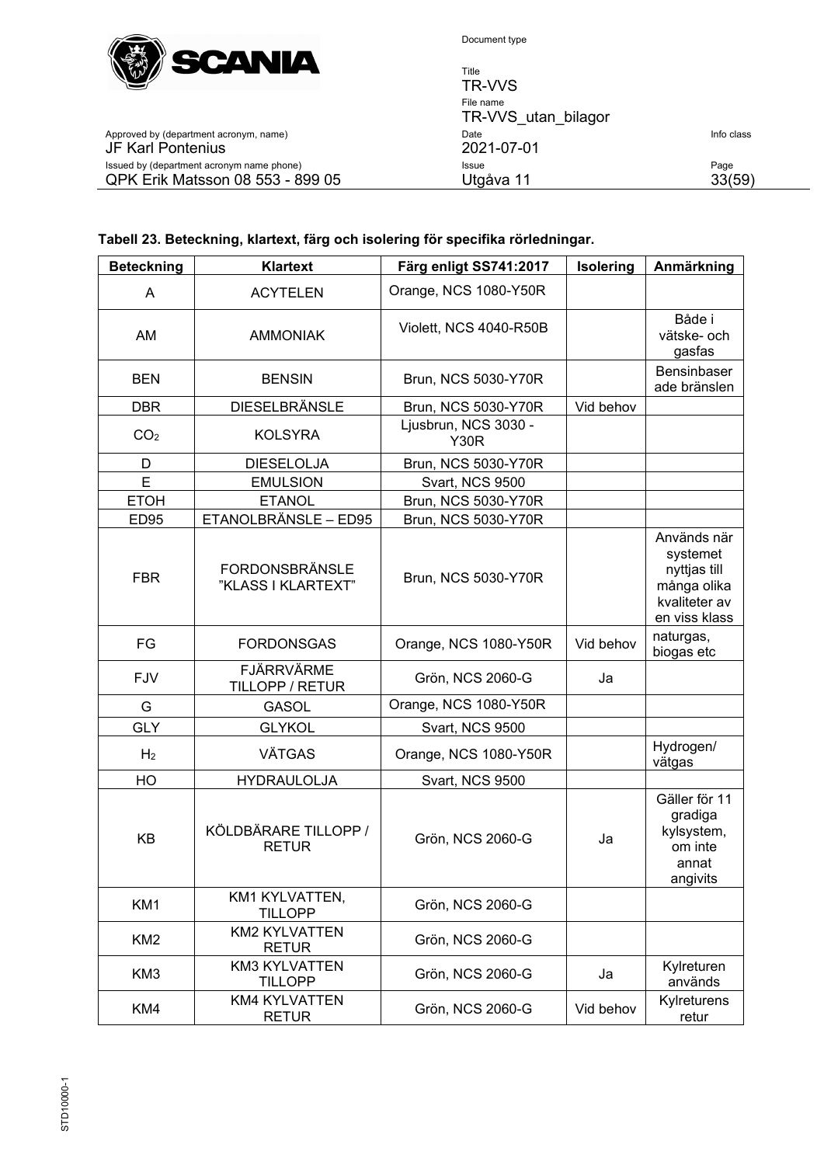

| <u>the community of the community of the community of the community of the community of the community of the community of the community of the community of the community of the community of the community of the community of </u><br>$\mathbb{W}$ | Title<br>TR-VVS                  |                |
|------------------------------------------------------------------------------------------------------------------------------------------------------------------------------------------------------------------------------------------------------|----------------------------------|----------------|
|                                                                                                                                                                                                                                                      | File name<br>TR-VVS utan bilagor |                |
| Approved by (department acronym, name)<br>JF Karl Pontenius                                                                                                                                                                                          | Date<br>2021-07-01               | Info class     |
| Issued by (department acronym name phone)<br>QPK Erik Matsson 08 553 - 899 05                                                                                                                                                                        | <b>Issue</b><br>Utgåva 11        | Page<br>33(59) |

#### JF Karl Pontenius 2021-07-01 Issued by (department acronym name phone) QPK Erik Matsson 08 553 - 899 05

#### **Tabell 23. Beteckning, klartext, färg och isolering för specifika rörledningar.**

| <b>Beteckning</b> | Klartext                                    | Färg enligt SS741:2017              | <b>Isolering</b> | Anmärkning                                                                               |
|-------------------|---------------------------------------------|-------------------------------------|------------------|------------------------------------------------------------------------------------------|
| A                 | <b>ACYTELEN</b>                             | Orange, NCS 1080-Y50R               |                  |                                                                                          |
| AM                | <b>AMMONIAK</b>                             | Violett, NCS 4040-R50B              |                  | Både i<br>vätske- och<br>gasfas                                                          |
| <b>BEN</b>        | <b>BENSIN</b>                               | Brun, NCS 5030-Y70R                 |                  | Bensinbaser<br>ade bränslen                                                              |
| <b>DBR</b>        | <b>DIESELBRÄNSLE</b>                        | Brun, NCS 5030-Y70R                 | Vid behov        |                                                                                          |
| CO <sub>2</sub>   | <b>KOLSYRA</b>                              | Ljusbrun, NCS 3030 -<br><b>Y30R</b> |                  |                                                                                          |
| D                 | <b>DIESELOLJA</b>                           | Brun, NCS 5030-Y70R                 |                  |                                                                                          |
| E                 | <b>EMULSION</b>                             | Svart, NCS 9500                     |                  |                                                                                          |
| <b>ETOH</b>       | <b>ETANOL</b>                               | Brun, NCS 5030-Y70R                 |                  |                                                                                          |
| <b>ED95</b>       | ETANOLBRÄNSLE - ED95                        | Brun, NCS 5030-Y70R                 |                  |                                                                                          |
| <b>FBR</b>        | <b>FORDONSBRÄNSLE</b><br>"KLASS I KLARTEXT" | Brun, NCS 5030-Y70R                 |                  | Används när<br>systemet<br>nyttjas till<br>många olika<br>kvaliteter av<br>en viss klass |
| FG                | <b>FORDONSGAS</b>                           | Orange, NCS 1080-Y50R               | Vid behov        | naturgas,<br>biogas etc                                                                  |
| <b>FJV</b>        | <b>FJÄRRVÄRME</b><br>TILLOPP / RETUR        | Grön, NCS 2060-G                    | Ja               |                                                                                          |
| G                 | <b>GASOL</b>                                | Orange, NCS 1080-Y50R               |                  |                                                                                          |
| <b>GLY</b>        | <b>GLYKOL</b>                               | Svart, NCS 9500                     |                  |                                                                                          |
| H <sub>2</sub>    | <b>VÄTGAS</b>                               | Orange, NCS 1080-Y50R               |                  | Hydrogen/<br>vätgas                                                                      |
| HO                | <b>HYDRAULOLJA</b>                          | Svart, NCS 9500                     |                  |                                                                                          |
| <b>KB</b>         | KÖLDBÄRARE TILLOPP /<br><b>RETUR</b>        | Grön, NCS 2060-G                    | Ja               | Gäller för 11<br>gradiga<br>kylsystem,<br>om inte<br>annat<br>angivits                   |
| KM1               | KM1 KYLVATTEN,<br><b>TILLOPP</b>            | Grön, NCS 2060-G                    |                  |                                                                                          |
| KM <sub>2</sub>   | <b>KM2 KYLVATTEN</b><br><b>RETUR</b>        | Grön, NCS 2060-G                    |                  |                                                                                          |
| KM <sub>3</sub>   | KM3 KYLVATTEN<br><b>TILLOPP</b>             | Grön, NCS 2060-G                    | Ja               | Kylreturen<br>används                                                                    |
| KM4               | KM4 KYLVATTEN<br><b>RETUR</b>               | Grön, NCS 2060-G                    | Vid behov        | Kylreturens<br>retur                                                                     |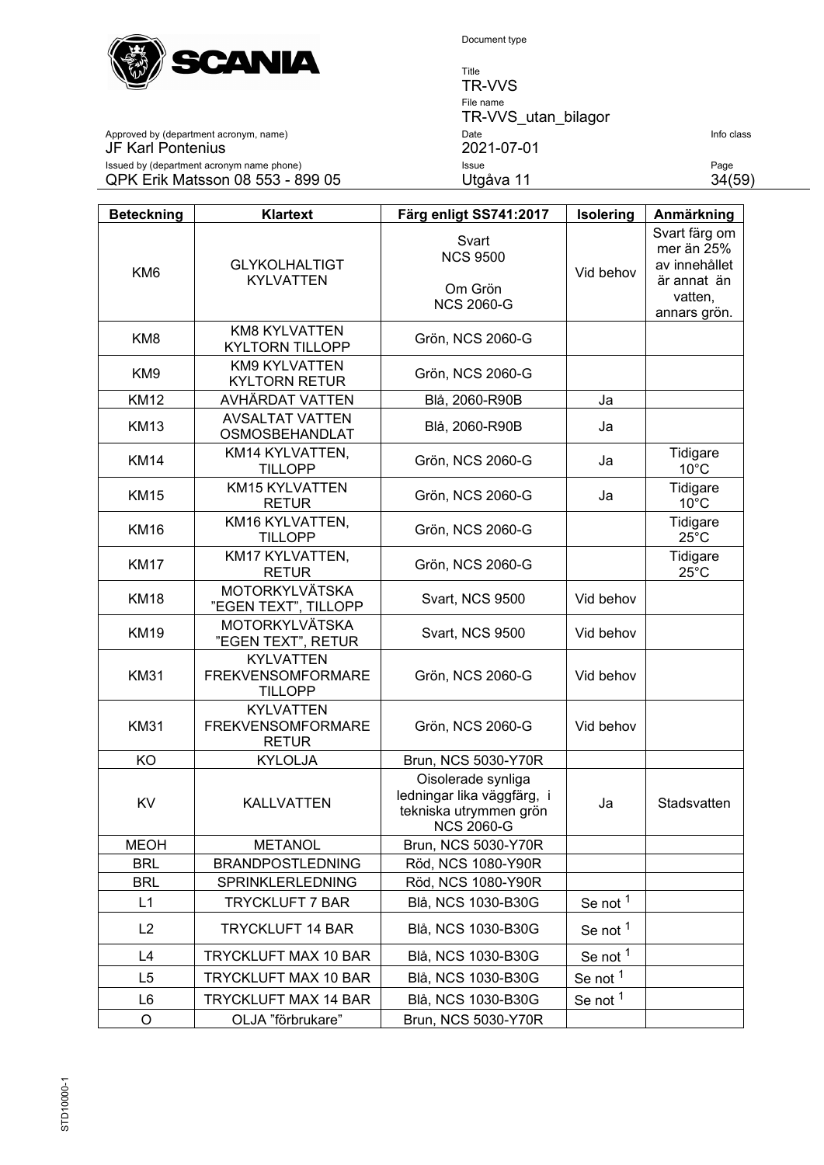

Title TR-VVS File name TR-VVS\_utan\_bilagor Approved by (department acronym, name) Date Info class JF Karl Pontenius 2021-07-01 Issued by (department acronym name phone) Issue Page QPK Erik Matsson 08 553 - 899 05 Utgåva 11 34(59)

| <b>Beteckning</b> | <b>Klartext</b>                                                | Färg enligt SS741:2017                                                                          | Isolering           | Anmärkning                                                  |
|-------------------|----------------------------------------------------------------|-------------------------------------------------------------------------------------------------|---------------------|-------------------------------------------------------------|
| KM <sub>6</sub>   | <b>GLYKOLHALTIGT</b><br><b>KYLVATTEN</b>                       | Svart<br><b>NCS 9500</b><br>Om Grön                                                             | Vid behov           | Svart färg om<br>mer än 25%<br>av innehållet<br>är annat än |
|                   |                                                                | <b>NCS 2060-G</b>                                                                               |                     | vatten,<br>annars grön.                                     |
| KM <sub>8</sub>   | <b>KM8 KYLVATTEN</b><br><b>KYLTORN TILLOPP</b>                 | Grön, NCS 2060-G                                                                                |                     |                                                             |
| KM <sub>9</sub>   | KM9 KYLVATTEN<br><b>KYLTORN RETUR</b>                          | Grön, NCS 2060-G                                                                                |                     |                                                             |
| <b>KM12</b>       | AVHÄRDAT VATTEN                                                | Blå, 2060-R90B                                                                                  | Ja                  |                                                             |
| <b>KM13</b>       | <b>AVSALTAT VATTEN</b><br>OSMOSBEHANDLAT                       | Blå, 2060-R90B                                                                                  | Ja                  |                                                             |
| <b>KM14</b>       | KM14 KYLVATTEN,<br><b>TILLOPP</b>                              | Grön, NCS 2060-G                                                                                | Ja                  | Tidigare<br>$10^{\circ}$ C                                  |
| <b>KM15</b>       | KM15 KYLVATTEN<br><b>RETUR</b>                                 | Grön, NCS 2060-G                                                                                | Ja                  | Tidigare<br>$10^{\circ}$ C                                  |
| <b>KM16</b>       | KM16 KYLVATTEN,<br><b>TILLOPP</b>                              | Grön, NCS 2060-G                                                                                |                     | Tidigare<br>$25^{\circ}$ C                                  |
| <b>KM17</b>       | KM17 KYLVATTEN,<br><b>RETUR</b>                                | Grön, NCS 2060-G                                                                                |                     | Tidigare<br>$25^{\circ}$ C                                  |
| <b>KM18</b>       | <b>MOTORKYLVÄTSKA</b><br>"EGEN TEXT", TILLOPP                  | Svart, NCS 9500                                                                                 | Vid behov           |                                                             |
| <b>KM19</b>       | <b>MOTORKYLVÄTSKA</b><br>"EGEN TEXT", RETUR                    | <b>Svart, NCS 9500</b>                                                                          | Vid behov           |                                                             |
| <b>KM31</b>       | <b>KYLVATTEN</b><br><b>FREKVENSOMFORMARE</b><br><b>TILLOPP</b> | Grön, NCS 2060-G                                                                                | Vid behov           |                                                             |
| <b>KM31</b>       | <b>KYLVATTEN</b><br><b>FREKVENSOMFORMARE</b><br><b>RETUR</b>   | Grön, NCS 2060-G                                                                                | Vid behov           |                                                             |
| KO                | <b>KYLOLJA</b>                                                 | Brun, NCS 5030-Y70R                                                                             |                     |                                                             |
| KV                | <b>KALLVATTEN</b>                                              | Oisolerade synliga<br>ledningar lika väggfärg, i<br>tekniska utrymmen grön<br><b>NCS 2060-G</b> | Ja                  | Stadsvatten                                                 |
| <b>MEOH</b>       | <b>METANOL</b>                                                 | Brun, NCS 5030-Y70R                                                                             |                     |                                                             |
| <b>BRL</b>        | <b>BRANDPOSTLEDNING</b>                                        | Röd, NCS 1080-Y90R                                                                              |                     |                                                             |
| <b>BRL</b>        | SPRINKLERLEDNING                                               | Röd, NCS 1080-Y90R                                                                              |                     |                                                             |
| L1                | <b>TRYCKLUFT 7 BAR</b>                                         | Blå, NCS 1030-B30G                                                                              | Se not <sup>1</sup> |                                                             |
| L2                | <b>TRYCKLUFT 14 BAR</b>                                        | Blå, NCS 1030-B30G                                                                              | Se not <sup>1</sup> |                                                             |
| L4                | TRYCKLUFT MAX 10 BAR                                           | Blå, NCS 1030-B30G                                                                              | Se not <sup>1</sup> |                                                             |
| L <sub>5</sub>    | <b>TRYCKLUFT MAX 10 BAR</b>                                    | Blå, NCS 1030-B30G                                                                              | Se not <sup>1</sup> |                                                             |
| L <sub>6</sub>    | <b>TRYCKLUFT MAX 14 BAR</b>                                    | Blå, NCS 1030-B30G                                                                              | Se not <sup>1</sup> |                                                             |
| O                 | OLJA "förbrukare"                                              | Brun, NCS 5030-Y70R                                                                             |                     |                                                             |

STD10000-1 STD10000-1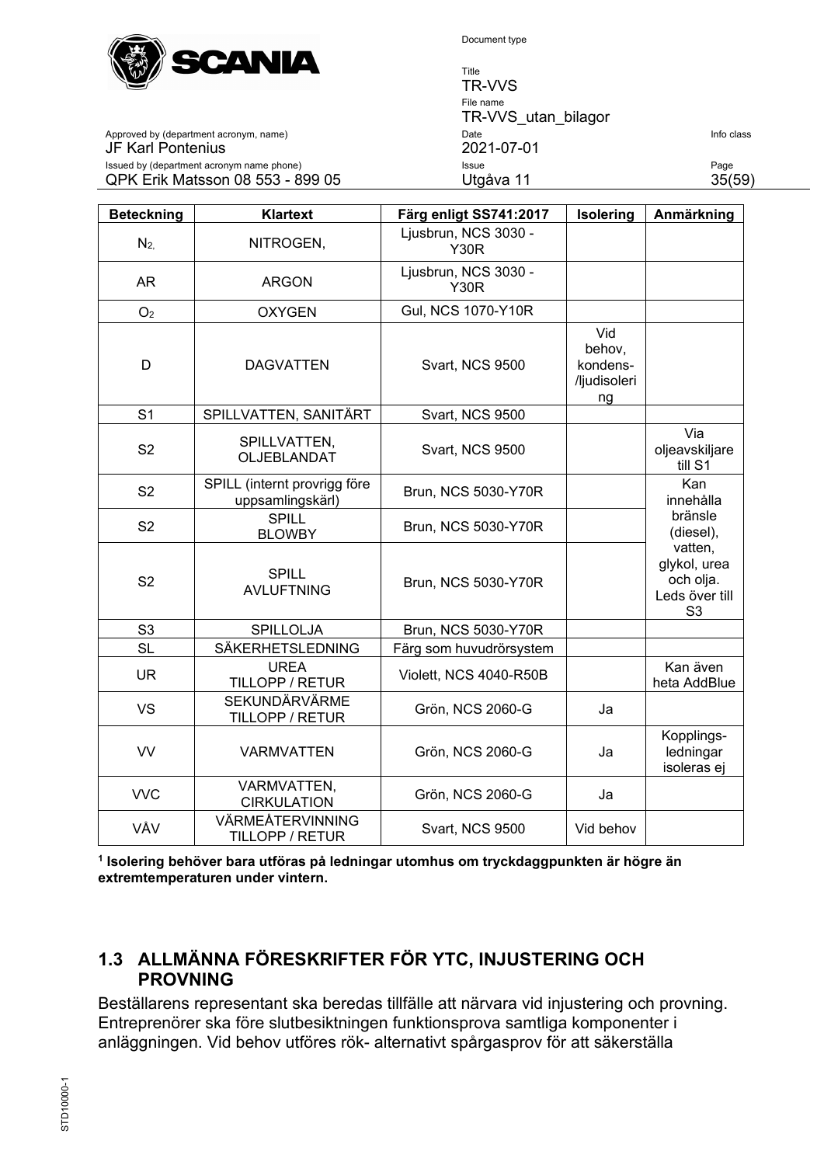

JF Karl Pontenius

Document type

Title TR-VVS File name TR-VVS utan bilagor Approved by (department acronym, name) Date Date Date Date Info class and Date Info class of the class of the class of  $2021-07-01$ Issued by (department acronym name phone) **Issue Issue Page** QPK Erik Matsson 08 553 - 899 05 Utgåva 11 35(59)

| <b>Beteckning</b> | Klartext                                         | Färg enligt SS741:2017              | Isolering                                       | Anmärkning                                                               |
|-------------------|--------------------------------------------------|-------------------------------------|-------------------------------------------------|--------------------------------------------------------------------------|
| $N_{2}$           | NITROGEN,                                        | Ljusbrun, NCS 3030 -<br><b>Y30R</b> |                                                 |                                                                          |
| AR                | <b>ARGON</b>                                     | Ljusbrun, NCS 3030 -<br><b>Y30R</b> |                                                 |                                                                          |
| O <sub>2</sub>    | <b>OXYGEN</b>                                    | <b>Gul, NCS 1070-Y10R</b>           |                                                 |                                                                          |
| D                 | <b>DAGVATTEN</b>                                 | <b>Svart, NCS 9500</b>              | Vid<br>behov,<br>kondens-<br>/ljudisoleri<br>ng |                                                                          |
| S <sub>1</sub>    | SPILLVATTEN, SANITÄRT                            | Svart, NCS 9500                     |                                                 |                                                                          |
| S <sub>2</sub>    | SPILLVATTEN,<br>OLJEBLANDAT                      | <b>Svart, NCS 9500</b>              |                                                 | Via<br>oljeavskiljare<br>till S1                                         |
| S <sub>2</sub>    | SPILL (internt provrigg före<br>uppsamlingskärl) | Brun, NCS 5030-Y70R                 |                                                 | Kan<br>innehålla                                                         |
| S <sub>2</sub>    | <b>SPILL</b><br><b>BLOWBY</b>                    | Brun, NCS 5030-Y70R                 |                                                 | bränsle<br>(diesel),                                                     |
| S <sub>2</sub>    | <b>SPILL</b><br><b>AVLUFTNING</b>                | Brun, NCS 5030-Y70R                 |                                                 | vatten,<br>glykol, urea<br>och olja.<br>Leds över till<br>S <sub>3</sub> |
| S <sub>3</sub>    | SPILLOLJA                                        | Brun, NCS 5030-Y70R                 |                                                 |                                                                          |
| <b>SL</b>         | SÄKERHETSLEDNING                                 | Färg som huvudrörsystem             |                                                 |                                                                          |
| <b>UR</b>         | <b>UREA</b><br>TILLOPP / RETUR                   | Violett, NCS 4040-R50B              |                                                 | Kan även<br>heta AddBlue                                                 |
| VS                | SEKUNDÄRVÄRME<br>TILLOPP / RETUR                 | Grön, NCS 2060-G                    | Ja                                              |                                                                          |
| <b>VV</b>         | <b>VARMVATTEN</b>                                | Grön, NCS 2060-G                    | Ja                                              | Kopplings-<br>ledningar<br>isoleras ej                                   |
| <b>VVC</b>        | VARMVATTEN,<br><b>CIRKULATION</b>                | Grön, NCS 2060-G                    | Ja                                              |                                                                          |
| VÅV               | VÄRMEÅTERVINNING<br>TILLOPP / RETUR              | Svart, NCS 9500                     | Vid behov                                       |                                                                          |

**<sup>1</sup> Isolering behöver bara utföras på ledningar utomhus om tryckdaggpunkten är högre än extremtemperaturen under vintern.**

# <span id="page-34-0"></span>**1.3 ALLMÄNNA FÖRESKRIFTER FÖR YTC, INJUSTERING OCH PROVNING**

Beställarens representant ska beredas tillfälle att närvara vid injustering och provning. Entreprenörer ska före slutbesiktningen funktionsprova samtliga komponenter i anläggningen. Vid behov utföres rök- alternativt spårgasprov för att säkerställa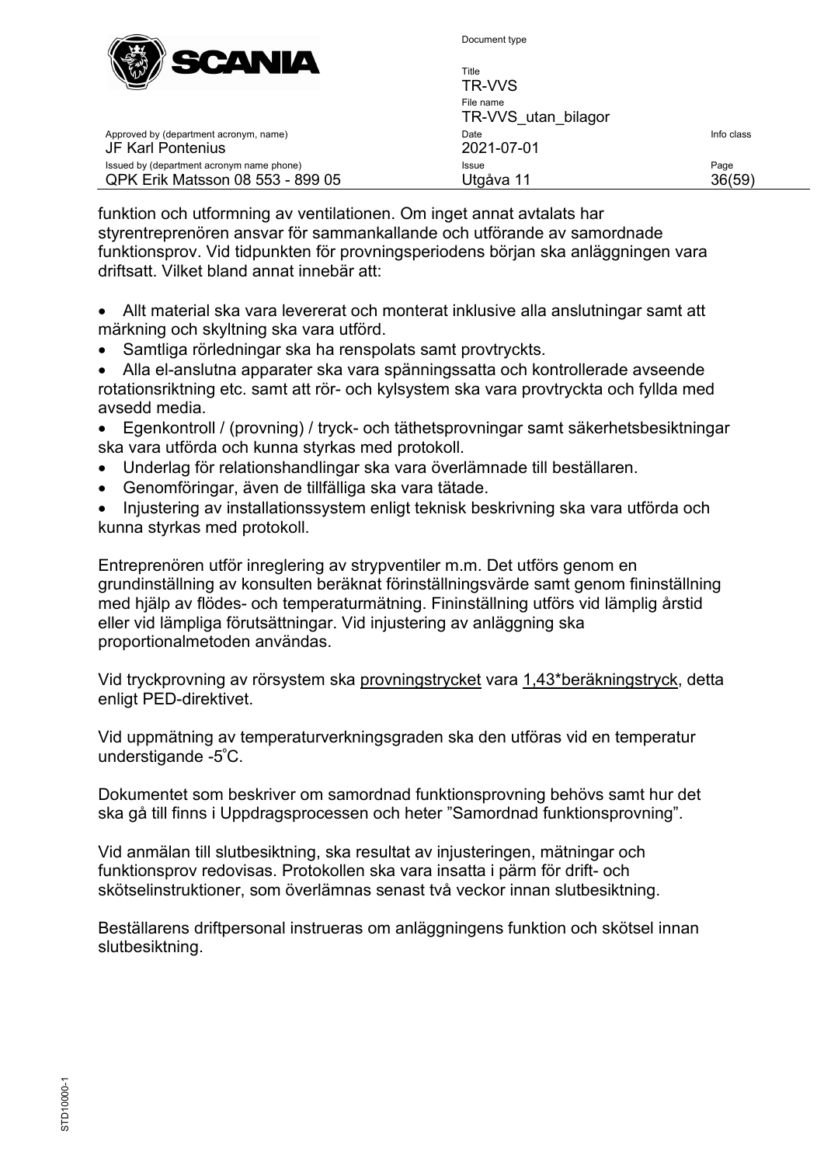

| W<br>_____<br>___                                                             | Title<br>TR-VVS                  |                |
|-------------------------------------------------------------------------------|----------------------------------|----------------|
|                                                                               | File name<br>TR-VVS utan bilagor |                |
| Approved by (department acronym, name)<br>JF Karl Pontenius                   | Date<br>2021-07-01               | Info class     |
| Issued by (department acronym name phone)<br>QPK Erik Matsson 08 553 - 899 05 | Issue<br>Utgåva 11               | Page<br>36(59) |

funktion och utformning av ventilationen. Om inget annat avtalats har styrentreprenören ansvar för sammankallande och utförande av samordnade funktionsprov. Vid tidpunkten för provningsperiodens början ska anläggningen vara driftsatt. Vilket bland annat innebär att:

- Allt material ska vara levererat och monterat inklusive alla anslutningar samt att märkning och skyltning ska vara utförd.
- Samtliga rörledningar ska ha renspolats samt provtryckts.
- Alla el-anslutna apparater ska vara spänningssatta och kontrollerade avseende rotationsriktning etc. samt att rör- och kylsystem ska vara provtryckta och fyllda med avsedd media.
- Egenkontroll / (provning) / tryck- och täthetsprovningar samt säkerhetsbesiktningar ska vara utförda och kunna styrkas med protokoll.
- Underlag för relationshandlingar ska vara överlämnade till beställaren.
- Genomföringar, även de tillfälliga ska vara tätade.
- Injustering av installationssystem enligt teknisk beskrivning ska vara utförda och kunna styrkas med protokoll.

Entreprenören utför inreglering av strypventiler m.m. Det utförs genom en grundinställning av konsulten beräknat förinställningsvärde samt genom fininställning med hjälp av flödes- och temperaturmätning. Fininställning utförs vid lämplig årstid eller vid lämpliga förutsättningar. Vid injustering av anläggning ska proportionalmetoden användas.

Vid tryckprovning av rörsystem ska provningstrycket vara 1,43\*beräkningstryck, detta enligt PED-direktivet.

Vid uppmätning av temperaturverkningsgraden ska den utföras vid en temperatur understigande -5º C.

Dokumentet som beskriver om samordnad funktionsprovning behövs samt hur det ska gå till finns i Uppdragsprocessen och heter "Samordnad funktionsprovning".

Vid anmälan till slutbesiktning, ska resultat av injusteringen, mätningar och funktionsprov redovisas. Protokollen ska vara insatta i pärm för drift- och skötselinstruktioner, som överlämnas senast två veckor innan slutbesiktning.

Beställarens driftpersonal instrueras om anläggningens funktion och skötsel innan slutbesiktning.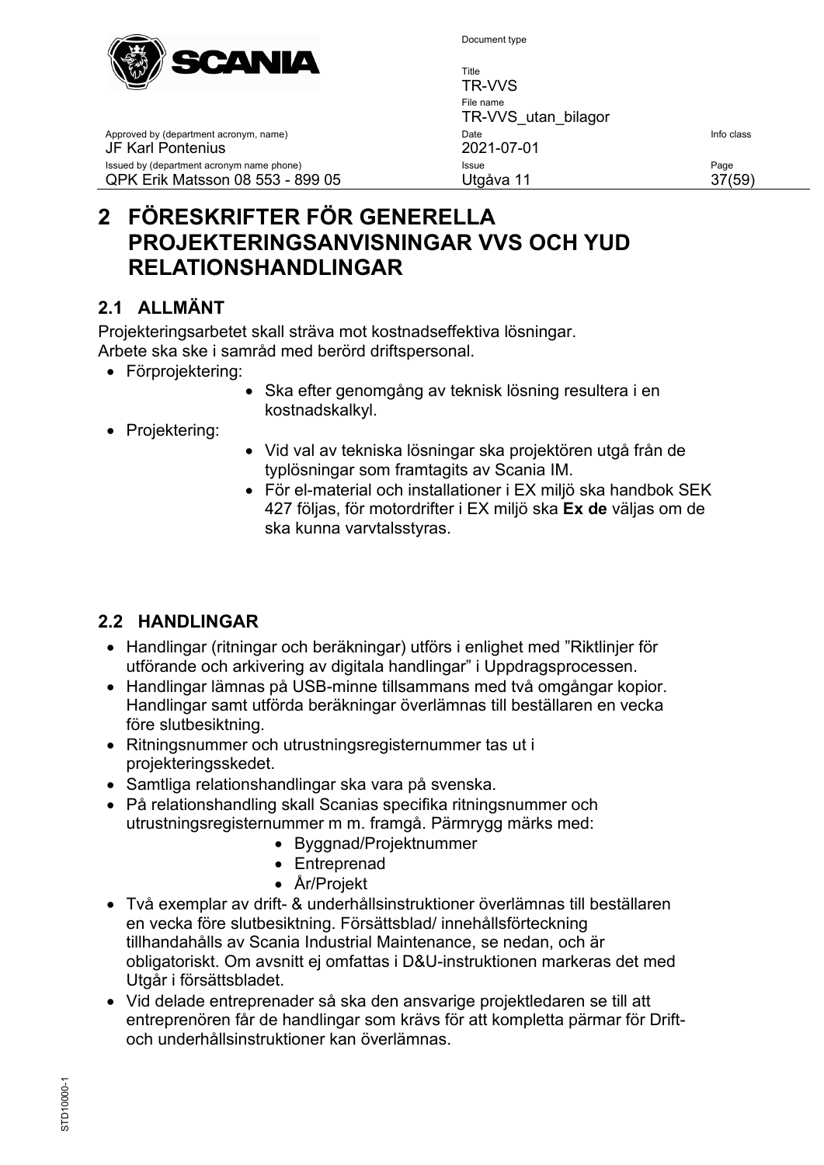

Title TR-VVS File name TR-VVS utan\_bilagor Approved by (department acronym, name) and the United State Info class of the United State Info class JF Karl Pontenius 2021-07-01 Issued by (department acronym name phone) **Issue Issue** Page **Page 19th** Page Page 19th Page 19th Page 19th Page QPK Erik Matsson 08 553 - 899 05 Utgåva 11 37(59)

# <span id="page-36-0"></span>**2 FÖRESKRIFTER FÖR GENERELLA PROJEKTERINGSANVISNINGAR VVS OCH YUD RELATIONSHANDLINGAR**

# <span id="page-36-1"></span>**2.1 ALLMÄNT**

Projekteringsarbetet skall sträva mot kostnadseffektiva lösningar. Arbete ska ske i samråd med berörd driftspersonal.

- Förprojektering:
	- Ska efter genomgång av teknisk lösning resultera i en kostnadskalkyl.
- Projektering:
- Vid val av tekniska lösningar ska projektören utgå från de typlösningar som framtagits av Scania IM.
- För el-material och installationer i EX miljö ska handbok SEK 427 följas, för motordrifter i EX miljö ska **Ex de** väljas om de ska kunna varvtalsstyras.

# <span id="page-36-2"></span>**2.2 HANDLINGAR**

- Handlingar (ritningar och beräkningar) utförs i enlighet med "Riktlinjer för utförande och arkivering av digitala handlingar" i Uppdragsprocessen.
- Handlingar lämnas på USB-minne tillsammans med två omgångar kopior. Handlingar samt utförda beräkningar överlämnas till beställaren en vecka före slutbesiktning.
- Ritningsnummer och utrustningsregisternummer tas ut i projekteringsskedet.
- Samtliga relationshandlingar ska vara på svenska.
- På relationshandling skall Scanias specifika ritningsnummer och utrustningsregisternummer m m. framgå. Pärmrygg märks med:
	- Byggnad/Projektnummer
	- Entreprenad
	- År/Projekt
- Två exemplar av drift- & underhållsinstruktioner överlämnas till beställaren en vecka före slutbesiktning. Försättsblad/ innehållsförteckning tillhandahålls av Scania Industrial Maintenance, se nedan, och är obligatoriskt. Om avsnitt ej omfattas i D&U-instruktionen markeras det med Utgår i försättsbladet.
- Vid delade entreprenader så ska den ansvarige projektledaren se till att entreprenören får de handlingar som krävs för att kompletta pärmar för Driftoch underhållsinstruktioner kan överlämnas.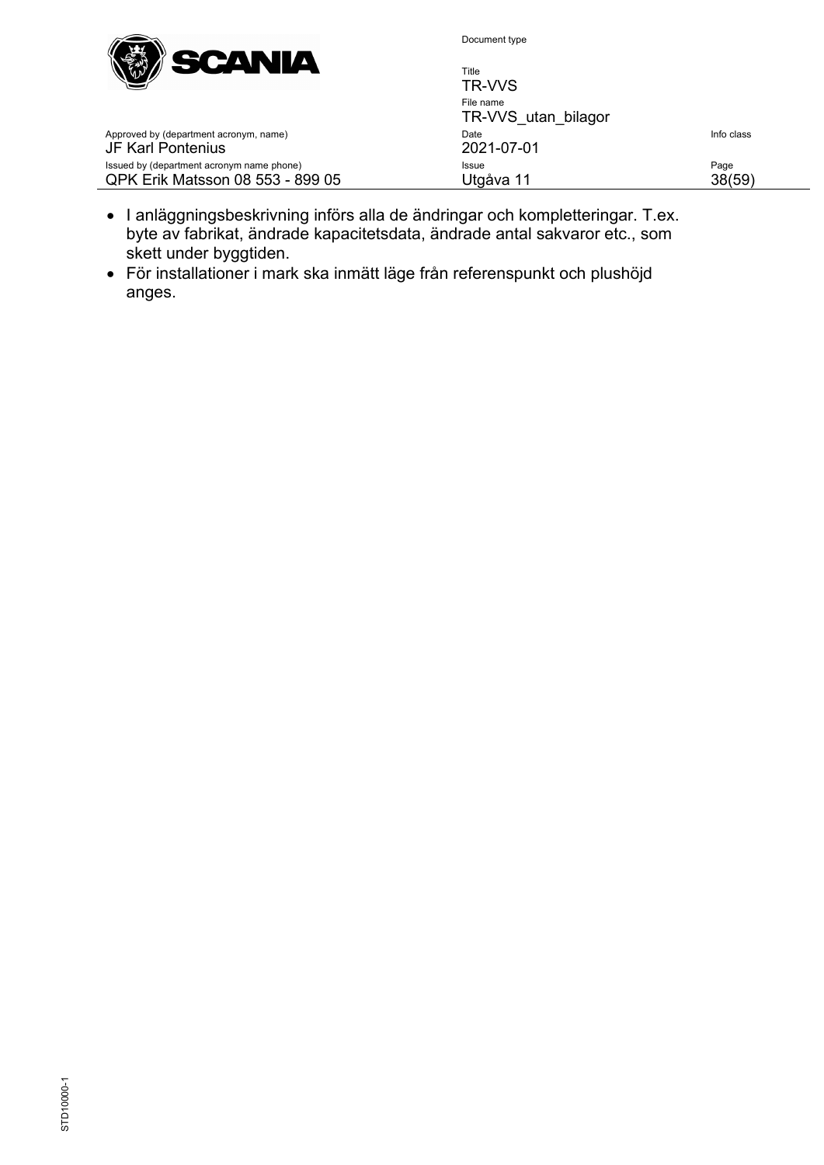

| Title<br>TR-VVS                  |            |
|----------------------------------|------------|
| File name<br>TR-VVS utan bilagor |            |
| Date<br>2021-07-01               | Info class |
| Issue<br>Utgåva 11               | Page<br>59 |

- Approved by (department acronym, name) JF Karl Pontenius Issued by (department acronym name phone) QPK Erik Matsson 08 553 - 899 05
	- I anläggningsbeskrivning införs alla de ändringar och kompletteringar. T.ex. byte av fabrikat, ändrade kapacitetsdata, ändrade antal sakvaror etc., som skett under byggtiden.
- För installationer i mark ska inmätt läge från referenspunkt och plushöjd anges.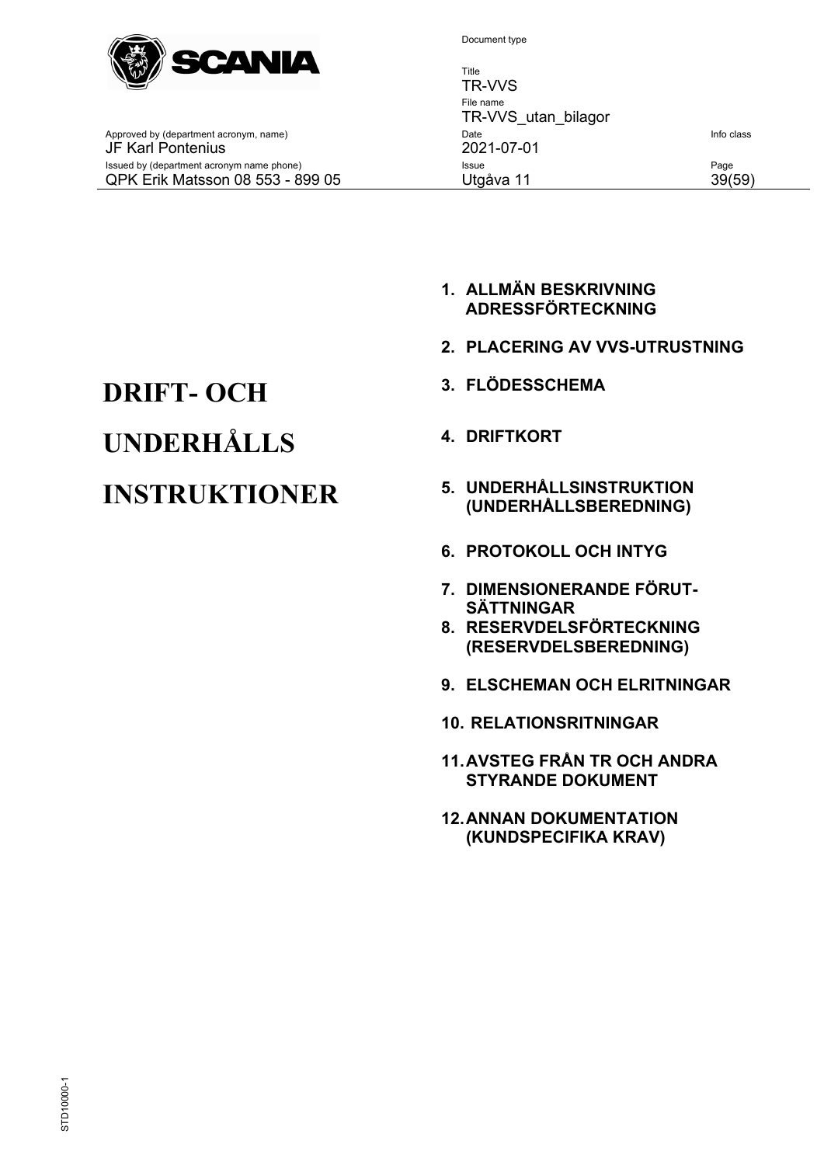

Title TR-VVS File name TR-VVS utan bilagor Approved by (department acronym, name) and the United State Info class of the United State Info class JF Karl Pontenius 2021-07-01 Issued by (department acronym name phone) **Issue Issue Page** QPK Erik Matsson 08 553 - 899 05 Utgåva 11 39(59)

- **1. ALLMÄN BESKRIVNING ADRESSFÖRTECKNING**
- **2. PLACERING AV VVS-UTRUSTNING**
- 
- 
- **INSTRUKTIONER 5. UNDERHÅLLSINSTRUKTION (UNDERHÅLLSBEREDNING)**
	- **6. PROTOKOLL OCH INTYG**
	- **7. DIMENSIONERANDE FÖRUT-SÄTTNINGAR**
	- **8. RESERVDELSFÖRTECKNING (RESERVDELSBEREDNING)**
	- **9. ELSCHEMAN OCH ELRITNINGAR**
	- **10. RELATIONSRITNINGAR**
	- **11.AVSTEG FRÅN TR OCH ANDRA STYRANDE DOKUMENT**
	- **12.ANNAN DOKUMENTATION (KUNDSPECIFIKA KRAV)**

# **DRIFT- OCH 3. FLÖDESSCHEMA UNDERHÅLLS 4. DRIFTKORT**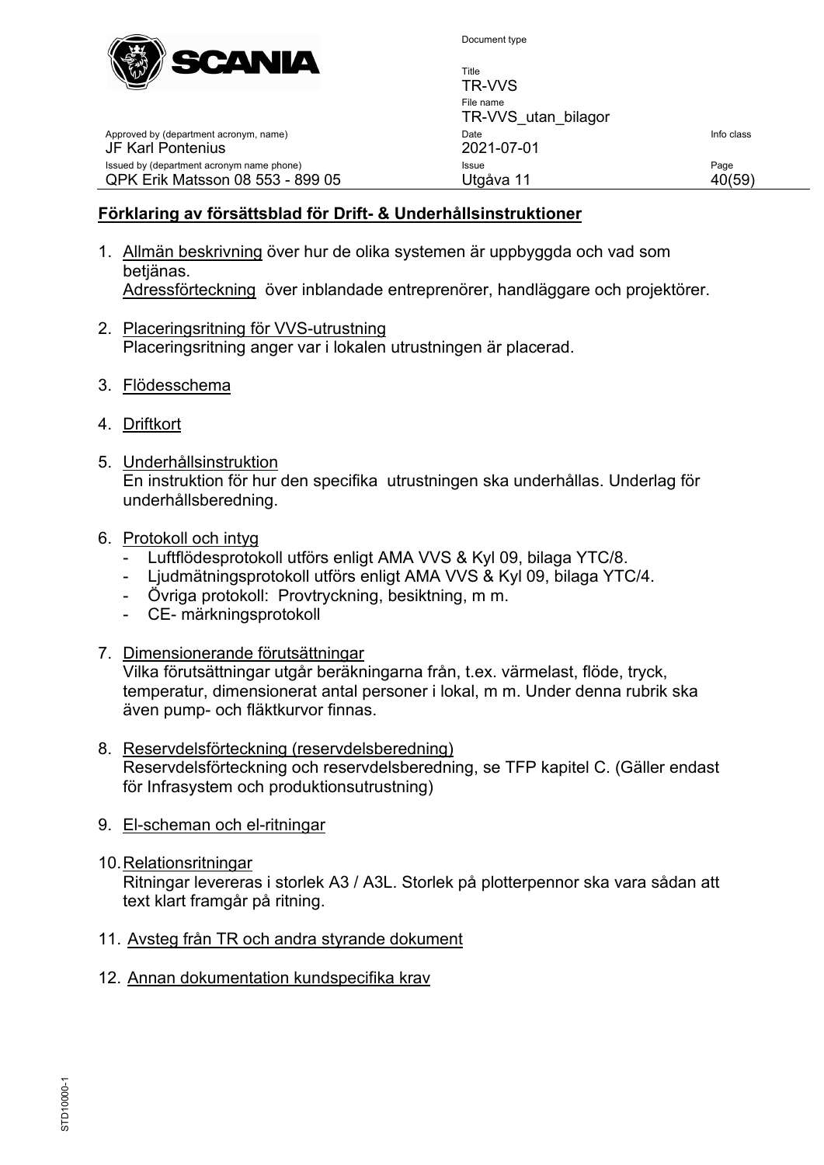

Title

TR-VVS File name TR-VVS\_utan\_bilagor Approved by (department acronym, name) and the United State Info class of the United State Info class JF Karl Pontenius 2021-07-01 Issued by (department acronym name phone) **Issue Issue** Page QPK Erik Matsson 08 553 - 899 05 Utgåva 11 40(59)

#### **Förklaring av försättsblad för Drift- & Underhållsinstruktioner**

- 1. Allmän beskrivning över hur de olika systemen är uppbyggda och vad som betjänas. Adressförteckning över inblandade entreprenörer, handläggare och projektörer.
- 2. Placeringsritning för VVS-utrustning Placeringsritning anger var i lokalen utrustningen är placerad.
- 3. Flödesschema
- 4. Driftkort
- 5. Underhållsinstruktion En instruktion för hur den specifika utrustningen ska underhållas. Underlag för underhållsberedning.
- 6. Protokoll och intyg
	- Luftflödesprotokoll utförs enligt AMA VVS & Kyl 09, bilaga YTC/8.
	- Ljudmätningsprotokoll utförs enligt AMA VVS & Kyl 09, bilaga YTC/4.
	- Övriga protokoll: Provtryckning, besiktning, m m.
	- CE- märkningsprotokoll
- 7. Dimensionerande förutsättningar

Vilka förutsättningar utgår beräkningarna från, t.ex. värmelast, flöde, tryck, temperatur, dimensionerat antal personer i lokal, m m. Under denna rubrik ska även pump- och fläktkurvor finnas.

- 8. Reservdelsförteckning (reservdelsberedning) Reservdelsförteckning och reservdelsberedning, se TFP kapitel C. (Gäller endast för Infrasystem och produktionsutrustning)
- 9. El-scheman och el-ritningar
- 10.Relationsritningar

Ritningar levereras i storlek A3 / A3L. Storlek på plotterpennor ska vara sådan att text klart framgår på ritning.

- 11. Avsteg från TR och andra styrande dokument
- 12. Annan dokumentation kundspecifika krav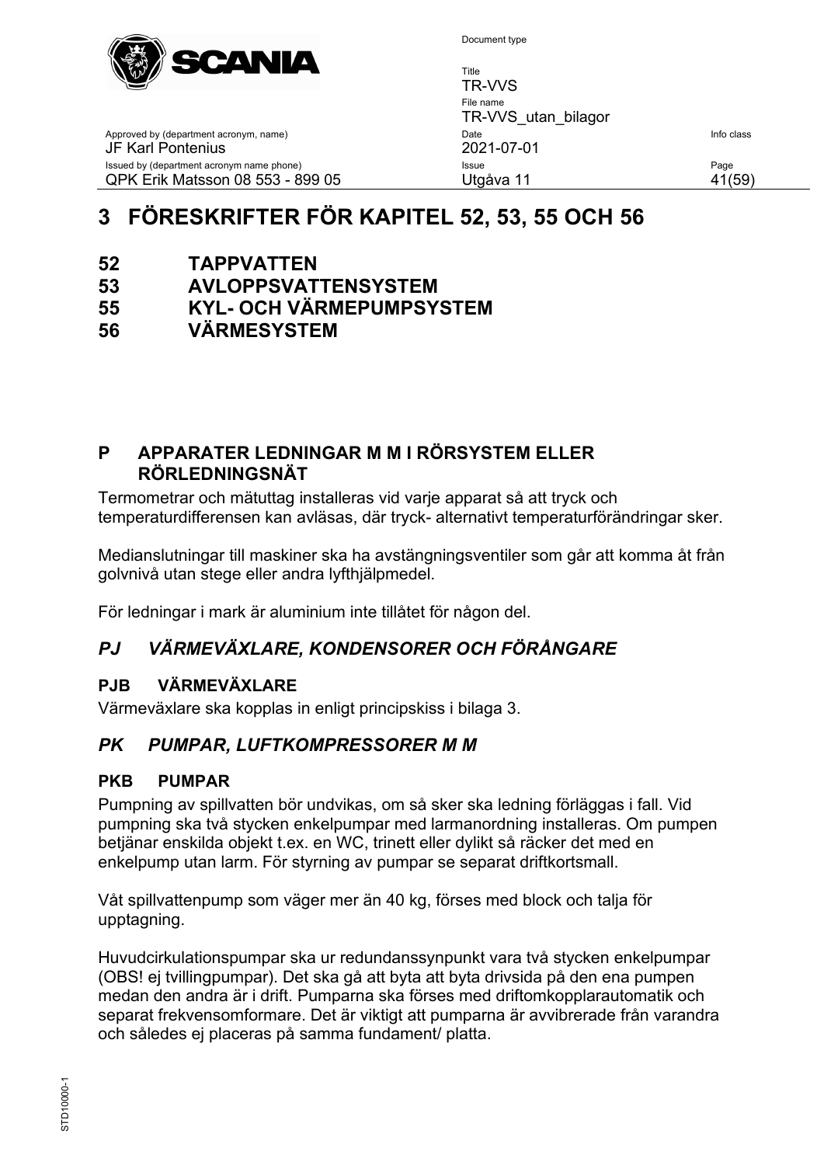

Title TR-VVS File name TR-VVS\_utan\_bilagor Approved by (department acronym, name) and the United State Info class of the United State Info class JF Karl Pontenius 2021-07-01 Issued by (department acronym name phone) **Issue Issue** Page QPK Erik Matsson 08 553 - 899 05 Utgåva 11 41(59)

# <span id="page-40-0"></span>**3 FÖRESKRIFTER FÖR KAPITEL 52, 53, 55 OCH 56**

- **52 TAPPVATTEN**
- **53 AVLOPPSVATTENSYSTEM**
- **55 KYL- OCH VÄRMEPUMPSYSTEM**
- **56 VÄRMESYSTEM**

# <span id="page-40-1"></span>**P APPARATER LEDNINGAR M M I RÖRSYSTEM ELLER RÖRLEDNINGSNÄT**

Termometrar och mätuttag installeras vid varje apparat så att tryck och temperaturdifferensen kan avläsas, där tryck- alternativt temperaturförändringar sker.

Medianslutningar till maskiner ska ha avstängningsventiler som går att komma åt från golvnivå utan stege eller andra lyfthjälpmedel.

För ledningar i mark är aluminium inte tillåtet för någon del.

# <span id="page-40-2"></span>*PJ VÄRMEVÄXLARE, KONDENSORER OCH FÖRÅNGARE*

# <span id="page-40-3"></span>**PJB VÄRMEVÄXLARE**

Värmeväxlare ska kopplas in enligt principskiss i bilaga 3.

# <span id="page-40-4"></span>*PK PUMPAR, LUFTKOMPRESSORER M M*

# <span id="page-40-5"></span>**PKB PUMPAR**

Pumpning av spillvatten bör undvikas, om så sker ska ledning förläggas i fall. Vid pumpning ska två stycken enkelpumpar med larmanordning installeras. Om pumpen betjänar enskilda objekt t.ex. en WC, trinett eller dylikt så räcker det med en enkelpump utan larm. För styrning av pumpar se separat driftkortsmall.

Våt spillvattenpump som väger mer än 40 kg, förses med block och talja för upptagning.

Huvudcirkulationspumpar ska ur redundanssynpunkt vara två stycken enkelpumpar (OBS! ej tvillingpumpar). Det ska gå att byta att byta drivsida på den ena pumpen medan den andra är i drift. Pumparna ska förses med driftomkopplarautomatik och separat frekvensomformare. Det är viktigt att pumparna är avvibrerade från varandra och således ej placeras på samma fundament/ platta.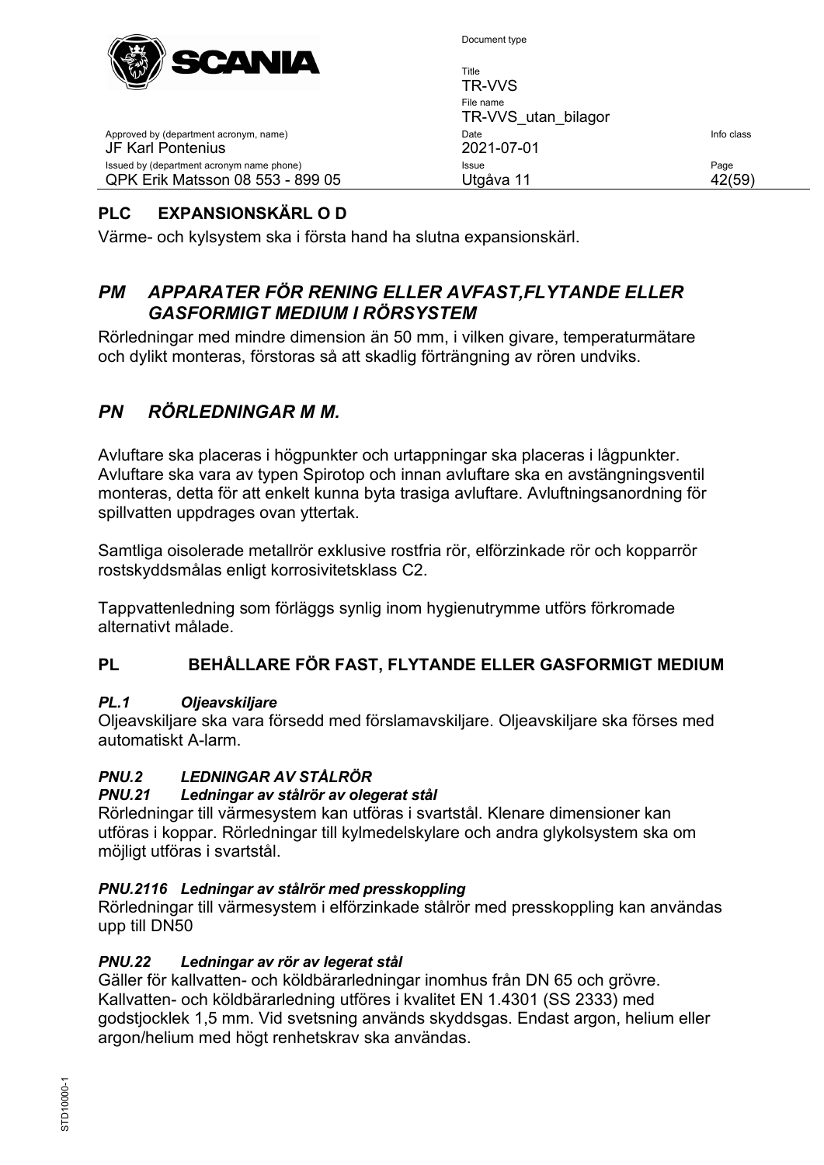

Title

| 77 T                                                                          | TR-VVS                           |                |
|-------------------------------------------------------------------------------|----------------------------------|----------------|
|                                                                               | File name<br>TR-VVS utan bilagor |                |
| Approved by (department acronym, name)<br>JF Karl Pontenius                   | Date<br>2021-07-01               | Info class     |
| Issued by (department acronym name phone)<br>QPK Erik Matsson 08 553 - 899 05 | Issue<br>Utgåva 11               | Page<br>42(59) |
|                                                                               |                                  |                |

# <span id="page-41-0"></span>**PLC EXPANSIONSKÄRL O D**

Värme- och kylsystem ska i första hand ha slutna expansionskärl.

#### <span id="page-41-1"></span>*PM APPARATER FÖR RENING ELLER AVFAST,FLYTANDE ELLER GASFORMIGT MEDIUM I RÖRSYSTEM*

Rörledningar med mindre dimension än 50 mm, i vilken givare, temperaturmätare och dylikt monteras, förstoras så att skadlig förträngning av rören undviks.

# <span id="page-41-2"></span>*PN RÖRLEDNINGAR M M.*

Avluftare ska placeras i högpunkter och urtappningar ska placeras i lågpunkter. Avluftare ska vara av typen Spirotop och innan avluftare ska en avstängningsventil monteras, detta för att enkelt kunna byta trasiga avluftare. Avluftningsanordning för spillvatten uppdrages ovan yttertak.

Samtliga oisolerade metallrör exklusive rostfria rör, elförzinkade rör och kopparrör rostskyddsmålas enligt korrosivitetsklass C2.

Tappvattenledning som förläggs synlig inom hygienutrymme utförs förkromade alternativt målade.

#### **PL BEHÅLLARE FÖR FAST, FLYTANDE ELLER GASFORMIGT MEDIUM**

#### *PL.1 Oljeavskiljare*

Oljeavskiljare ska vara försedd med förslamavskiljare. Oljeavskiljare ska förses med automatiskt A-larm.

# *PNU.2 LEDNINGAR AV STÅLRÖR*

#### *PNU.21 Ledningar av stålrör av olegerat stål*

Rörledningar till värmesystem kan utföras i svartstål. Klenare dimensioner kan utföras i koppar. Rörledningar till kylmedelskylare och andra glykolsystem ska om möjligt utföras i svartstål.

#### *PNU.2116 Ledningar av stålrör med presskoppling*

Rörledningar till värmesystem i elförzinkade stålrör med presskoppling kan användas upp till DN50

#### *PNU.22 Ledningar av rör av legerat stål*

Gäller för kallvatten- och köldbärarledningar inomhus från DN 65 och grövre. Kallvatten- och köldbärarledning utföres i kvalitet EN 1.4301 (SS 2333) med godstjocklek 1,5 mm. Vid svetsning används skyddsgas. Endast argon, helium eller argon/helium med högt renhetskrav ska användas.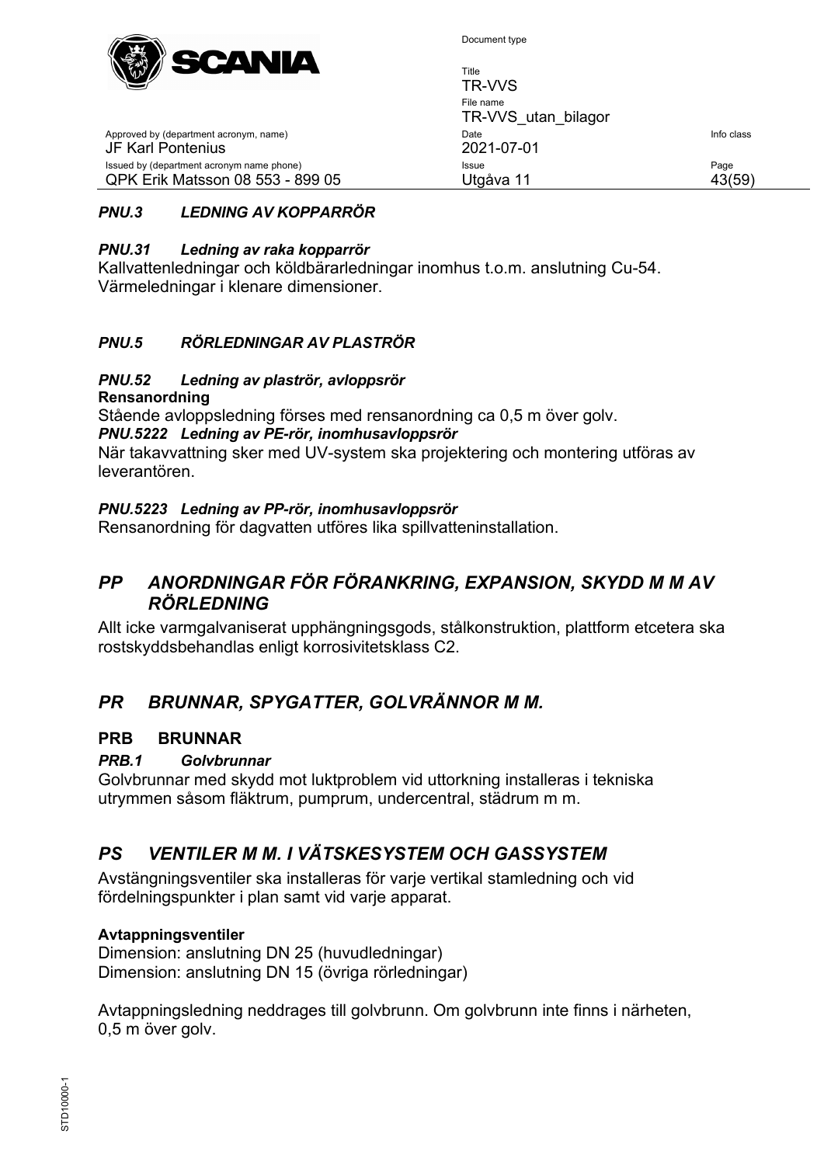

| $W^{W}$<br><u> London vien</u>                                                | Title<br>TR-VVS                  |                |
|-------------------------------------------------------------------------------|----------------------------------|----------------|
|                                                                               | File name<br>TR-VVS utan bilagor |                |
| Approved by (department acronym, name)<br>JF Karl Pontenius                   | Date<br>2021-07-01               | Info class     |
| Issued by (department acronym name phone)<br>QPK Erik Matsson 08 553 - 899 05 | Issue<br>Utgåva 11               | Page<br>43(59) |

#### *PNU.3 LEDNING AV KOPPARRÖR*

#### *PNU.31 Ledning av raka kopparrör*

Kallvattenledningar och köldbärarledningar inomhus t.o.m. anslutning Cu-54. Värmeledningar i klenare dimensioner.

#### *PNU.5 RÖRLEDNINGAR AV PLASTRÖR*

#### *PNU.52 Ledning av plaströr, avloppsrör*

**Rensanordning**

Stående avloppsledning förses med rensanordning ca 0,5 m över golv. *PNU.5222 Ledning av PE-rör, inomhusavloppsrör* När takavvattning sker med UV-system ska projektering och montering utföras av leverantören.

#### *PNU.5223 Ledning av PP-rör, inomhusavloppsrör*

Rensanordning för dagvatten utföres lika spillvatteninstallation.

#### <span id="page-42-0"></span>*PP ANORDNINGAR FÖR FÖRANKRING, EXPANSION, SKYDD M M AV RÖRLEDNING*

Allt icke varmgalvaniserat upphängningsgods, stålkonstruktion, plattform etcetera ska rostskyddsbehandlas enligt korrosivitetsklass C2.

# <span id="page-42-1"></span>*PR BRUNNAR, SPYGATTER, GOLVRÄNNOR M M.*

#### <span id="page-42-2"></span>**PRB BRUNNAR**

#### *PRB.1 Golvbrunnar*

Golvbrunnar med skydd mot luktproblem vid uttorkning installeras i tekniska utrymmen såsom fläktrum, pumprum, undercentral, städrum m m.

#### <span id="page-42-3"></span>*PS VENTILER M M. I VÄTSKESYSTEM OCH GASSYSTEM*

Avstängningsventiler ska installeras för varje vertikal stamledning och vid fördelningspunkter i plan samt vid varje apparat.

#### **Avtappningsventiler**

Dimension: anslutning DN 25 (huvudledningar) Dimension: anslutning DN 15 (övriga rörledningar)

Avtappningsledning neddrages till golvbrunn. Om golvbrunn inte finns i närheten, 0,5 m över golv.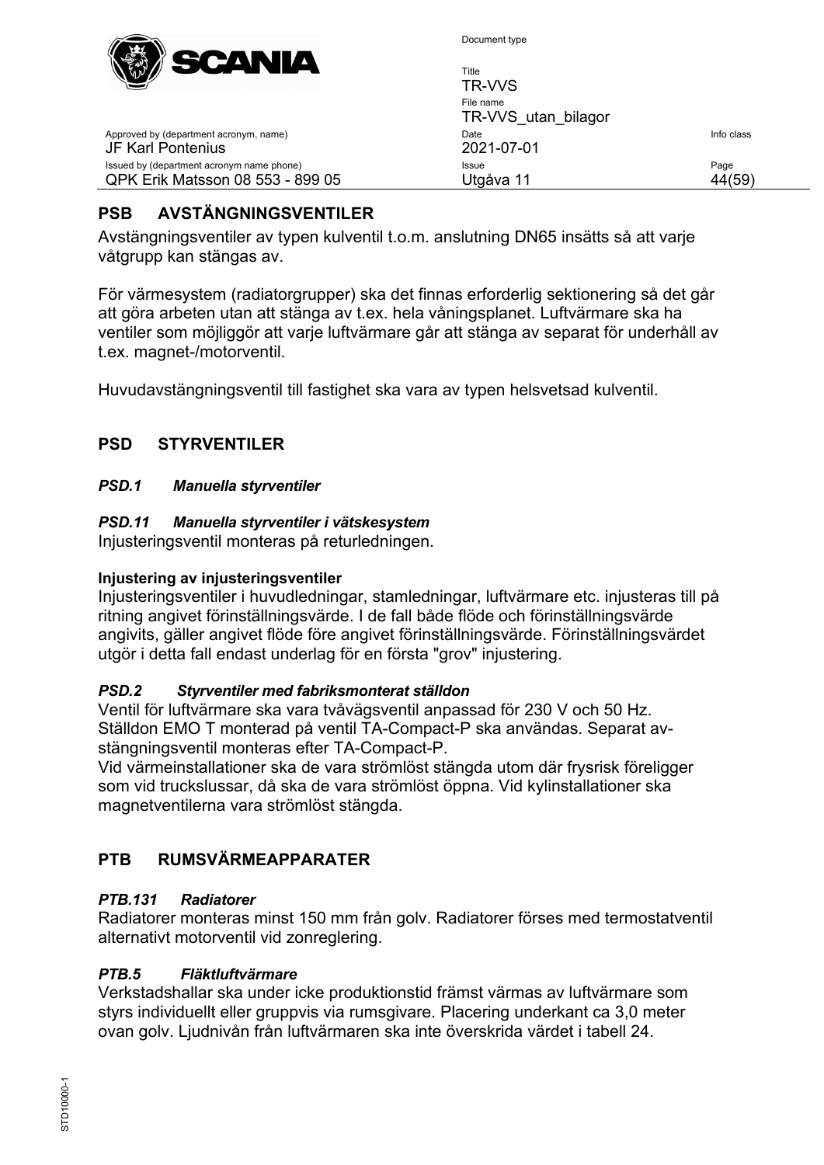

Approved by (department acronym, name)

Issued by (department acronym name phone) QPK Erik Matsson 08 553 - 899 05

JF Karl Pontenius

Document type

| Title<br>TR-VVS                  |            |
|----------------------------------|------------|
| File name<br>TR-VVS utan bilagor |            |
| Date<br>2021-07-01               | Info class |
| Issue<br>Utgåva 11               | Page       |

# <span id="page-43-0"></span>**PSB AVSTÄNGNINGSVENTILER**

Avstängningsventiler av typen kulventil t.o.m. anslutning DN65 insätts så att varje våtgrupp kan stängas av.

För värmesystem (radiatorgrupper) ska det finnas erforderlig sektionering så det går att göra arbeten utan att stänga av t.ex. hela våningsplanet. Luftvärmare ska ha ventiler som möjliggör att varje luftvärmare går att stänga av separat för underhåll av t.ex. magnet-/motorventil.

Huvudavstängningsventil till fastighet ska vara av typen helsvetsad kulventil.

#### <span id="page-43-1"></span>**PSD STYRVENTILER**

#### *PSD.1 Manuella styrventiler*

#### *PSD.11 Manuella styrventiler i vätskesystem*

Injusteringsventil monteras på returledningen.

#### **Injustering av injusteringsventiler**

Injusteringsventiler i huvudledningar, stamledningar, luftvärmare etc. injusteras till på ritning angivet förinställningsvärde. I de fall både flöde och förinställningsvärde angivits, gäller angivet flöde före angivet förinställningsvärde. Förinställningsvärdet utgör i detta fall endast underlag för en första "grov" injustering.

#### *PSD.2 Styrventiler med fabriksmonterat ställdon*

Ventil för luftvärmare ska vara tvåvägsventil anpassad för 230 V och 50 Hz. Ställdon EMO T monterad på ventil TA-Compact-P ska användas. Separat avstängningsventil monteras efter TA-Compact-P.

Vid värmeinstallationer ska de vara strömlöst stängda utom där frysrisk föreligger som vid truckslussar, då ska de vara strömlöst öppna. Vid kylinstallationer ska magnetventilerna vara strömlöst stängda.

#### <span id="page-43-2"></span>**PTB RUMSVÄRMEAPPARATER**

#### *PTB.131 Radiatorer*

Radiatorer monteras minst 150 mm från golv. Radiatorer förses med termostatventil alternativt motorventil vid zonreglering.

#### *PTB.5 Fläktluftvärmare*

Verkstadshallar ska under icke produktionstid främst värmas av luftvärmare som styrs individuellt eller gruppvis via rumsgivare. Placering underkant ca 3,0 meter ovan golv. Ljudnivån från luftvärmaren ska inte överskrida värdet i tabell 24.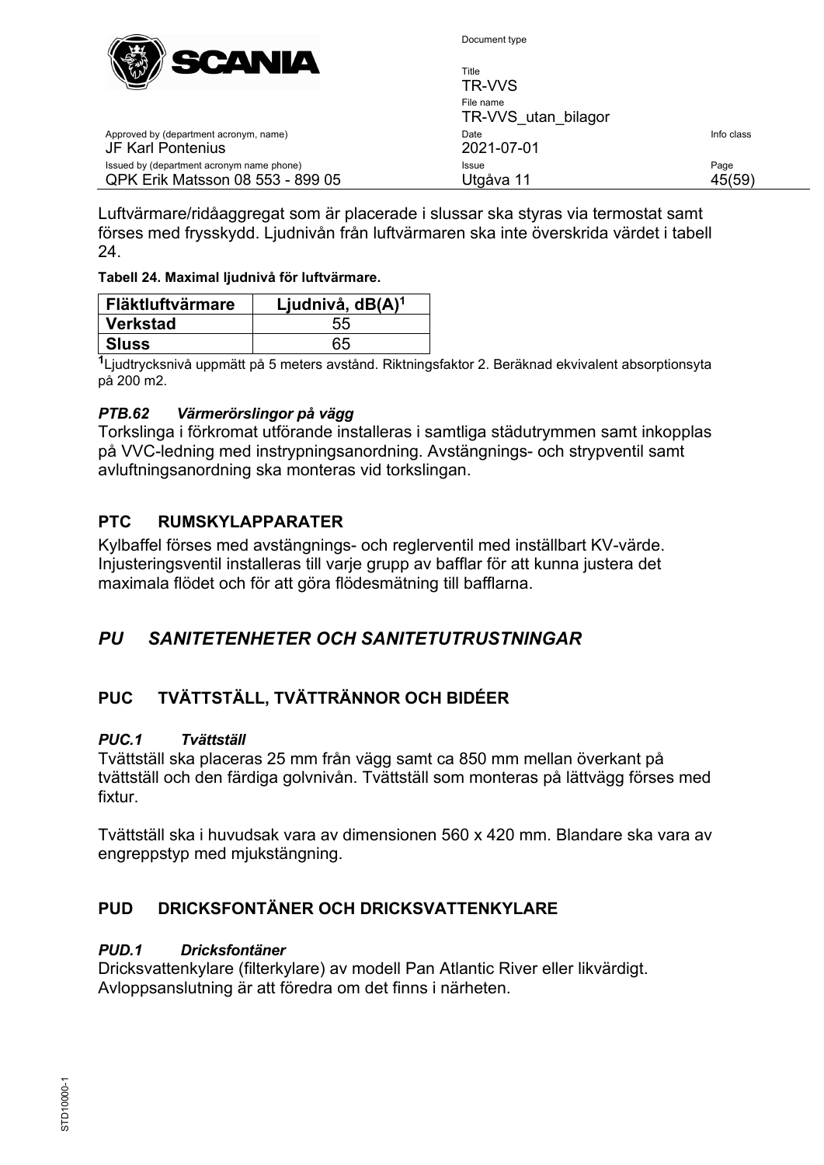

Title

| $\sqrt{2}$                                                                    | TR-VVS                           |                |
|-------------------------------------------------------------------------------|----------------------------------|----------------|
|                                                                               | File name<br>TR-VVS utan bilagor |                |
| Approved by (department acronym, name)<br>JF Karl Pontenius                   | Date<br>2021-07-01               | Info class     |
| Issued by (department acronym name phone)<br>QPK Erik Matsson 08 553 - 899 05 | Issue<br>Utgåva 11               | Page<br>45(59) |

Luftvärmare/ridåaggregat som är placerade i slussar ska styras via termostat samt förses med frysskydd. Ljudnivån från luftvärmaren ska inte överskrida värdet i tabell 24.

#### **Tabell 24. Maximal ljudnivå för luftvärmare.**

| Fläktluftvärmare | Ljudnivå, dB(A) <sup>1</sup> |
|------------------|------------------------------|
| Verkstad         | 55                           |
| ∣ Sluss          | 65                           |

**<sup>1</sup>**Ljudtrycksnivå uppmätt på 5 meters avstånd. Riktningsfaktor 2. Beräknad ekvivalent absorptionsyta på 200 m2.

#### *PTB.62 Värmerörslingor på vägg*

Torkslinga i förkromat utförande installeras i samtliga städutrymmen samt inkopplas på VVC-ledning med instrypningsanordning. Avstängnings- och strypventil samt avluftningsanordning ska monteras vid torkslingan.

#### <span id="page-44-0"></span>**PTC RUMSKYLAPPARATER**

Kylbaffel förses med avstängnings- och reglerventil med inställbart KV-värde. Injusteringsventil installeras till varje grupp av bafflar för att kunna justera det maximala flödet och för att göra flödesmätning till bafflarna.

#### <span id="page-44-1"></span>*PU SANITETENHETER OCH SANITETUTRUSTNINGAR*

# <span id="page-44-2"></span>**PUC TVÄTTSTÄLL, TVÄTTRÄNNOR OCH BIDÉER**

#### *PUC.1 Tvättställ*

Tvättställ ska placeras 25 mm från vägg samt ca 850 mm mellan överkant på tvättställ och den färdiga golvnivån. Tvättställ som monteras på lättvägg förses med fixtur.

Tvättställ ska i huvudsak vara av dimensionen 560 x 420 mm. Blandare ska vara av engreppstyp med mjukstängning.

## <span id="page-44-3"></span>**PUD DRICKSFONTÄNER OCH DRICKSVATTENKYLARE**

#### *PUD.1 Dricksfontäner*

Dricksvattenkylare (filterkylare) av modell Pan Atlantic River eller likvärdigt. Avloppsanslutning är att föredra om det finns i närheten.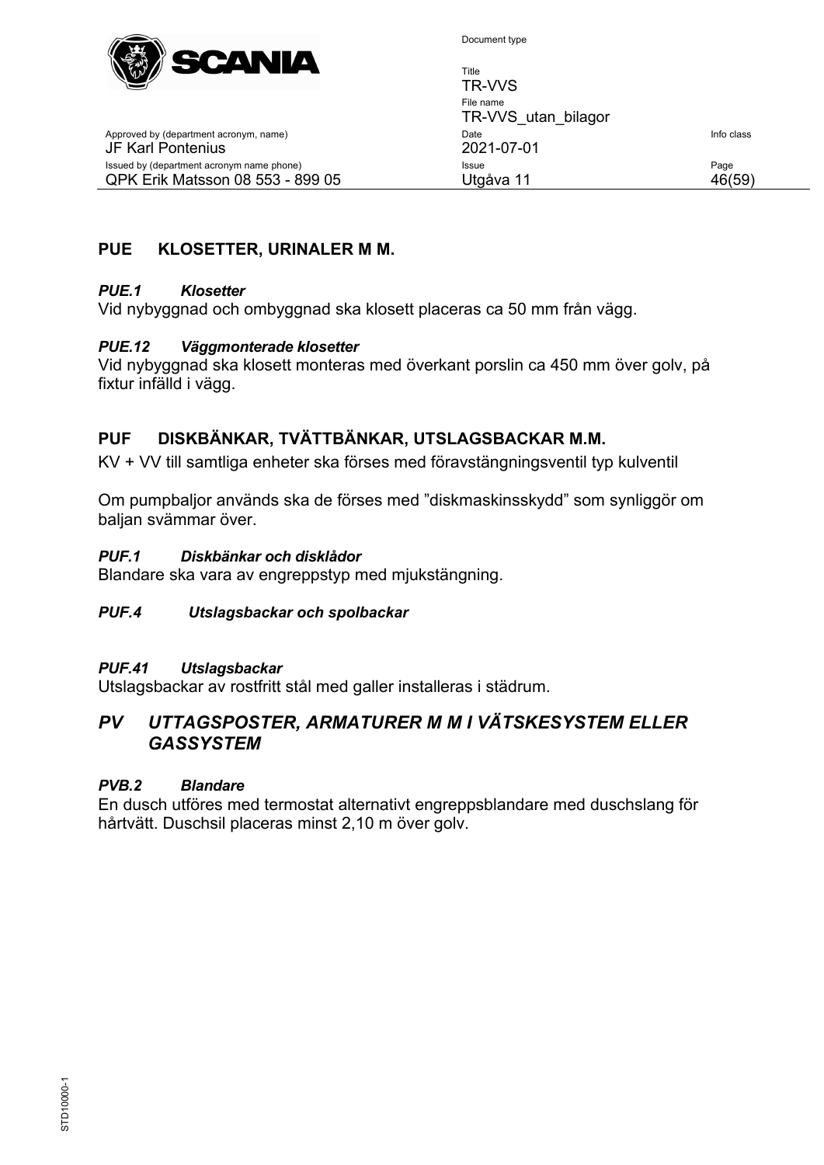

Title

| $\sqrt{2}$                                                                    | TR-VVS                           |                |
|-------------------------------------------------------------------------------|----------------------------------|----------------|
|                                                                               | File name<br>TR-VVS utan bilagor |                |
| Approved by (department acronym, name)<br>JF Karl Pontenius                   | Date<br>2021-07-01               | Info class     |
| Issued by (department acronym name phone)<br>QPK Erik Matsson 08 553 - 899 05 | Issue<br>Utgåva 11               | Page<br>46(59) |
|                                                                               |                                  |                |

#### <span id="page-45-0"></span>**PUE KLOSETTER, URINALER M M.**

#### *PUE.1 Klosetter*

Vid nybyggnad och ombyggnad ska klosett placeras ca 50 mm från vägg.

#### *PUE.12 Väggmonterade klosetter*

Vid nybyggnad ska klosett monteras med överkant porslin ca 450 mm över golv, på fixtur infälld i vägg.

#### <span id="page-45-1"></span>**PUF DISKBÄNKAR, TVÄTTBÄNKAR, UTSLAGSBACKAR M.M.**

KV + VV till samtliga enheter ska förses med föravstängningsventil typ kulventil

Om pumpbaljor används ska de förses med "diskmaskinsskydd" som synliggör om baljan svämmar över.

#### *PUF.1 Diskbänkar och disklådor*

Blandare ska vara av engreppstyp med mjukstängning.

#### *PUF.4 Utslagsbackar och spolbackar*

#### *PUF.41 Utslagsbackar*

Utslagsbackar av rostfritt stål med galler installeras i städrum.

#### <span id="page-45-2"></span>*PV UTTAGSPOSTER, ARMATURER M M I VÄTSKESYSTEM ELLER GASSYSTEM*

#### *PVB.2 Blandare*

En dusch utföres med termostat alternativt engreppsblandare med duschslang för hårtvätt. Duschsil placeras minst 2,10 m över golv.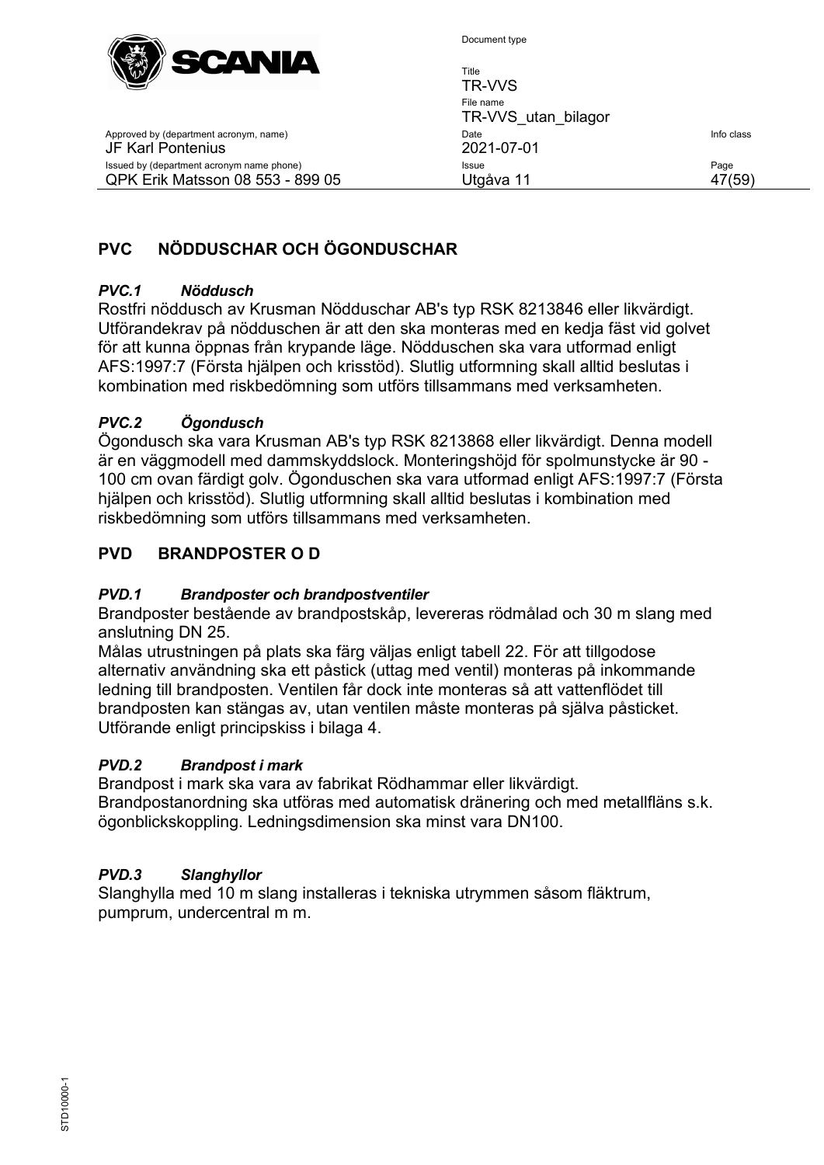

Approved by (department acronym, name)

Issued by (department acronym name phone) QPK Erik Matsson 08 553 - 899 05

JF Karl Pontenius

Document type

| TR-VVS utan bilagor<br>Date | Info class |
|-----------------------------|------------|
| 2021-07-01                  |            |
| Issue<br>Utgåva 11          | Page       |

# <span id="page-46-0"></span>**PVC NÖDDUSCHAR OCH ÖGONDUSCHAR**

#### *PVC.1 Nöddusch*

Rostfri nöddusch av Krusman Nödduschar AB's typ RSK 8213846 eller likvärdigt. Utförandekrav på nödduschen är att den ska monteras med en kedja fäst vid golvet för att kunna öppnas från krypande läge. Nödduschen ska vara utformad enligt AFS:1997:7 (Första hjälpen och krisstöd). Slutlig utformning skall alltid beslutas i kombination med riskbedömning som utförs tillsammans med verksamheten.

#### *PVC.2 Ögondusch*

Ögondusch ska vara Krusman AB's typ RSK 8213868 eller likvärdigt. Denna modell är en väggmodell med dammskyddslock. Monteringshöjd för spolmunstycke är 90 - 100 cm ovan färdigt golv. Ögonduschen ska vara utformad enligt AFS:1997:7 (Första hjälpen och krisstöd). Slutlig utformning skall alltid beslutas i kombination med riskbedömning som utförs tillsammans med verksamheten.

#### <span id="page-46-1"></span>**PVD BRANDPOSTER O D**

#### *PVD.1 Brandposter och brandpostventiler*

Brandposter bestående av brandpostskåp, levereras rödmålad och 30 m slang med anslutning DN 25.

Målas utrustningen på plats ska färg väljas enligt tabell 22. För att tillgodose alternativ användning ska ett påstick (uttag med ventil) monteras på inkommande ledning till brandposten. Ventilen får dock inte monteras så att vattenflödet till brandposten kan stängas av, utan ventilen måste monteras på själva påsticket. Utförande enligt principskiss i bilaga 4.

#### *PVD.2 Brandpost i mark*

Brandpost i mark ska vara av fabrikat Rödhammar eller likvärdigt. Brandpostanordning ska utföras med automatisk dränering och med metallfläns s.k. ögonblickskoppling. Ledningsdimension ska minst vara DN100.

#### *PVD.3 Slanghyllor*

Slanghylla med 10 m slang installeras i tekniska utrymmen såsom fläktrum, pumprum, undercentral m m.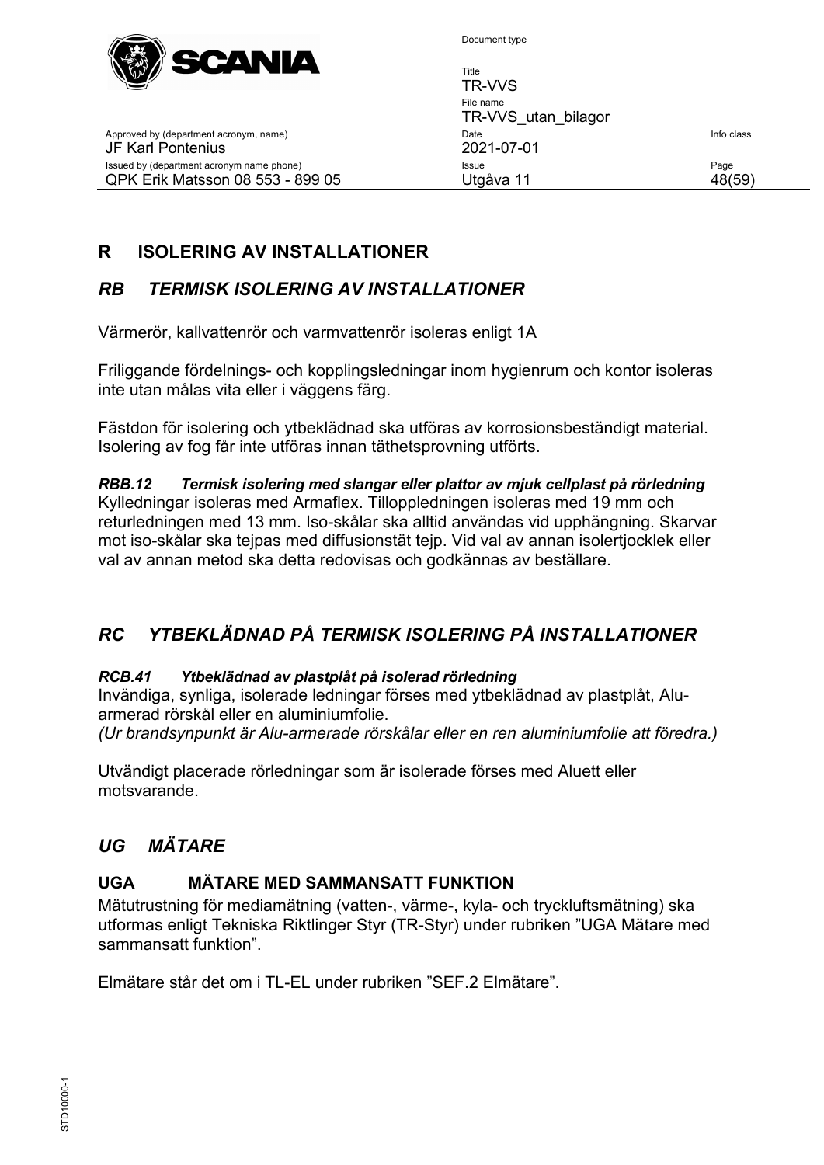

Title TR-VVS File name TR-VVS\_utan\_bilagor Approved by (department acronym, name) and the United State Info class of the United State Info class JF Karl Pontenius 2021-07-01 Issued by (department acronym name phone) **Issue Issue Issue Page** QPK Erik Matsson 08 553 - 899 05 Utgåva 11 48(59)

# <span id="page-47-0"></span>**R ISOLERING AV INSTALLATIONER**

# <span id="page-47-1"></span>*RB TERMISK ISOLERING AV INSTALLATIONER*

Värmerör, kallvattenrör och varmvattenrör isoleras enligt 1A

Friliggande fördelnings- och kopplingsledningar inom hygienrum och kontor isoleras inte utan målas vita eller i väggens färg.

Fästdon för isolering och ytbeklädnad ska utföras av korrosionsbeständigt material. Isolering av fog får inte utföras innan täthetsprovning utförts.

*RBB.12 Termisk isolering med slangar eller plattor av mjuk cellplast på rörledning* Kylledningar isoleras med Armaflex. Tilloppledningen isoleras med 19 mm och returledningen med 13 mm. Iso-skålar ska alltid användas vid upphängning. Skarvar mot iso-skålar ska tejpas med diffusionstät tejp. Vid val av annan isolertjocklek eller val av annan metod ska detta redovisas och godkännas av beställare.

# <span id="page-47-2"></span>*RC YTBEKLÄDNAD PÅ TERMISK ISOLERING PÅ INSTALLATIONER*

#### *RCB.41 Ytbeklädnad av plastplåt på isolerad rörledning*

Invändiga, synliga, isolerade ledningar förses med ytbeklädnad av plastplåt, Aluarmerad rörskål eller en aluminiumfolie.

*(Ur brandsynpunkt är Alu-armerade rörskålar eller en ren aluminiumfolie att föredra.)*

Utvändigt placerade rörledningar som är isolerade förses med Aluett eller motsvarande.

# <span id="page-47-3"></span>*UG MÄTARE*

# <span id="page-47-4"></span>**UGA MÄTARE MED SAMMANSATT FUNKTION**

Mätutrustning för mediamätning (vatten-, värme-, kyla- och tryckluftsmätning) ska utformas enligt Tekniska Riktlinger Styr (TR-Styr) under rubriken "UGA Mätare med sammansatt funktion".

Elmätare står det om i TL-EL under rubriken "SEF.2 Elmätare".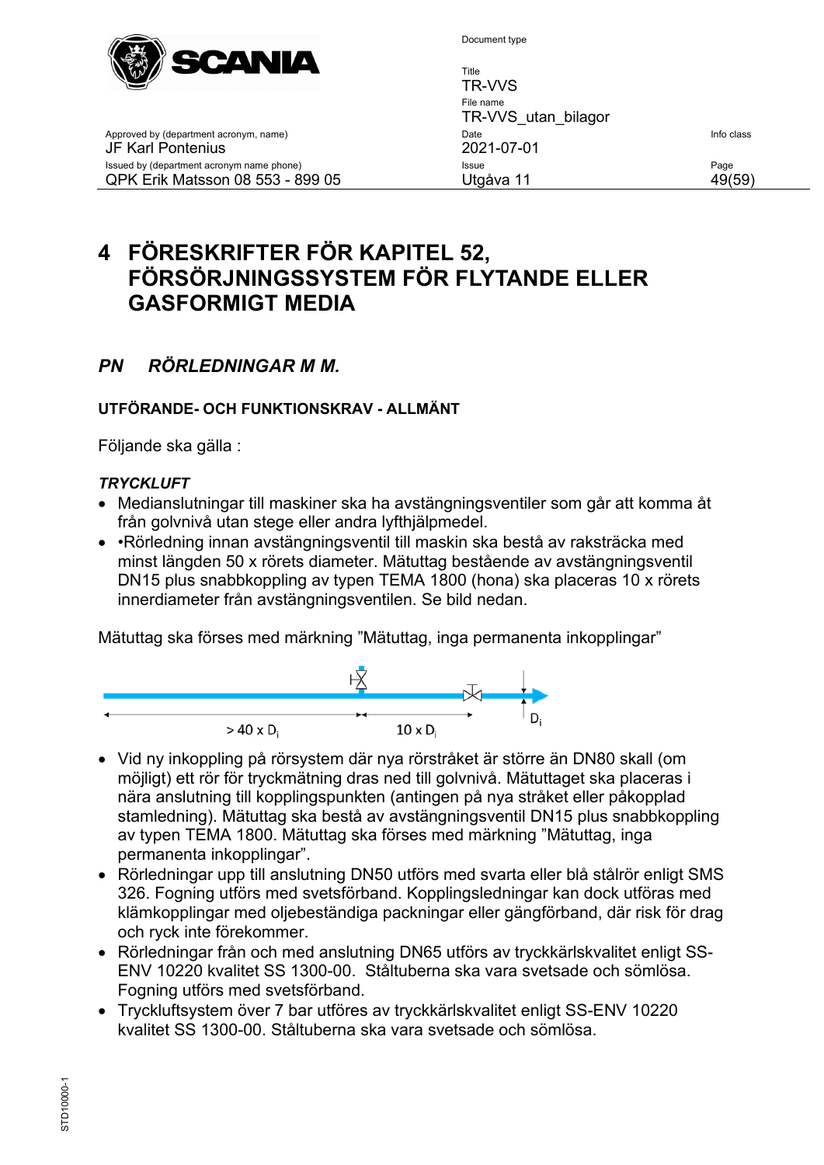

TR-VVS File name TR-VVS\_utan\_bilagor Approved by (department acronym, name) and the United State Info class of the United State Info class JF Karl Pontenius 2021-07-01 Issued by (department acronym name phone) and accompany of the state of the extendio page of the Page QPK Erik Matsson 08 553 - 899 05 Utgåva 11 49(59)

Title

# <span id="page-48-0"></span>**4 FÖRESKRIFTER FÖR KAPITEL 52, FÖRSÖRJNINGSSYSTEM FÖR FLYTANDE ELLER GASFORMIGT MEDIA**

# <span id="page-48-1"></span>*PN RÖRLEDNINGAR M M.*

#### **UTFÖRANDE- OCH FUNKTIONSKRAV - ALLMÄNT**

Följande ska gälla :

#### *TRYCKLUFT*

- Medianslutningar till maskiner ska ha avstängningsventiler som går att komma åt från golvnivå utan stege eller andra lyfthjälpmedel.
- •Rörledning innan avstängningsventil till maskin ska bestå av raksträcka med minst längden 50 x rörets diameter. Mätuttag bestående av avstängningsventil DN15 plus snabbkoppling av typen TEMA 1800 (hona) ska placeras 10 x rörets innerdiameter från avstängningsventilen. Se bild nedan.

Mätuttag ska förses med märkning "Mätuttag, inga permanenta inkopplingar"



- Vid ny inkoppling på rörsystem där nya rörstråket är större än DN80 skall (om möjligt) ett rör för tryckmätning dras ned till golvnivå. Mätuttaget ska placeras i nära anslutning till kopplingspunkten (antingen på nya stråket eller påkopplad stamledning). Mätuttag ska bestå av avstängningsventil DN15 plus snabbkoppling av typen TEMA 1800. Mätuttag ska förses med märkning "Mätuttag, inga permanenta inkopplingar".
- Rörledningar upp till anslutning DN50 utförs med svarta eller blå stålrör enligt SMS 326. Fogning utförs med svetsförband. Kopplingsledningar kan dock utföras med klämkopplingar med oljebeständiga packningar eller gängförband, där risk för drag och ryck inte förekommer.
- Rörledningar från och med anslutning DN65 utförs av tryckkärlskvalitet enligt SS-ENV 10220 kvalitet SS 1300-00. Ståltuberna ska vara svetsade och sömlösa. Fogning utförs med svetsförband.
- Tryckluftsystem över 7 bar utföres av tryckkärlskvalitet enligt SS-ENV 10220 kvalitet SS 1300-00. Ståltuberna ska vara svetsade och sömlösa.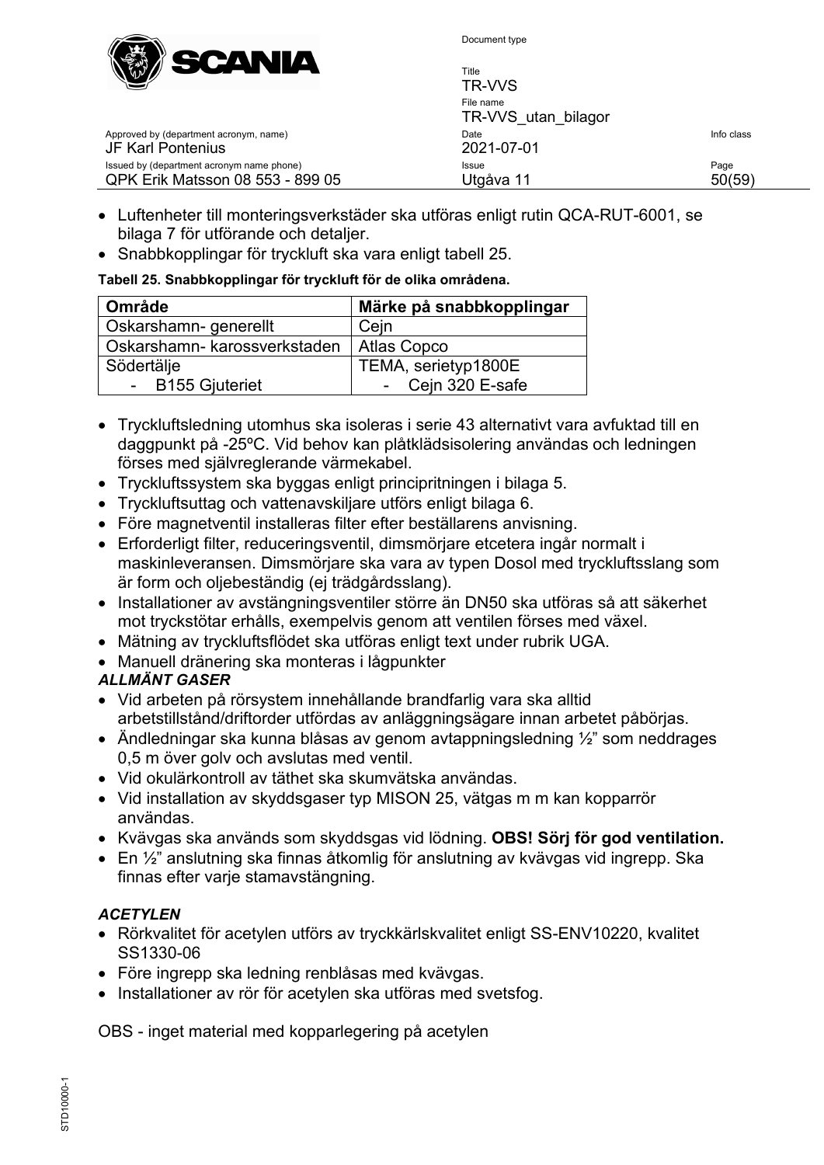

| $W^{w}$<br>--------                                                           | Title<br>TR-VVS                  |                |
|-------------------------------------------------------------------------------|----------------------------------|----------------|
|                                                                               | File name<br>TR-VVS utan bilagor |                |
| Approved by (department acronym, name)<br>JF Karl Pontenius                   | Date<br>2021-07-01               | Info class     |
| Issued by (department acronym name phone)<br>QPK Erik Matsson 08 553 - 899 05 | <b>Issue</b><br>Utgåva 11        | Page<br>50(59) |

- Luftenheter till monteringsverkstäder ska utföras enligt rutin QCA-RUT-6001, se bilaga 7 för utförande och detaljer.
- Snabbkopplingar för tryckluft ska vara enligt tabell 25.

#### **Tabell 25. Snabbkopplingar för tryckluft för de olika områdena.**

| <b>Område</b>                | Märke på snabbkopplingar |
|------------------------------|--------------------------|
| Oskarshamn- generellt        | Cein                     |
| Oskarshamn- karossverkstaden | <b>Atlas Copco</b>       |
| Södertälje                   | TEMA, serietyp1800E      |
| - B155 Gjuteriet             | - Cejn 320 E-safe        |

- Tryckluftsledning utomhus ska isoleras i serie 43 alternativt vara avfuktad till en daggpunkt på -25ºC. Vid behov kan plåtklädsisolering användas och ledningen förses med självreglerande värmekabel.
- Tryckluftssystem ska byggas enligt principritningen i bilaga 5.
- Tryckluftsuttag och vattenavskiljare utförs enligt bilaga 6.
- Före magnetventil installeras filter efter beställarens anvisning.
- Erforderligt filter, reduceringsventil, dimsmörjare etcetera ingår normalt i maskinleveransen. Dimsmörjare ska vara av typen Dosol med tryckluftsslang som är form och oljebeständig (ej trädgårdsslang).
- Installationer av avstängningsventiler större än DN50 ska utföras så att säkerhet mot tryckstötar erhålls, exempelvis genom att ventilen förses med växel.
- Mätning av tryckluftsflödet ska utföras enligt text under rubrik UGA.
- Manuell dränering ska monteras i lågpunkter

#### *ALLMÄNT GASER*

- Vid arbeten på rörsystem innehållande brandfarlig vara ska alltid arbetstillstånd/driftorder utfördas av anläggningsägare innan arbetet påbörjas.
- Ändledningar ska kunna blåsas av genom avtappningsledning ½" som neddrages 0,5 m över golv och avslutas med ventil.
- Vid okulärkontroll av täthet ska skumvätska användas.
- Vid installation av skyddsgaser typ MISON 25, vätgas m m kan kopparrör användas.
- Kvävgas ska används som skyddsgas vid lödning. **OBS! Sörj för god ventilation.**
- En ½" anslutning ska finnas åtkomlig för anslutning av kvävgas vid ingrepp. Ska finnas efter varje stamavstängning.

#### *ACETYLEN*

- Rörkvalitet för acetylen utförs av tryckkärlskvalitet enligt SS-ENV10220, kvalitet SS1330-06
- Före ingrepp ska ledning renblåsas med kvävgas.
- Installationer av rör för acetylen ska utföras med svetsfog.

OBS - inget material med kopparlegering på acetylen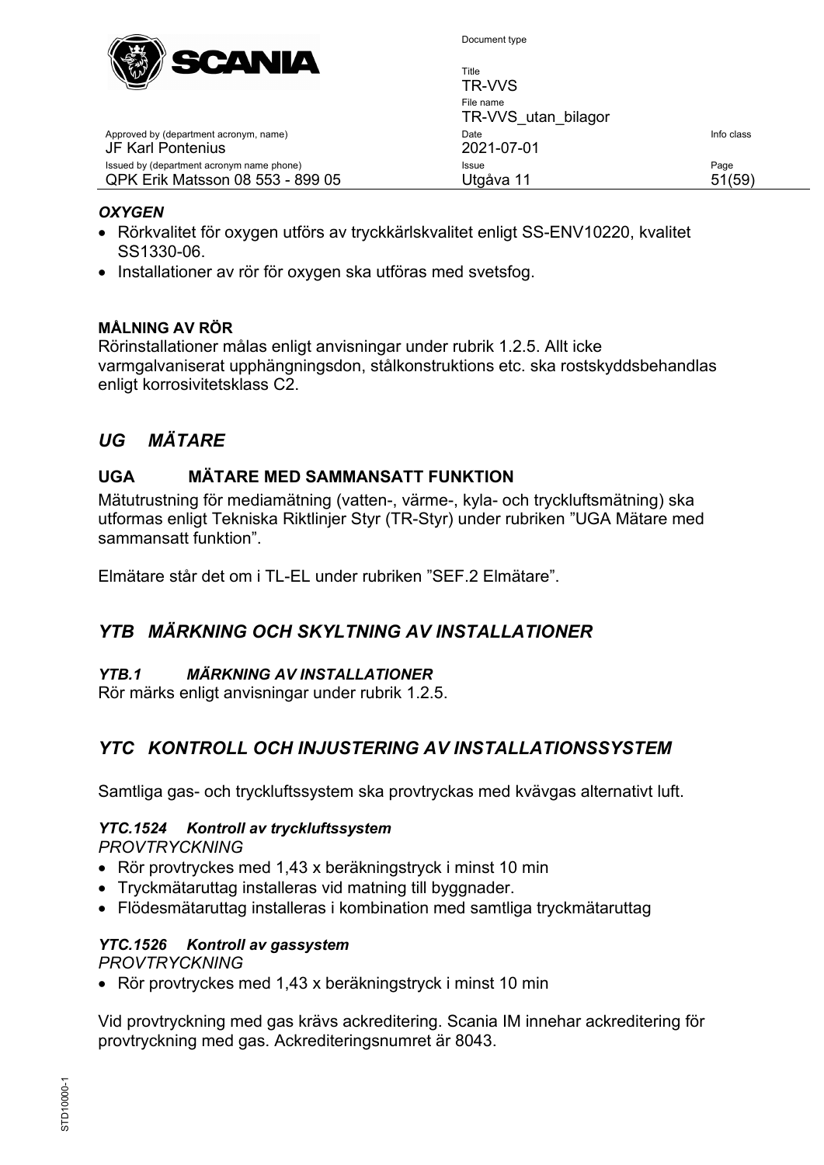

| $\mathbb{Z}^{n}$                                            | טוע<br>TR-VVS                    |            |
|-------------------------------------------------------------|----------------------------------|------------|
|                                                             | File name<br>TR-VVS utan bilagor |            |
| Approved by (department acronym, name)<br>JF Karl Pontenius | Date<br>2021-07-01               | Info class |
| Issued by (department acronym name phone)                   | Issue                            | Page       |
| QPK Erik Matsson 08 553 - 899 05                            | Utgåva 11                        | 51(59)     |

Title

#### *OXYGEN*

- Rörkvalitet för oxygen utförs av tryckkärlskvalitet enligt SS-ENV10220, kvalitet SS1330-06.
- Installationer av rör för oxygen ska utföras med svetsfog.

#### **MÅLNING AV RÖR**

Rörinstallationer målas enligt anvisningar under rubrik [1.2.5.](#page-26-0) Allt icke varmgalvaniserat upphängningsdon, stålkonstruktions etc. ska rostskyddsbehandlas enligt korrosivitetsklass C2.

## <span id="page-50-0"></span>*UG MÄTARE*

#### <span id="page-50-1"></span>**UGA MÄTARE MED SAMMANSATT FUNKTION**

Mätutrustning för mediamätning (vatten-, värme-, kyla- och tryckluftsmätning) ska utformas enligt Tekniska Riktlinjer Styr (TR-Styr) under rubriken "UGA Mätare med sammansatt funktion".

Elmätare står det om i TL-EL under rubriken "SEF.2 Elmätare".

#### <span id="page-50-2"></span>*YTB MÄRKNING OCH SKYLTNING AV INSTALLATIONER*

#### *YTB.1 MÄRKNING AV INSTALLATIONER*

Rör märks enligt anvisningar under rubrik [1.2.5.](#page-26-0)

#### <span id="page-50-3"></span>*YTC KONTROLL OCH INJUSTERING AV INSTALLATIONSSYSTEM*

Samtliga gas- och tryckluftssystem ska provtryckas med kvävgas alternativt luft.

#### *YTC.1524 Kontroll av tryckluftssystem*

*PROVTRYCKNING*

- Rör provtryckes med 1,43 x beräkningstryck i minst 10 min
- Tryckmätaruttag installeras vid matning till byggnader.
- Flödesmätaruttag installeras i kombination med samtliga tryckmätaruttag

#### *YTC.1526 Kontroll av gassystem*

*PROVTRYCKNING*

• Rör provtryckes med 1,43 x beräkningstryck i minst 10 min

Vid provtryckning med gas krävs ackreditering. Scania IM innehar ackreditering för provtryckning med gas. Ackrediteringsnumret är 8043.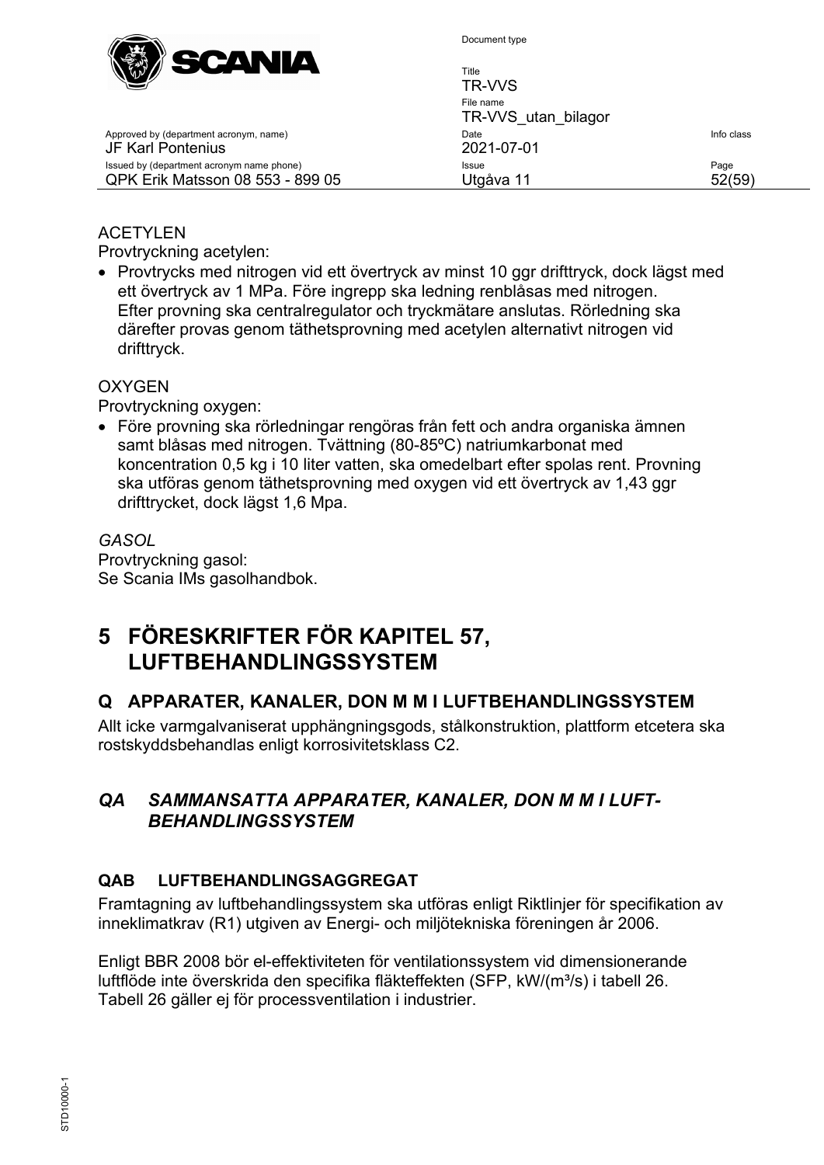

Approved by (department acronym, name)

Issued by (department acronym name phone) QPK Erik Matsson 08 553 - 899 05

JF Karl Pontenius

Document type

| Title<br>TR-VVS                  |                            |
|----------------------------------|----------------------------|
| File name<br>TR-VVS utan bilagor |                            |
| Date<br>2021-07-01               | Info class                 |
| Issue<br>Utgåva 11               | Page<br>$52^{\circ}$<br>59 |

#### ACETYLEN

Provtryckning acetylen:

• Provtrycks med nitrogen vid ett övertryck av minst 10 ggr drifttryck, dock lägst med ett övertryck av 1 MPa. Före ingrepp ska ledning renblåsas med nitrogen. Efter provning ska centralregulator och tryckmätare anslutas. Rörledning ska därefter provas genom täthetsprovning med acetylen alternativt nitrogen vid drifttryck.

#### **OXYGEN**

Provtryckning oxygen:

• Före provning ska rörledningar rengöras från fett och andra organiska ämnen samt blåsas med nitrogen. Tvättning (80-85ºC) natriumkarbonat med koncentration 0,5 kg i 10 liter vatten, ska omedelbart efter spolas rent. Provning ska utföras genom täthetsprovning med oxygen vid ett övertryck av 1,43 ggr drifttrycket, dock lägst 1,6 Mpa.

*GASOL* Provtryckning gasol: Se Scania IMs gasolhandbok.

# <span id="page-51-0"></span>**5 FÖRESKRIFTER FÖR KAPITEL 57, LUFTBEHANDLINGSSYSTEM**

# <span id="page-51-1"></span>**Q APPARATER, KANALER, DON M M I LUFTBEHANDLINGSSYSTEM**

Allt icke varmgalvaniserat upphängningsgods, stålkonstruktion, plattform etcetera ska rostskyddsbehandlas enligt korrosivitetsklass C2.

#### <span id="page-51-2"></span>*QA SAMMANSATTA APPARATER, KANALER, DON M M I LUFT-BEHANDLINGSSYSTEM*

#### <span id="page-51-3"></span>**QAB LUFTBEHANDLINGSAGGREGAT**

Framtagning av luftbehandlingssystem ska utföras enligt Riktlinjer för specifikation av inneklimatkrav (R1) utgiven av Energi- och miljötekniska föreningen år 2006.

Enligt BBR 2008 bör el-effektiviteten för ventilationssystem vid dimensionerande luftflöde inte överskrida den specifika fläkteffekten (SFP, kW/(m<sup>3</sup>/s) i tabell 26. Tabell 26 gäller ej för processventilation i industrier.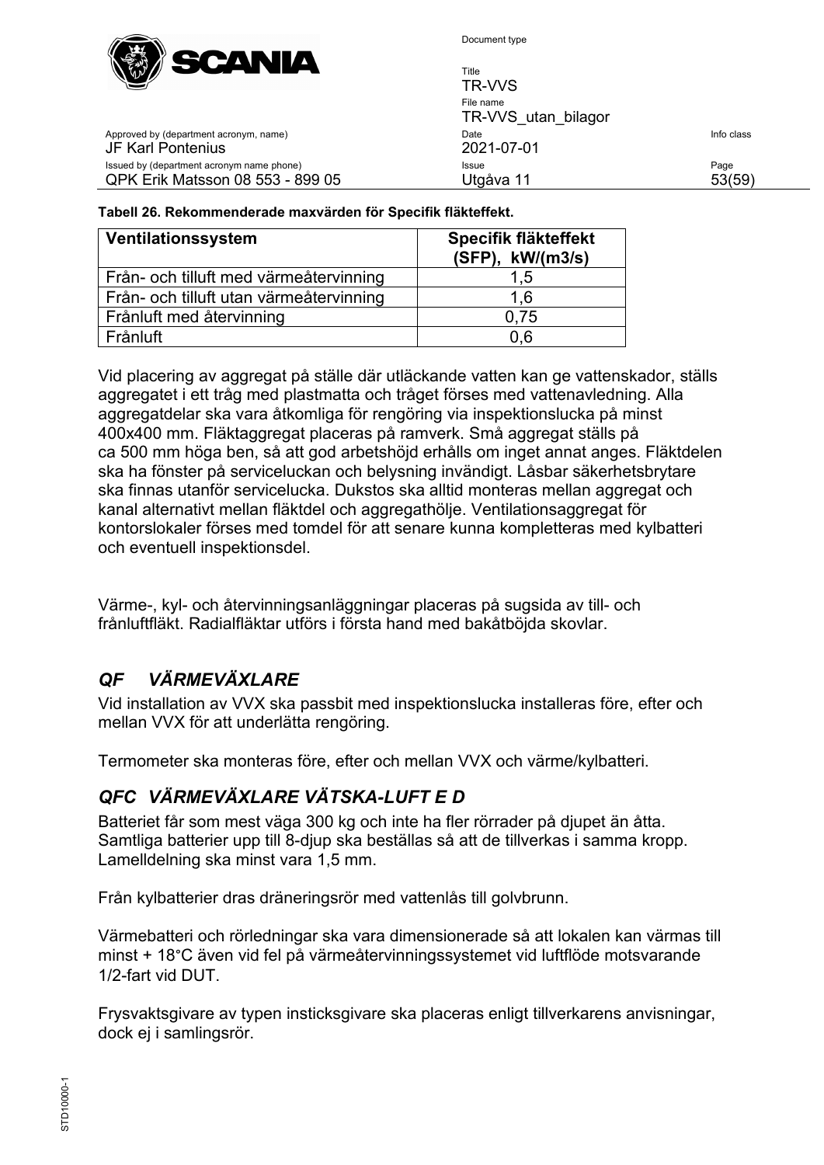

Title TR-VVS File name TR-VVS\_utan\_bilagor Approved by (department acronym, name) and the United State Info class of the United State Info class JF Karl Pontenius 2021-07-01 Issued by (department acronym name phone) **Issue Issue Issue Page** QPK Erik Matsson 08 553 - 899 05 Utgåva 11 53(59)

**Tabell 26. Rekommenderade maxvärden för Specifik fläkteffekt.**

| Ventilationssystem                      | Specifik fläkteffekt<br>(SFP), kW/(m3/s) |
|-----------------------------------------|------------------------------------------|
| Från- och tilluft med värmeåtervinning  | 1.5                                      |
| Från- och tilluft utan värmeåtervinning | 1.6                                      |
| Frånluft med återvinning                | 0.75                                     |
| Frånluft                                | 0.6                                      |

Vid placering av aggregat på ställe där utläckande vatten kan ge vattenskador, ställs aggregatet i ett tråg med plastmatta och tråget förses med vattenavledning. Alla aggregatdelar ska vara åtkomliga för rengöring via inspektionslucka på minst 400x400 mm. Fläktaggregat placeras på ramverk. Små aggregat ställs på ca 500 mm höga ben, så att god arbetshöjd erhålls om inget annat anges. Fläktdelen ska ha fönster på serviceluckan och belysning invändigt. Låsbar säkerhetsbrytare ska finnas utanför servicelucka. Dukstos ska alltid monteras mellan aggregat och kanal alternativt mellan fläktdel och aggregathölje. Ventilationsaggregat för kontorslokaler förses med tomdel för att senare kunna kompletteras med kylbatteri och eventuell inspektionsdel.

Värme-, kyl- och återvinningsanläggningar placeras på sugsida av till- och frånluftfläkt. Radialfläktar utförs i första hand med bakåtböjda skovlar.

# <span id="page-52-0"></span>*QF VÄRMEVÄXLARE*

Vid installation av VVX ska passbit med inspektionslucka installeras före, efter och mellan VVX för att underlätta rengöring.

Termometer ska monteras före, efter och mellan VVX och värme/kylbatteri.

# <span id="page-52-1"></span>*QFC VÄRMEVÄXLARE VÄTSKA-LUFT E D*

Batteriet får som mest väga 300 kg och inte ha fler rörrader på djupet än åtta. Samtliga batterier upp till 8-djup ska beställas så att de tillverkas i samma kropp. Lamelldelning ska minst vara 1,5 mm.

Från kylbatterier dras dräneringsrör med vattenlås till golvbrunn.

Värmebatteri och rörledningar ska vara dimensionerade så att lokalen kan värmas till minst + 18°C även vid fel på värmeåtervinningssystemet vid luftflöde motsvarande 1/2-fart vid DUT.

Frysvaktsgivare av typen insticksgivare ska placeras enligt tillverkarens anvisningar, dock ej i samlingsrör.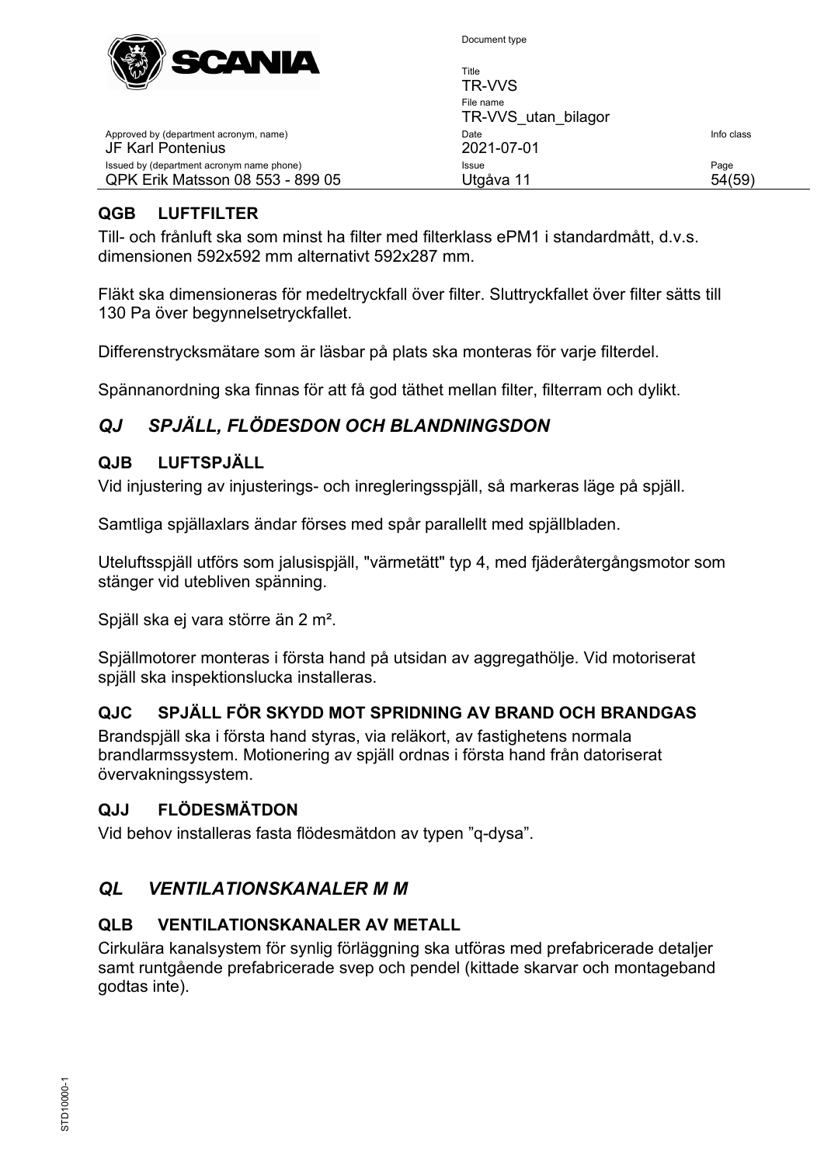

| Title<br>TR-VVS                  |            |
|----------------------------------|------------|
| File name<br>TR-VVS utan bilagor |            |
| Date<br>2021-07-01               | Info class |
| Issue<br>Utgåva 11               | Page       |

# <span id="page-53-0"></span>**QGB LUFTFILTER**

JF Karl Pontenius

Approved by (department acronym, name)

Issued by (department acronym name phone) QPK Erik Matsson 08 553 - 899 05

Till- och frånluft ska som minst ha filter med filterklass ePM1 i standardmått, d.v.s. dimensionen 592x592 mm alternativt 592x287 mm.

Fläkt ska dimensioneras för medeltryckfall över filter. Sluttryckfallet över filter sätts till 130 Pa över begynnelsetryckfallet.

Differenstrycksmätare som är läsbar på plats ska monteras för varje filterdel.

Spännanordning ska finnas för att få god täthet mellan filter, filterram och dylikt.

# <span id="page-53-1"></span>*QJ SPJÄLL, FLÖDESDON OCH BLANDNINGSDON*

#### <span id="page-53-2"></span>**QJB LUFTSPJÄLL**

Vid injustering av injusterings- och inregleringsspjäll, så markeras läge på spjäll.

Samtliga spjällaxlars ändar förses med spår parallellt med spjällbladen.

Uteluftsspjäll utförs som jalusispjäll, "värmetätt" typ 4, med fjäderåtergångsmotor som stänger vid utebliven spänning.

Spjäll ska ej vara större än 2 m².

Spjällmotorer monteras i första hand på utsidan av aggregathölje. Vid motoriserat spjäll ska inspektionslucka installeras.

#### <span id="page-53-3"></span>**QJC SPJÄLL FÖR SKYDD MOT SPRIDNING AV BRAND OCH BRANDGAS**

Brandspjäll ska i första hand styras, via reläkort, av fastighetens normala brandlarmssystem. Motionering av spjäll ordnas i första hand från datoriserat övervakningssystem.

#### <span id="page-53-4"></span>**QJJ FLÖDESMÄTDON**

Vid behov installeras fasta flödesmätdon av typen "q-dysa".

#### <span id="page-53-5"></span>*QL VENTILATIONSKANALER M M*

#### <span id="page-53-6"></span>**QLB VENTILATIONSKANALER AV METALL**

Cirkulära kanalsystem för synlig förläggning ska utföras med prefabricerade detaljer samt runtgående prefabricerade svep och pendel (kittade skarvar och montageband godtas inte).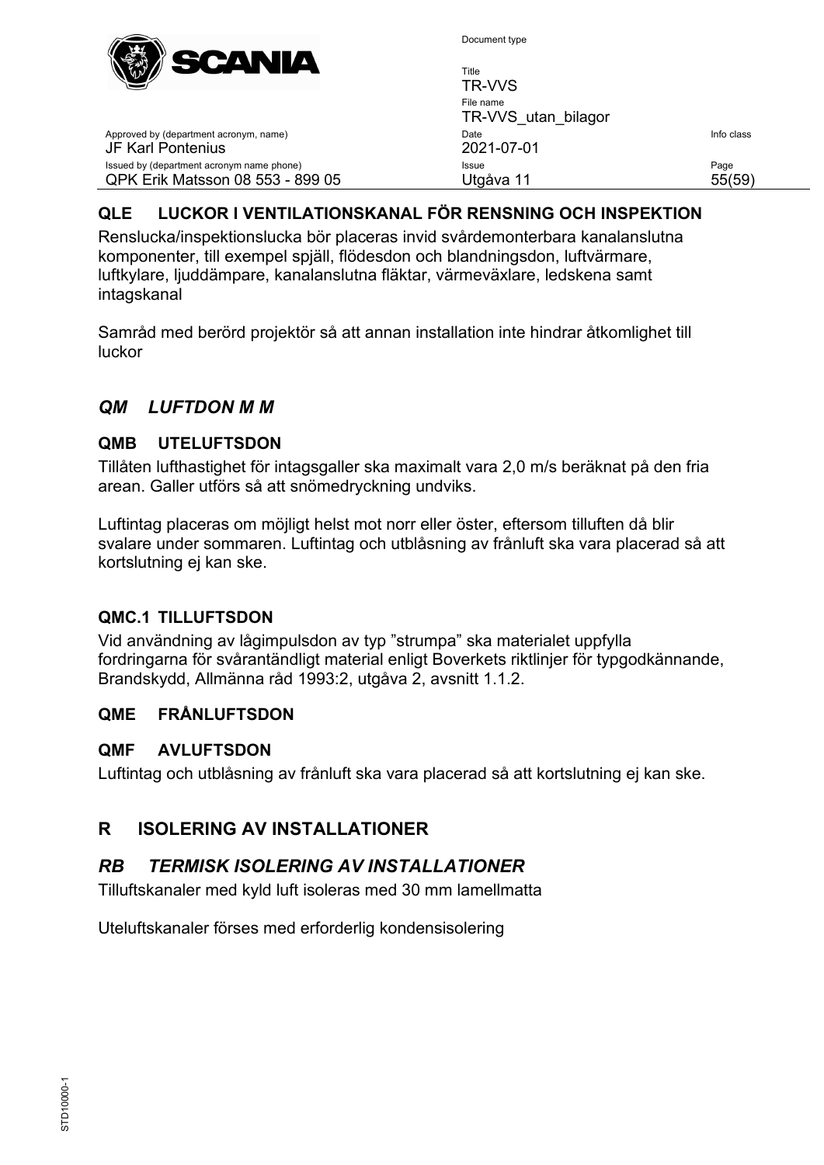

Title TR-VVS File name TR-VVS\_utan\_bilagor Approved by (department acronym, name) and the United State Info class of the United State Info class JF Karl Pontenius 2021-07-01 Issued by (department acronym name phone) **Issue Issue Issue Page** QPK Erik Matsson 08 553 - 899 05 Utgåva 11 55(59)

# <span id="page-54-0"></span>**QLE LUCKOR I VENTILATIONSKANAL FÖR RENSNING OCH INSPEKTION**

Renslucka/inspektionslucka bör placeras invid svårdemonterbara kanalanslutna komponenter, till exempel spjäll, flödesdon och blandningsdon, luftvärmare, luftkylare, ljuddämpare, kanalanslutna fläktar, värmeväxlare, ledskena samt intagskanal

Samråd med berörd projektör så att annan installation inte hindrar åtkomlighet till luckor

# <span id="page-54-1"></span>*QM LUFTDON M M*

# <span id="page-54-2"></span>**QMB UTELUFTSDON**

Tillåten lufthastighet för intagsgaller ska maximalt vara 2,0 m/s beräknat på den fria arean. Galler utförs så att snömedryckning undviks.

Luftintag placeras om möjligt helst mot norr eller öster, eftersom tilluften då blir svalare under sommaren. Luftintag och utblåsning av frånluft ska vara placerad så att kortslutning ej kan ske.

# <span id="page-54-3"></span>**QMC.1 TILLUFTSDON**

Vid användning av lågimpulsdon av typ "strumpa" ska materialet uppfylla fordringarna för svårantändligt material enligt Boverkets riktlinjer för typgodkännande, Brandskydd, Allmänna råd 1993:2, utgåva 2, avsnitt 1.1.2.

# <span id="page-54-4"></span>**QME FRÅNLUFTSDON**

# <span id="page-54-5"></span>**QMF AVLUFTSDON**

Luftintag och utblåsning av frånluft ska vara placerad så att kortslutning ej kan ske.

# <span id="page-54-6"></span>**R ISOLERING AV INSTALLATIONER**

# <span id="page-54-7"></span>*RB TERMISK ISOLERING AV INSTALLATIONER*

Tilluftskanaler med kyld luft isoleras med 30 mm lamellmatta

Uteluftskanaler förses med erforderlig kondensisolering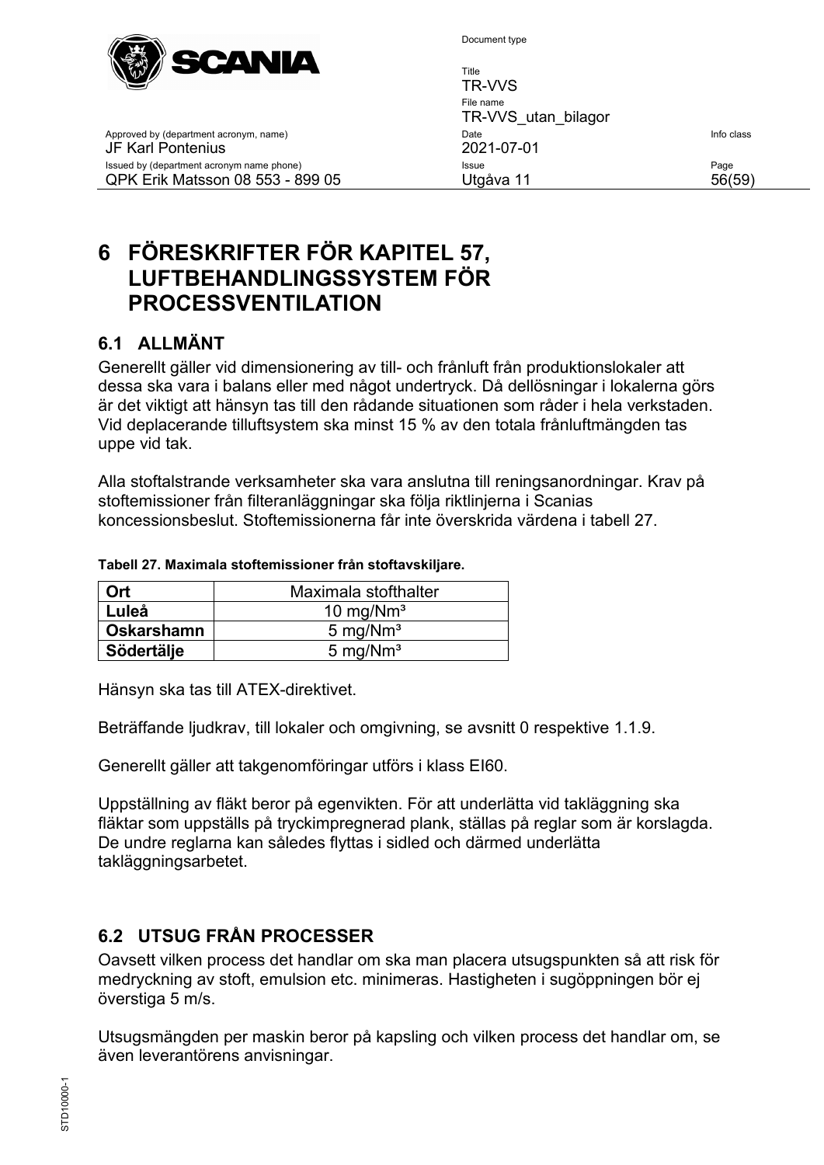

Title TR-VVS File name TR-VVS\_utan\_bilagor Approved by (department acronym, name) and the United State Info class of the United State Info class JF Karl Pontenius 2021-07-01 Issued by (department acronym name phone) **Issue Issue Issue Page** QPK Erik Matsson 08 553 - 899 05 Utgåva 11 56(59)

# <span id="page-55-0"></span>**6 FÖRESKRIFTER FÖR KAPITEL 57, LUFTBEHANDLINGSSYSTEM FÖR PROCESSVENTILATION**

# <span id="page-55-1"></span>**6.1 ALLMÄNT**

Generellt gäller vid dimensionering av till- och frånluft från produktionslokaler att dessa ska vara i balans eller med något undertryck. Då dellösningar i lokalerna görs är det viktigt att hänsyn tas till den rådande situationen som råder i hela verkstaden. Vid deplacerande tilluftsystem ska minst 15 % av den totala frånluftmängden tas uppe vid tak.

Alla stoftalstrande verksamheter ska vara anslutna till reningsanordningar. Krav på stoftemissioner från filteranläggningar ska följa riktlinjerna i Scanias koncessionsbeslut. Stoftemissionerna får inte överskrida värdena i tabell 27.

| Ort        | Maximala stofthalter |
|------------|----------------------|
| Luleå      | 10 mg/ $Nm^3$        |
| Oskarshamn | 5 mg/ $Nm^3$         |
| Södertälje | 5 mg/ $Nm^3$         |

#### **Tabell 27. Maximala stoftemissioner från stoftavskiljare.**

Hänsyn ska tas till ATEX-direktivet.

Beträffande ljudkrav, till lokaler och omgivning, se avsnitt [0](#page-11-2) respektive [1.1.9.](#page-13-0)

Generellt gäller att takgenomföringar utförs i klass EI60.

Uppställning av fläkt beror på egenvikten. För att underlätta vid takläggning ska fläktar som uppställs på tryckimpregnerad plank, ställas på reglar som är korslagda. De undre reglarna kan således flyttas i sidled och därmed underlätta takläggningsarbetet.

# <span id="page-55-2"></span>**6.2 UTSUG FRÅN PROCESSER**

Oavsett vilken process det handlar om ska man placera utsugspunkten så att risk för medryckning av stoft, emulsion etc. minimeras. Hastigheten i sugöppningen bör ej överstiga 5 m/s.

Utsugsmängden per maskin beror på kapsling och vilken process det handlar om, se även leverantörens anvisningar.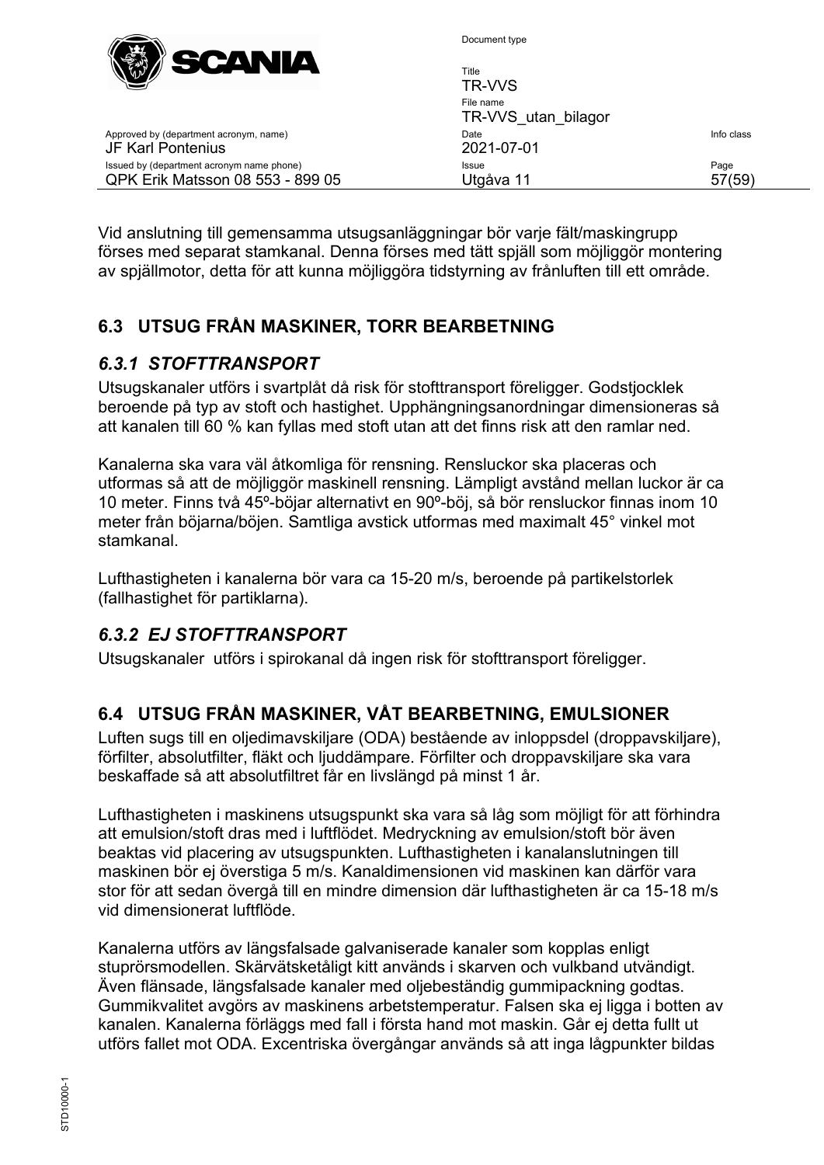

| $\mathbb{W} \mathbb{W} \mathbb{Z}$                                            | Title<br>TR-VVS                  |                |
|-------------------------------------------------------------------------------|----------------------------------|----------------|
|                                                                               | File name<br>TR-VVS utan bilagor |                |
| Approved by (department acronym, name)<br><b>JF Karl Pontenius</b>            | Date<br>2021-07-01               | Info class     |
| Issued by (department acronym name phone)<br>QPK Erik Matsson 08 553 - 899 05 | Issue<br>Utgåva 11               | Page<br>57(59) |
|                                                                               |                                  |                |

Vid anslutning till gemensamma utsugsanläggningar bör varje fält/maskingrupp förses med separat stamkanal. Denna förses med tätt spjäll som möjliggör montering av spjällmotor, detta för att kunna möjliggöra tidstyrning av frånluften till ett område.

# <span id="page-56-0"></span>**6.3 UTSUG FRÅN MASKINER, TORR BEARBETNING**

# <span id="page-56-1"></span>*6.3.1 STOFTTRANSPORT*

Utsugskanaler utförs i svartplåt då risk för stofttransport föreligger. Godstjocklek beroende på typ av stoft och hastighet. Upphängningsanordningar dimensioneras så att kanalen till 60 % kan fyllas med stoft utan att det finns risk att den ramlar ned.

Kanalerna ska vara väl åtkomliga för rensning. Rensluckor ska placeras och utformas så att de möjliggör maskinell rensning. Lämpligt avstånd mellan luckor är ca 10 meter. Finns två 45º-böjar alternativt en 90º-böj, så bör rensluckor finnas inom 10 meter från böjarna/böjen. Samtliga avstick utformas med maximalt 45° vinkel mot stamkanal.

Lufthastigheten i kanalerna bör vara ca 15-20 m/s, beroende på partikelstorlek (fallhastighet för partiklarna).

# <span id="page-56-2"></span>*6.3.2 EJ STOFTTRANSPORT*

Utsugskanaler utförs i spirokanal då ingen risk för stofttransport föreligger.

# <span id="page-56-3"></span>**6.4 UTSUG FRÅN MASKINER, VÅT BEARBETNING, EMULSIONER**

Luften sugs till en oljedimavskiljare (ODA) bestående av inloppsdel (droppavskiljare), förfilter, absolutfilter, fläkt och ljuddämpare. Förfilter och droppavskiljare ska vara beskaffade så att absolutfiltret får en livslängd på minst 1 år.

Lufthastigheten i maskinens utsugspunkt ska vara så låg som möjligt för att förhindra att emulsion/stoft dras med i luftflödet. Medryckning av emulsion/stoft bör även beaktas vid placering av utsugspunkten. Lufthastigheten i kanalanslutningen till maskinen bör ej överstiga 5 m/s. Kanaldimensionen vid maskinen kan därför vara stor för att sedan övergå till en mindre dimension där lufthastigheten är ca 15-18 m/s vid dimensionerat luftflöde.

Kanalerna utförs av längsfalsade galvaniserade kanaler som kopplas enligt stuprörsmodellen. Skärvätsketåligt kitt används i skarven och vulkband utvändigt. Även flänsade, längsfalsade kanaler med oljebeständig gummipackning godtas. Gummikvalitet avgörs av maskinens arbetstemperatur. Falsen ska ej ligga i botten av kanalen. Kanalerna förläggs med fall i första hand mot maskin. Går ej detta fullt ut utförs fallet mot ODA. Excentriska övergångar används så att inga lågpunkter bildas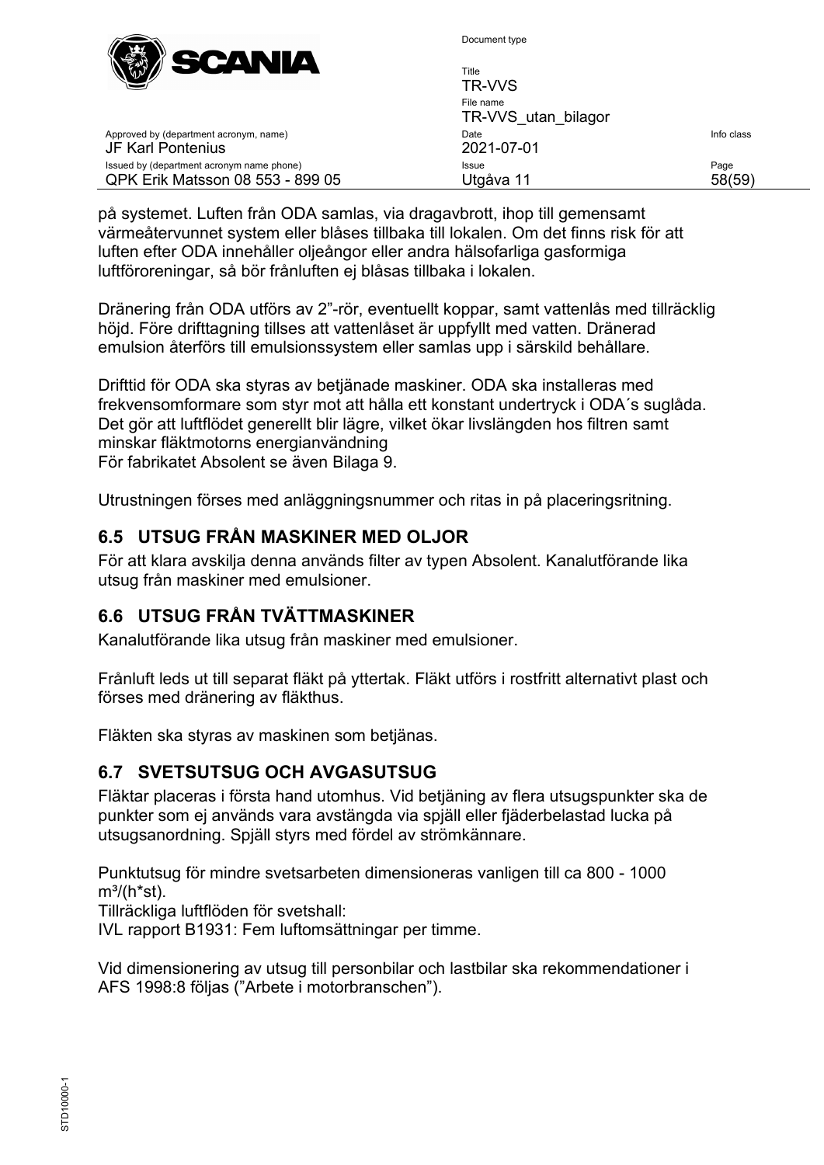

| W                                                                             | Title<br>TR-VVS                  |                |
|-------------------------------------------------------------------------------|----------------------------------|----------------|
|                                                                               | File name<br>TR-VVS utan bilagor |                |
| Approved by (department acronym, name)<br>JF Karl Pontenius                   | Date<br>2021-07-01               | Info class     |
| Issued by (department acronym name phone)<br>QPK Erik Matsson 08 553 - 899 05 | Issue<br>Utgåva 11               | Page<br>58(59) |

på systemet. Luften från ODA samlas, via dragavbrott, ihop till gemensamt värmeåtervunnet system eller blåses tillbaka till lokalen. Om det finns risk för att luften efter ODA innehåller oljeångor eller andra hälsofarliga gasformiga luftföroreningar, så bör frånluften ej blåsas tillbaka i lokalen.

Dränering från ODA utförs av 2"-rör, eventuellt koppar, samt vattenlås med tillräcklig höjd. Före drifttagning tillses att vattenlåset är uppfyllt med vatten. Dränerad emulsion återförs till emulsionssystem eller samlas upp i särskild behållare.

Drifttid för ODA ska styras av betjänade maskiner. ODA ska installeras med frekvensomformare som styr mot att hålla ett konstant undertryck i ODA´s suglåda. Det gör att luftflödet generellt blir lägre, vilket ökar livslängden hos filtren samt minskar fläktmotorns energianvändning För fabrikatet Absolent se även Bilaga 9.

<span id="page-57-0"></span>Utrustningen förses med anläggningsnummer och ritas in på placeringsritning.

# **6.5 UTSUG FRÅN MASKINER MED OLJOR**

För att klara avskilja denna används filter av typen Absolent. Kanalutförande lika utsug från maskiner med emulsioner.

# <span id="page-57-1"></span>**6.6 UTSUG FRÅN TVÄTTMASKINER**

Kanalutförande lika utsug från maskiner med emulsioner.

Frånluft leds ut till separat fläkt på yttertak. Fläkt utförs i rostfritt alternativt plast och förses med dränering av fläkthus.

Fläkten ska styras av maskinen som betjänas.

# <span id="page-57-2"></span>**6.7 SVETSUTSUG OCH AVGASUTSUG**

Fläktar placeras i första hand utomhus. Vid betjäning av flera utsugspunkter ska de punkter som ej används vara avstängda via spjäll eller fjäderbelastad lucka på utsugsanordning. Spjäll styrs med fördel av strömkännare.

Punktutsug för mindre svetsarbeten dimensioneras vanligen till ca 800 - 1000  $m^3/(h^*st)$ .

Tillräckliga luftflöden för svetshall:

IVL rapport B1931: Fem luftomsättningar per timme.

Vid dimensionering av utsug till personbilar och lastbilar ska rekommendationer i AFS 1998:8 följas ("Arbete i motorbranschen").